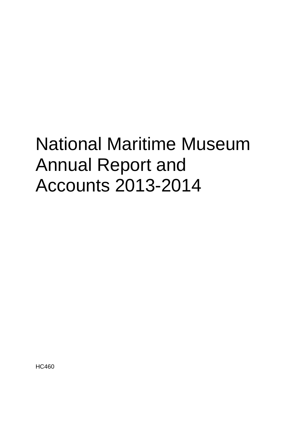# National Maritime Museum Annual Report and Accounts 2013-2014

HC460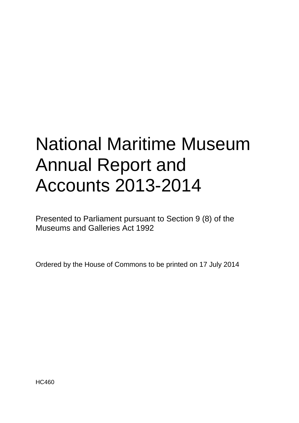# National Maritime Museum Annual Report and Accounts 2013-2014

Presented to Parliament pursuant to Section 9 (8) of the Museums and Galleries Act 1992

Ordered by the House of Commons to be printed on 17 July 2014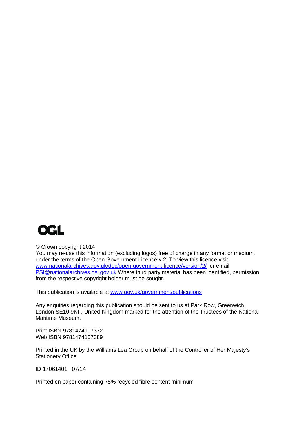

© Crown copyright 2014

You may re-use this information (excluding logos) free of charge in any format or medium, under the terms of the Open Government Licence v.2. To view this licence visit [www.nationalarchives.gov.uk/doc/open-government-licence/version/2/](http://www.nationalarchives.gov.uk/doc/open-government-licence/version/2/) or email [PSI@nationalarchives.gsi.gov.uk](mailto:PSI@nationalarchives.gsi.gov.uk) Where third party material has been identified, permission from the respective copyright holder must be sought.

This publication is available at [www.gov.uk/government/publications](http://www.gov.uk/government/publications)

Any enquiries regarding this publication should be sent to us at Park Row, Greenwich, London SE10 9NF, United Kingdom marked for the attention of the Trustees of the National Maritime Museum.

Print ISBN 9781474107372 Web ISBN 9781474107389

Printed in the UK by the Williams Lea Group on behalf of the Controller of Her Majesty's Stationery Office

ID 17061401 07/14

Printed on paper containing 75% recycled fibre content minimum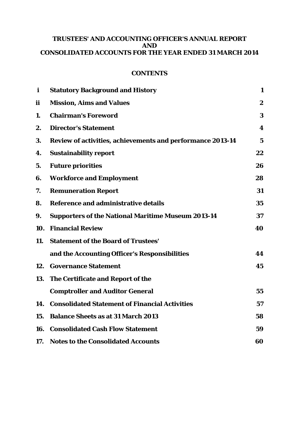# **TRUSTEES' AND ACCOUNTING OFFICER'S ANNUAL REPORT AND CONSOLIDATED ACCOUNTS FOR THE YEAR ENDED 31 MARCH 2014**

# **CONTENTS**

| $\mathbf{i}$ | <b>Statutory Background and History</b>                    | 1                |
|--------------|------------------------------------------------------------|------------------|
| <i>ii</i>    | <b>Mission, Aims and Values</b>                            | $\boldsymbol{2}$ |
| 1.           | <b>Chairman's Foreword</b>                                 | 3                |
| 2.           | <b>Director's Statement</b>                                | 4                |
| 3.           | Review of activities, achievements and performance 2013-14 | $\mathbf 5$      |
| 4.           | <b>Sustainability report</b>                               | 22               |
| 5.           | <b>Future priorities</b>                                   | 26               |
| 6.           | <b>Workforce and Employment</b>                            | 28               |
| 7.           | <b>Remuneration Report</b>                                 | 31               |
| 8.           | Reference and administrative details                       | 35               |
| 9.           | <b>Supporters of the National Maritime Museum 2013-14</b>  | 37               |
| 10.          | <b>Financial Review</b>                                    | 40               |
| 11.          | <b>Statement of the Board of Trustees'</b>                 |                  |
|              | and the Accounting Officer's Responsibilities              | 44               |
|              | 12. Governance Statement                                   | 45               |
| 13.          | The Certificate and Report of the                          |                  |
|              | <b>Comptroller and Auditor General</b>                     | 55               |
| 14.          | <b>Consolidated Statement of Financial Activities</b>      | 57               |
| 15.          | <b>Balance Sheets as at 31 March 2013</b>                  | 58               |
| 16.          | <b>Consolidated Cash Flow Statement</b>                    | 59               |
| 17.          | <b>Notes to the Consolidated Accounts</b>                  | 60               |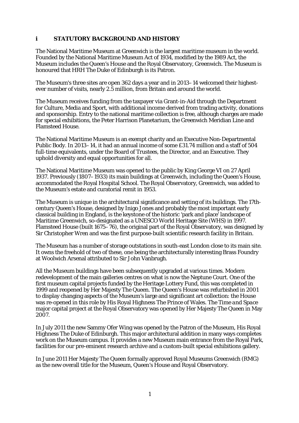# **i STATUTORY BACKGROUND AND HISTORY**

The National Maritime Museum at Greenwich is the largest maritime museum in the world. Founded by the National Maritime Museum Act of 1934, modified by the 1989 Act, the Museum includes the Queen's House and the Royal Observatory, Greenwich. The Museum is honoured that HRH The Duke of Edinburgh is its Patron.

The Museum's three sites are open 362 days a year and in 2013–14 welcomed their highestever number of visits, nearly 2.5 million, from Britain and around the world.

The Museum receives funding from the taxpayer via Grant-in-Aid through the Department for Culture, Media and Sport, with additional income derived from trading activity, donations and sponsorship. Entry to the national maritime collection is free, although charges are made for special exhibitions, the Peter Harrison Planetarium, the Greenwich Meridian Line and Flamsteed House.

The National Maritime Museum is an exempt charity and an Executive Non-Departmental Public Body. In 2013–14, it had an annual income of some £31.74 million and a staff of 504 full-time equivalents, under the Board of Trustees, the Director, and an Executive. They uphold diversity and equal opportunities for all.

The National Maritime Museum was opened to the public by King George VI on 27 April 1937. Previously (1807–1933) its main buildings at Greenwich, including the Queen's House, accommodated the Royal Hospital School. The Royal Observatory, Greenwich, was added to the Museum's estate and curatorial remit in 1953.

The Museum is unique in the architectural significance and setting of its buildings. The 17thcentury Queen's House, designed by Inigo Jones and probably the most important early classical building in England, is the keystone of the historic 'park and place' landscape of Maritime Greenwich, so-designated as a UNESCO World Heritage Site (WHS) in 1997. Flamsteed House (built 1675–76), the original part of the Royal Observatory, was designed by Sir Christopher Wren and was the first purpose-built scientific research facility in Britain.

The Museum has a number of storage outstations in south-east London close to its main site. It owns the freehold of two of these, one being the architecturally interesting Brass Foundry at Woolwich Arsenal attributed to Sir John Vanbrugh.

All the Museum buildings have been subsequently upgraded at various times. Modern redevelopment of the main galleries centres on what is now the Neptune Court. One of the first museum capital projects funded by the Heritage Lottery Fund, this was completed in 1999 and reopened by Her Majesty The Queen. The Queen's House was refurbished in 2001 to display changing aspects of the Museum's large and significant art collection: the House was re-opened in this role by His Royal Highness The Prince of Wales. The *Time and Space* major capital project at the Royal Observatory was opened by Her Majesty The Queen in May 2007.

In July 2011 the new Sammy Ofer Wing was opened by the Patron of the Museum, His Royal Highness The Duke of Edinburgh. This major architectural addition in many ways completes work on the Museum campus. It provides a new Museum main entrance from the Royal Park, facilities for our pre-eminent research archive and a custom-built special exhibitions gallery.

In June 2011 Her Majesty The Queen formally approved Royal Museums Greenwich (RMG) as the new overall title for the Museum, Queen's House and Royal Observatory.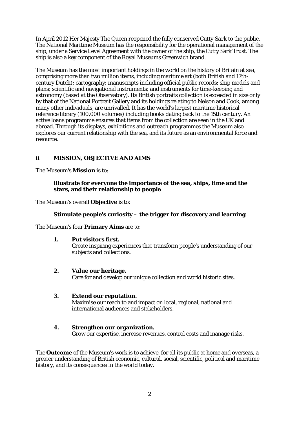In April 2012 Her Majesty The Queen reopened the fully conserved *Cutty Sark* to the public. The National Maritime Museum has the responsibility for the operational management of the ship, under a Service Level Agreement with the owner of the ship, the Cutty Sark Trust. The ship is also a key component of the Royal Museums Greenwich brand.

The Museum has the most important holdings in the world on the history of Britain at sea, comprising more than two million items, including maritime art (both British and 17thcentury Dutch); cartography; manuscripts including official public records; ship models and plans; scientific and navigational instruments; and instruments for time-keeping and astronomy (based at the Observatory). Its British portraits collection is exceeded in size only by that of the National Portrait Gallery and its holdings relating to Nelson and Cook, among many other individuals, are unrivalled. It has the world's largest maritime historical reference library (100,000 volumes) including books dating back to the 15th century. An active loans programme ensures that items from the collection are seen in the UK and abroad. Through its displays, exhibitions and outreach programmes the Museum also explores our current relationship with the sea, and its future as an environmental force and resource.

# **ii MISSION, OBJECTIVE AND AIMS**

The Museum's **Mission** is to:

# **illustrate for everyone the importance of the sea, ships, time and the stars, and their relationship to people**

The Museum's overall **Objective** is to:

# **Stimulate people's curiosity – the trigger for discovery and learning**

The Museum's four **Primary Aims** are to:

# **1. Put visitors first.**

Create inspiring experiences that transform people's understanding of our subjects and collections.

# **2. Value our heritage.**

Care for and develop our unique collection and world historic sites.

# **3. Extend our reputation.**

Maximise our reach to and impact on local, regional, national and international audiences and stakeholders.

# **4. Strengthen our organization.**

Grow our expertise, increase revenues, control costs and manage risks.

The **Outcome** of the Museum's work is to achieve, for all its public at home and overseas, a greater understanding of British economic, cultural, social, scientific, political and maritime history, and its consequences in the world today.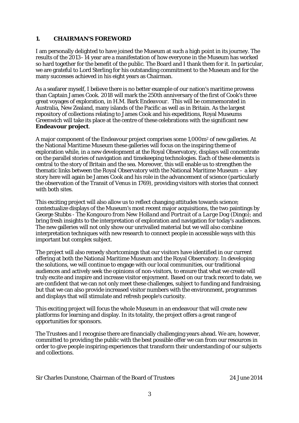# **1. CHAIRMAN'S FOREWORD**

I am personally delighted to have joined the Museum at such a high point in its journey. The results of the 2013–14 year are a manifestation of how everyone in the Museum has worked so hard together for the benefit of the public. The Board and I thank them for it. In particular, we are grateful to Lord Sterling for his outstanding commitment to the Museum and for the many successes achieved in his eight years as Chairman.

As a seafarer myself, I believe there is no better example of our nation's maritime prowess than Captain James Cook. 2018 will mark the 250th anniversary of the first of Cook's three great voyages of exploration, in H.M. Bark *Endeavour*. This will be commemorated in Australia, New Zealand, many islands of the Pacific as well as in Britain. As the largest repository of collections relating to James Cook and his expeditions, Royal Museums Greenwich will take its place at the centre of these celebrations with the significant new **Endeavour project**.

A major component of the Endeavour project comprises some 1,000m2 of new galleries. At the National Maritime Museum these galleries will focus on the inspiring theme of exploration while, in a new development at the Royal Observatory, displays will concentrate on the parallel stories of navigation and timekeeping technologies. Each of these elements is central to the story of Britain and the sea. Moreover, this will enable us to strengthen the thematic links between the Royal Observatory with the National Maritime Museum – a key story here will again be James Cook and his role in the advancement of science (particularly the observation of the Transit of Venus in 1769), providing visitors with stories that connect with both sites.

This exciting project will also allow us to reflect changing attitudes towards science; contextualize displays of the Museum's most recent major acquisitions, the two paintings by George Stubbs - *The Kongouro from New Holland* and *Portrait of a Large Dog* (Dingo); and bring fresh insights to the interpretation of exploration and navigation for today's audiences. The new galleries will not only show our unrivalled material but we will also combine interpretation techniques with new research to connect people in accessible ways with this important but complex subject.

The project will also remedy shortcomings that our visitors have identified in our current offering at both the National Maritime Museum and the Royal Observatory. In developing the solutions, we will continue to engage with our local communities, our traditional audiences and actively seek the opinions of non-visitors, to ensure that what we create will truly excite and inspire and increase visitor enjoyment. Based on our track record to date, we are confident that we can not only meet these challenges, subject to funding and fundraising, but that we can also provide increased visitor numbers with the environment, programmes and displays that will stimulate and refresh people's curiosity.

This exciting project will focus the whole Museum in an endeavour that will create new platforms for learning and display. In its totality, the project offers a great range of opportunities for sponsors.

The Trustees and I recognise there are financially challenging years ahead. We are, however, committed to providing the public with the best possible offer we can from our resources in order to give people inspiring experiences that transform their understanding of our subjects and collections.

Sir Charles Dunstone, Chairman of the Board of Trustees 24 June 2014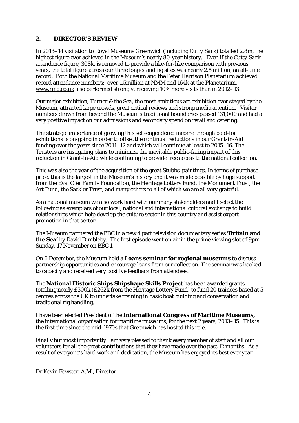# **2. DIRECTOR'S REVIEW**

In 2013–14 visitation to Royal Museums Greenwich (including *Cutty Sark*) totalled 2.8m, the highest figure ever achieved in the Museum's nearly 80-year history. Even if the *Cutty Sark* attendance figure, 308k, is removed to provide a like-for-like comparison with previous years, the total figure across our three long-standing sites was nearly 2.5 million, an all-time record. Both the National Maritime Museum and the Peter Harrison Planetarium achieved record attendance numbers: over 1.5million at NMM and 164k at the Planetarium. [www.rmg.co.uk](http://www.rmg.co.uk/) also performed strongly, receiving 10% more visits than in 2012–13.

Our major exhibition, *Turner & the Sea,* the most ambitious art exhibition ever staged by the Museum, attracted large crowds, great critical reviews and strong media attention. Visitor numbers drawn from beyond the Museum's traditional boundaries passed 131,000 and had a very positive impact on our admissions and secondary spend on retail and catering.

The strategic importance of growing this self-engendered income through paid-for exhibitions is on-going in order to offset the continual reductions in our Grant-in-Aid funding over the years since 2011–12 and which will continue at least to 2015–16. The Trustees are instigating plans to minimize the inevitable public-facing impact of this reduction in Grant-in-Aid while continuing to provide free access to the national collection.

This was also the year of the acquisition of the great Stubbs' paintings. In terms of purchase price, this is the largest in the Museum's history and it was made possible by huge support from the Eyal Ofer Family Foundation, the Heritage Lottery Fund, the Monument Trust, the Art Fund, the Sackler Trust, and many others to all of which we are all very grateful.

As a national museum we also work hard with our many stakeholders and I select the following as exemplars of our local, national and international cultural exchange to build relationships which help develop the culture sector in this country and assist export promotion in that sector:

The Museum partnered the BBC in a new 4 part television documentary series '**Britain and the Sea'** by David Dimbleby. The first episode went on air in the prime viewing slot of 9pm Sunday, 17 November on BBC 1.

On 6 December, the Museum held a **Loans seminar for regional museums** to discuss partnership opportunities and encourage loans from our collection. The seminar was booked to capacity and received very positive feedback from attendees.

The **National Historic Ships Shipshape Skills Project** has been awarded grants totalling nearly £300k (£262k from the Heritage Lottery Fund) to fund 20 trainees based at 5 centres across the UK to undertake training in basic boat building and conservation and traditional rig handling.

I have been elected President of the **International Congress of Maritime Museums,**  the international organisation for maritime museums, for the next 2 years, 2013–15. This is the first time since the mid-1970s that Greenwich has hosted this role.

Finally but most importantly I am very pleased to thank every member of staff and all our volunteers for all the great contributions that they have made over the past 12 months. As a result of everyone's hard work and dedication, the Museum has enjoyed its best ever year.

Dr Kevin Fewster, A.M., Director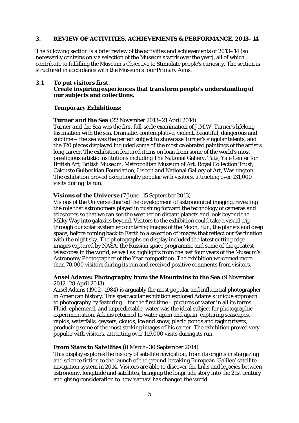## **3. REVIEW OF ACTIVITIES, ACHIEVEMENTS & PERFORMANCE, 2013–14**

The following section is a brief review of the activities and achievements of 2013–14 (so necessarily contains only a selection of the Museum's work over the year), all of which contribute to fulfilling the Museum's Objective to Stimulate people's curiosity. The section is structured in accordance with the Museum's four Primary Aims.

## **3.1 To put visitors first.**

## **Create inspiring experiences that transform people's understanding of our subjects and collections.**

## **Temporary Exhibitions:**

#### *Turner and the Sea (*22 November 2013–21 April 2014)

*[Turner and the Sea](http://www.rmg.co.uk/about/press/server.php?show=conEvent.3382)* was the first full-scale examination of J.M.W. Turner's lifelong fascination with the sea. Dramatic, contemplative, violent, beautiful, dangerous and sublime – the sea was the perfect subject to showcase Turner's singular talents, and the 120 pieces displayed included some of the most celebrated paintings of the artist's long career. The exhibition featured items on loan from some of the world's most prestigious artistic institutions including [The National Gallery,](http://www.nationalgallery.org.uk/) [Tate,](http://www.tate.org.uk/home/default.htm) [Yale Center for](http://ycba.yale.edu/index.asp)  [British Art,](http://ycba.yale.edu/index.asp) [British Museum,](http://www.thebritishmuseum.ac.uk/) [Metropolitan Museum of Art,](http://www.metmuseum.org/home.asp) [Royal Collection Trust,](http://www.royalcollection.org.uk/) [Calouste Gulbenkian Foundation,](http://www.gulbenkian.org.uk/) Lisbon and [National Gallery of Art,](http://www.nga.gov/content/ngaweb.html) Washington. The exhibition proved exceptionally popular with visitors, attracting over 131,000 visits during its run.

#### *Visions of the Universe* (7 June–15 September 2013)

*[Visions of the Universe](http://www.rmg.co.uk/about/press/archive/server.php?show=conEvent.3381)* charted the development of astronomical imaging, revealing the role that astronomers played in pushing forward the technology of cameras and telescopes so that we can see the weather on distant planets and look beyond the Milky Way into galaxies beyond. Visitors to the exhibition could take a visual trip through our solar system encountering images of the Moon, Sun, the planets and deep space, before coming back to Earth to a selection of images that reflect our fascination with the night sky. The photographs on display included the latest cutting edge images captured by NASA, the Russian space programme and some of the greatest telescopes in the world, as well as highlights from the last four years of the Museum's [Astronomy Photographer of the Year](http://www.rmg.co.uk/about/press/archive/server.php?show=nav.3767) competition. The exhibition welcomed more than 70,000 visitors during its run and received positive comments from visitors.

## *Ansel Adams: Photography from the Mountains to the Sea* (9 November 2012–28 April 2013)

Ansel Adams (1902–1984) is arguably the most popular and influential photographer in American history. This spectacular exhibition explored Adams's unique approach to photography by featuring – for the first time – pictures of water in all its forms. Fluid, ephemeral, and unpredictable, water was the ideal subject for photographic experimentation. Adams returned to water again and again, capturing seascapes, rapids, waterfalls, geysers, clouds, ice and snow, placid ponds and raging rivers, producing some of the most striking images of his career. The exhibition proved very popular with visitors, attracting over 119,000 visits during its run.

## *From Stars to Satellites* (8 March–30 September 2014)

This display explores the history of satellite navigation, from its origins in stargazing and science fiction to the launch of the ground-breaking European 'Galileo' satellite navigation system in 2014. Visitors are able to discover the links and legacies between astronomy, longitude and satellites, bringing the longitude story into the 21st century and giving consideration to how 'satnav' has changed the world.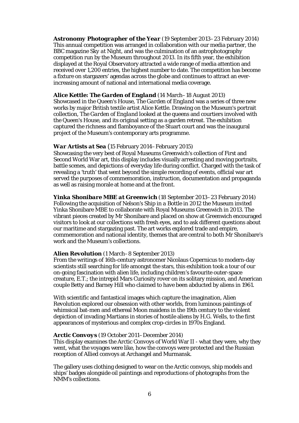*Astronomy Photographer of the Year* (19 September 2013–23 February 2014) This annual competition was arranged in collaboration with our media partner, the BBC magazine *Sky at Night*, and was the culmination of an astrophotography competition run by the Museum throughout 2013. In its fifth year, the exhibition displayed at the Royal Observatory attracted a wide range of media attention and received over 1,200 entries, the highest number to date. The competition has become a fixture on stargazers' agendas across the globe and continues to attract an everincreasing amount of national and international media coverage.

## *Alice Kettle: The Garden of England* (14 March–18 August 2013)

Showcased in the Queen's House, *The Garden of England* was a series of three new works by major British textile artist Alice Kettle. Drawing on the Museum's portrait collection, *The Garden of England* looked at the queens and courtiers involved with the Queen's House, and its original setting as a garden retreat. The exhibition captured the richness and flamboyance of the Stuart court and was the inaugural project of the Museum's contemporary arts programme.

## *War Artists at Sea* (15 February 2014–February 2015)

Showcasing the very best of Royal Museums Greenwich's collection of First and Second World War art, this display includes visually arresting and moving portraits, battle scenes, and depictions of everyday life during conflict. Charged with the task of revealing a 'truth' that went beyond the simple recording of events, official war art served the purposes of commemoration, instruction, documentation and propaganda as well as raising morale at home and at the front.

*Yinka Shonibare MBE at Greenwich* (18 September 2013–23 February 2014) Following the acquisition of *[Nelson's Ship in a Bottle](http://www.rmg.co.uk/whats-on/events/server.php?show=nav.4191)* in 2012 the Museum invited Yinka Shonibare MBE to collaborate with Royal Museums Greenwich in 2013. The vibrant pieces created by Mr Shonibare and placed on show at Greenwich encouraged visitors to look at our collections with fresh eyes, and to ask different questions about our maritime and stargazing past. The art works explored trade and empire, commemoration and national identity, themes that are central to both Mr Shonibare's work and the Museum's collections.

## *Alien Revolution* (1 March–8 September 2013)

From the writings of 16th-century astronomer Nicolaus Copernicus to modern-day scientists still searching for life amongst the stars, this exhibition took a tour of our on-going fascination with alien life, including children's favourite outer-space creature, E.T.; the intrepid Mars Curiosity rover on its solitary mission, and American couple Betty and Barney Hill who claimed to have been abducted by aliens in 1961.

With scientific and fantastical images which capture the imagination, *Alien Revolution* explored our obsession with other worlds, from luminous paintings of whimsical bat-men and ethereal Moon maidens in the 19th century to the violent depiction of invading Martians in stories of hostile aliens by H.G. Wells, to the first appearances of mysterious and complex crop-circles in 1970s England.

## *Arctic Convoys* (19 October 2011–December 2014)

This display examines the Arctic Convoys of World War II - what they were, why they went, what the voyages were like, how the convoys were protected and the Russian reception of Allied convoys at Archangel and Murmansk.

The gallery uses clothing designed to wear on the Arctic convoys, ship models and ships' badges alongside oil paintings and reproductions of photographs from the NMM's collections.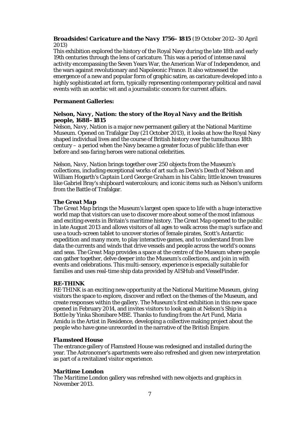# *Broadsides! Caricature and the Navy 1756–1815* (19 October 2012–30 April 2013)

This exhibition explored the history of the Royal Navy during the late 18th and early 19th centuries through the lens of caricature. This was a period of intense naval activity encompassing the Seven Years War, the American War of Independence, and the wars against revolutionary and Napoleonic France. It also witnessed the emergence of a new and popular form of graphic satire, as caricature developed into a highly sophisticated art form, typically representing contemporary political and naval events with an acerbic wit and a journalistic concern for current affairs.

## **Permanent Galleries:**

# *Nelson, Navy, Nation: the story of the Royal Navy and the British people, 1688–1815*

*[Nelson, Navy, Nation](http://www.rmg.co.uk/about/press/archive/server.php?show=ConWebDoc.26687)* is a major new permanent gallery at th[e National Maritime](http://www1.rmg.co.uk/)  [Museum.](http://www1.rmg.co.uk/) Opened on Trafalgar Day (21 October 2013), it looks at how the Royal Navy shaped individual lives and the course of British history over the tumultuous 18th century – a period when the Navy became a greater focus of public life than ever before and sea-faring heroes were national celebrities.

*Nelson, Navy, Nation* brings together over 250 objects from the Museum's collections, including exceptional works of art such as Devis's *Death of Nelson* and William Hogarth's *Captain Lord George Graham in his Cabin*; little known treasures like Gabriel Bray's shipboard watercolours; and iconic items such as Nelson's uniform from the Battle of Trafalgar.

## *The Great Map*

*The Great Map* brings the Museum's largest open space to life with a huge interactive world map that visitors can use to discover more about some of the most infamous and exciting events in Britain's maritime history. *The Great Map* opened to the public in late August 2013 and allows visitors of all ages to walk across the map's surface and use a touch-screen tablet to uncover stories of female pirates, Scott's Antarctic expedition and many more, to play interactive games, and to understand from live data the currents and winds that drive vessels and people across the world's oceans and seas. *The Great Map* provides a space at the centre of the Museum where people can gather together, delve deeper into the Museum's collections, and join in with events and celebrations. This multi-sensory, experience is especially suitable for families and uses real-time ship data provided by AISHub and VesselFinder.

## *RE-THINK*

*RE*·*THINK* is an exciting new opportunity at the National Maritime Museum, giving visitors the space to explore, discover and reflect on the themes of the Museum, and create responses within the gallery. The Museum's first exhibition in this new space opened in February 2014, and invites visitors to look again at *Nelson's Ship in a Bottle* by Yinka Shonibare MBE. Thanks to funding from the Art Fund, [Maria](http://www.iniva.org/library/archive/people/a/amidu_maria)  [Amidu](http://www.iniva.org/library/archive/people/a/amidu_maria) is the Artist in Residence, developing a collective making project about the people who have gone unrecorded in the narrative of the British Empire.

## *Flamsteed House*

The entrance gallery of Flamsteed House was redesigned and installed during the year. The Astronomer's apartments were also refreshed and given new interpretation as part of a revitalized visitor experience.

## **Maritime London**

The *Maritime London* gallery was refreshed with new objects and graphics in November 2013.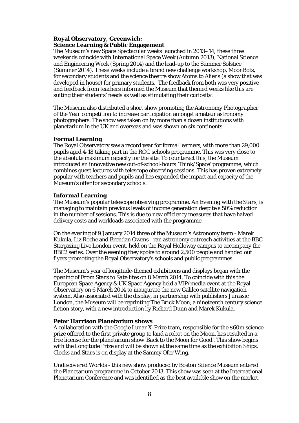# **Royal Observatory, Greenwich: Science Learning & Public Engagement**

The Museum's new Space Spectacular weeks launched in 2013–14; these three weekends coincide with International Space Week (Autumn 2013), National Science and Engineering Week (Spring 2014) and the lead-up to the Summer Solstice (Summer 2014). These weeks include a brand new challenge workshop, MoonBots, for secondary students and the science theatre show Atoms to Aliens (a show that was developed in house) for primary students. The feedback from both was very positive and feedback from teachers informed the Museum that themed weeks like this are suiting their students' needs as well as stimulating their curiosity.

The Museum also distributed a short show promoting the *Astronomy Photographer of the Year* competition to increase participation amongst amateur astronomy photographers. The show was taken on by more than a dozen institutions with planetarium in the UK and overseas and was shown on six continents.

## **Formal Learning**

The Royal Observatory saw a record year for formal learners, with more than 29,000 pupils aged 4-18 taking part in the ROG schools programme. This was very close to the absolute maximum capacity for the site. To counteract this, the Museum introduced an innovative new out-of-school-hours 'Think/Space' programme, which combines guest lectures with telescope observing sessions. This has proven extremely popular with teachers and pupils and has expanded the impact and capacity of the Museum's offer for secondary schools.

## **Informal Learning**

The Museum's popular telescope observing programme, *An Evening with the Stars*, is managing to maintain previous levels of income generation despite a 50% reduction in the number of sessions. This is due to new efficiency measures that have halved delivery costs and workloads associated with the programme.

On the evening of 9 January 2014 three of the Museum's Astronomy team - Marek Kukula, Liz Roche and Brendan Owens - ran astronomy outreach activities at the BBC Stargazing Live London event, held on the Royal Holloway campus to accompany the BBC2 series. Over the evening they spoke to around 2,500 people and handed out flyers promoting the Royal Observatory's schools and public programmes.

The Museum's year of longitude-themed exhibitions and displays began with the opening of *From Stars to Satellites* on 8 March 2014. To coincide with this the European Space Agency & UK Space Agency held a VIP/media event at the Royal Observatory on 6 March 2014 to inaugurate the new Galileo satellite navigation system. Also associated with the display, in partnership with publishers Jurassic London, the Museum will be reprinting *The Brick Moon*, a nineteenth century science fiction story, with a new introduction by Richard Dunn and Marek Kukula.

# **Peter Harrison Planetarium shows**

A collaboration with the Google Lunar X-Prize team, responsible for the \$60m science prize offered to the first private group to land a robot on the Moon, has resulted in a free license for the planetarium show *'Back to the Moon for Good'*. This show begins with the Longitude Prize and will be shown at the same time as the exhibition *Ships, Clocks and Stars* is on display at the Sammy Ofer Wing.

*Undiscovered Worlds -* this new show produced by Boston Science Museum entered the Planetarium programme in October 2013. This show was seen at the International Planetarium Conference and was identified as the best available show on the market.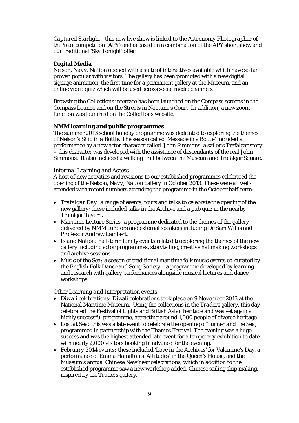*Captured Starlight - t*his new live show is linked to the *Astronomy Photographer of the Year* competition (APY) and is based on a combination of the APY short show and our traditional 'Sky Tonight' offer.

# **Digital Media**

*Nelson, Navy, Nation* opened with a suite of interactives available which have so far proven popular with visitors. The gallery has been promoted with a new digital signage animation, the first time for a permanent gallery at the Museum, and an online video quiz which will be used across social media channels.

Browsing the Collections interface has been launched on the Compass screens in the Compass Lounge and on the Streets in Neptune's Court. In addition, a new zoom function was launched on the Collections website.

## **NMM learning and public programmes**

The summer 2013 school holiday programme was dedicated to exploring the themes of *Nelson's Ship in a Bottle*. The season called 'Message in a Bottle' included a performance by a new actor character called 'John Simmons: a sailor's Trafalgar story' – this character was developed with the assistance of descendants of the real John Simmons. It also included a walking trail between the Museum and Trafalgar Square.

## *Informal Learning and Access*

A host of new activities and revisions to our established programmes celebrated the opening of the *Nelson, Navy, Nation* gallery in October 2013. These were all wellattended with record numbers attending the programme in the October half-term:

- *Trafalgar Day:* a range of events, tours and talks to celebrate the opening of the new gallery; these included talks in the Archive and a pub quiz in the nearby Trafalgar Tavern.
- *Maritime Lecture Series:* a programme dedicated to the themes of the gallery delivered by NMM curators and external speakers including Dr Sam Willis and Professor Andrew Lambert.
- *Island Nation:* half-term family events related to exploring the themes of the new gallery including actor programmes, storytelling, creative hat making workshops and archive sessions.
- *Music of the Sea:* a season of traditional maritime folk music events co-curated by the English Folk Dance and Song Society – a programme developed by learning and research with gallery performances alongside musical lectures and dance workshops.

## *Other Learning and Interpretation events*

- *Diwali celebrations:* Diwali celebrations took place on 9 November 2013 at the National Maritime Museum. Using the collections in the *Traders* gallery, this day celebrated the Festival of Lights and British Asian heritage and was yet again a highly successful programme, attracting around 1,000 people of diverse heritage.
- *Lost at Sea:* this was a late event to celebrate the opening of *Turner and the Sea*, programmed in partnership with the Thames Festival. The evening was a huge success and was the highest attended late event for a temporary exhibition to date, with nearly 2,000 visitors booking in advance for the evening.
- *February 2014 events:* these included 'Love in the Archives' for Valentine's Day, a performance of Emma Hamilton's 'Attitudes' in the Queen's House, and the Museum's annual Chinese New Year celebrations, which in addition to the established programme saw a new workshop added, Chinese sailing ship making, inspired by the *Traders* gallery.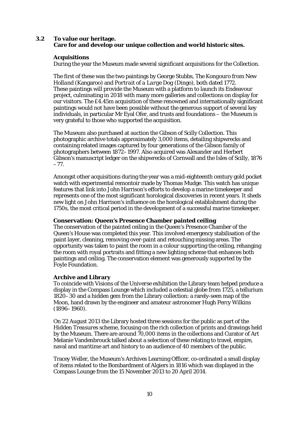# **3.2 To value our heritage. Care for and develop our unique collection and world historic sites.**

# **Acquisitions**

During the year the Museum made several significant acquisitions for the Collection.

The first of these was the two paintings by George Stubbs, *The Kongouro from New Holland* (Kangaroo) and *Portrait of a Large Dog* (Dingo), both dated 1772. These paintings will provide the Museum with a platform to launch its Endeavour project, culminating in 2018 with many more galleries and collections on display for our visitors. The £4.45m acquisition of these renowned and internationally significant paintings would not have been possible without the generous support of several key individuals, in particular Mr Eyal Ofer, and trusts and foundations – the Museum is very grateful to those who supported the acquisition.

The Museum also purchased at auction the Gibson of Scilly Collection. This photographic archive totals approximately 3,000 items, detailing shipwrecks and containing related images captured by four generations of the Gibson family of photographers between 1872–1997. Also acquired was Alexander and Herbert Gibson's manuscript ledger on the shipwrecks of Cornwall and the Isles of Scilly, 1876 –77.

Amongst other acquisitions during the year was a mid-eighteenth century gold pocket watch with experimental remontoir made by Thomas Mudge. This watch has unique features that link into John Harrison's efforts to develop a marine timekeeper and represents one of the most significant horological discoveries in recent years. It sheds new light on John Harrison's influence on the horological establishment during the 1750s, the most critical period in the development of a successful marine timekeeper.

# **Conservation: Queen's Presence Chamber painted ceiling**

The conservation of the painted ceiling in the Queen's Presence Chamber of the Queen's House was completed this year. This involved emergency stabilisation of the paint layer, cleaning, removing over-paint and retouching missing areas. The opportunity was taken to paint the room in a colour supporting the ceiling, rehanging the room with royal portraits and fitting a new lighting scheme that enhances both paintings and ceiling. The conservation element was generously supported by the Foyle Foundation.

# **Archive and Library**

To coincide with *Visions of the Universe* exhibition the Library team helped produce a display in the Compass Lounge which included a celestial globe from 1725, a tellurium 1820–30 and a hidden gem from the Library collection: a rarely-seen map of the Moon, hand drawn by the engineer and amateur astronomer Hugh Percy Wilkins (1896–1960).

On 22 August 2013 the Library hosted three sessions for the public as part of the *Hidden Treasures* scheme, focusing on the rich collection of prints and drawings held by the Museum. There are around 70,000 items in the collections and Curator of Art Melanie Vandenbrouck talked about a selection of these relating to travel, empire, naval and maritime art and history to an audience of 40 members of the public.

Tracey Weller, the Museum's Archives Learning Officer, co-ordinated a small display of items related to the Bombardment of Algiers in 1816 which was displayed in the Compass Lounge from the 15 November 2013 to 20 April 2014.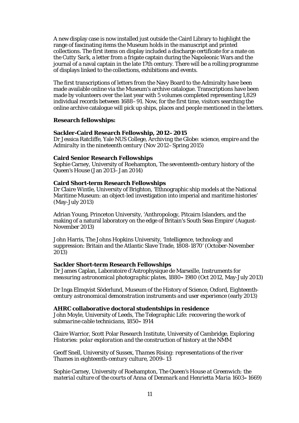A new display case is now installed just outside the Caird Library to highlight the range of fascinating items the Museum holds in the manuscript and printed collections. The first items on display included a discharge certificate for a mate on the *Cutty Sark*, a letter from a frigate captain during the Napoleonic Wars and the journal of a naval captain in the late 17th century. There will be a rolling programme of displays linked to the collections, exhibitions and events.

The first transcriptions of letters from the Navy Board to the Admiralty have been made available online via the Museum's archive catalogue. Transcriptions have been made by volunteers over the last year with 5 volumes completed representing 1,829 individual records between 1688–91. Now, for the first time, visitors searching the online archive catalogue will pick up ships, places and people mentioned in the letters.

#### **Research fellowships:**

## **Sackler-Caird Research Fellowship, 2012–2015**

Dr Jessica Ratcliffe, Yale NUS College, *Archiving the Globe: science, empire and the Admiralty in the nineteenth century* (Nov 2012–Spring 2015)

#### **Caird Senior Research Fellowships**

Sophie Carney, University of Roehampton, *The seventeenth-century history of the Queen's House* (Jan 2013–Jan 2014)

#### **Caird Short-term Research Fellowships**

Dr Claire Wintle, University of Brighton, 'Ethnographic ship models at the National Maritime Museum: an object-led investigation into imperial and maritime histories' (May-July 2013)

Adrian Young, Princeton University, 'Anthropology, Pitcairn Islanders, and the making of a natural laboratory on the edge of Britain's South Seas Empire' (August-November 2013)

John Harris, The Johns Hopkins University, 'Intelligence, technology and suppression: Britain and the Atlantic Slave Trade, 1808-1870' (October-November 2013)

#### **Sackler Short-term Research Fellowships**

Dr James Caplan, Laboratoire d'Astrophysique de Marseille, *Instruments for measuring astronomical photographic plates, 1880***–***198*0 (Oct 2012, May-July 2013)

Dr Inga Elmqvist Söderlund, Museum of the History of Science, Oxford, *Eighteenthcentury astronomical demonstration instruments and user experience* (early 2013)

#### **AHRC collaborative doctoral studentships in residence**

John Moyle, University of Leeds, *The Telegraphic Life: recovering the work of submarine cable technicians, 1850***–***1914*

Claire Warrior, Scott Polar Research Institute, University of Cambridge, *Exploring Histories: polar exploration and the construction of history at the NMM*

Geoff Snell, University of Sussex, *Thames Rising: representations of the river Thames in eighteenth-century culture, 2009–13*

Sophie Carney, University of Roehampton, *The Queen's House at Greenwich: the material culture of the courts of Anna of Denmark and Henrietta Maria 1603***–***1669)*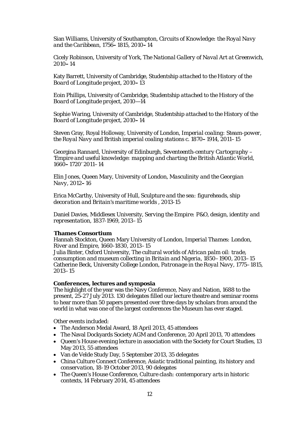Sian Williams, University of Southampton, *Circuits of Knowledge: the Royal Navy and the Caribbean, 1756***–***1815, 2010***–***14*

Cicely Robinson, University of York, *The National Gallery of Naval Art at Greenwich, 2010***–***14*

Katy Barrett, University of Cambridge, *Studentship attached to the History of the Board of Longitude project, 2010***–***13*

Eoin Phillips, University of Cambridge, *Studentship attached to the History of the Board of Longitude project, 2010—14*

Sophie Waring, University of Cambridge, *Studentship attached to the History of the Board of Longitude project, 2010***–***14*

Steven Gray, Royal Holloway, University of London*, Imperial coaling: Steam-power, the Royal Navy and British imperial coaling stations c. 1870***–***1914, 2011–15*

Georgina Rannard, University of Edinburgh, *Seventeenth-century Cartography – 'Empire and useful knowledge: mapping and charting the British Atlantic World, 1660***–***1720'* 2011–14

Elin Jones, Queen Mary, University of London, *Masculinity and the Georgian Navy, 2012***–***16*

Erica McCarthy, University of Hull, *Sculpture and the sea: figureheads, ship decoration and Britain's maritime worlds* , 2013-15

Daniel Davies, Middlesex University, *Serving the Empire: P&O, design, identity and representation, 1837-1969*, 2013–15

#### **Thames Consortium**

Hannah Stockton, Queen Mary University of London, *Imperial Thames: London, River and Empire, 1660-1830*, 2013–15

Julia Binter, Oxford University, *The cultural worlds of African palm oil: trade, consumption and museum collecting in Britain and Nigeria, 1850–1900*, 2013–15 Catherine Beck, University College London, *Patronage in the Royal Navy, 1775–1815*, 2013–15

## **Conferences, lectures and symposia**

The highlight of the year was the Navy Conference, Navy and Nation, 1688 to the present, 25-27 July 2013. 130 delegates filled our lecture theatre and seminar rooms to hear more than 50 papers presented over three days by scholars from around the world in what was one of the largest conferences the Museum has ever staged.

Other events included:

- The Anderson Medal Award, 18 April 2013, 45 attendees
- The Naval Dockyards Society AGM and Conference, 20 April 2013, 70 attendees
- Queen's House evening lecture in association with the Society for Court Studies, 13 May 2013, 55 attendees
- Van de Velde Study Day, 5 September 2013, 35 delegates
- China Culture Connect Conference, *Asiatic traditional painting, its history and conservation*, 18-19 October 2013, 90 delegates
- The Queen's House Conference, *Culture clash: contemporary arts in historic contexts*, 14 February 2014, 45 attendees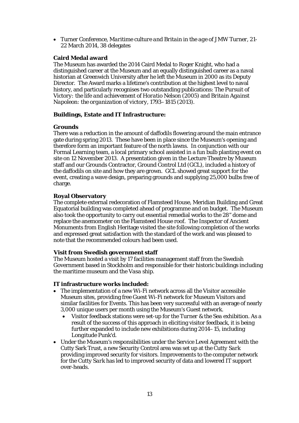• Turner Conference, *Maritime culture and Britain in the age of JMW Turner*, 21- 22 March 2014, 38 delegates

# **Caird Medal award**

The Museum has awarded the 2014 Caird Medal to Roger Knight, who had a distinguished career at the Museum and an equally distinguished career as a naval historian at Greenwich University after he left the Museum in 2000 as its Deputy Director. The Award marks a lifetime's contribution at the highest level to naval history, and particularly recognises two outstanding publications: *The Pursuit of Victory: the life and achievement of Horatio Nelson* (2005) and *Britain Against Napoleon: the organization of victory, 1793–1815* (2013).

## **Buildings, Estate and IT Infrastructure:**

## **Grounds**

There was a reduction in the amount of daffodils flowering around the main entrance gate during spring 2013. These have been in place since the Museum's opening and therefore form an important feature of the north lawns. In conjunction with our Formal Learning team, a local primary school assisted in a fun bulb planting event on site on 12 November 2013. A presentation given in the Lecture Theatre by Museum staff and our Grounds Contractor, Ground Control Ltd (GCL), included a history of the daffodils on site and how they are grown. GCL showed great support for the event, creating a wave design, preparing grounds and supplying 25,000 bulbs free of charge.

## **Royal Observatory**

The complete external redecoration of Flamsteed House, Meridian Building and Great Equatorial building was completed ahead of programme and on budget. The Museum also took the opportunity to carry out essential remedial works to the 28" dome and replace the anemometer on the Flamsteed House roof. The Inspector of Ancient Monuments from English Heritage visited the site following completion of the works and expressed great satisfaction with the standard of the work and was pleased to note that the recommended colours had been used.

## **Visit from Swedish government staff**

The Museum hosted a visit by 17 facilities management staff from the Swedish Government based in Stockholm and responsible for their historic buildings including the maritime museum and the *Vasa* ship.

## **IT infrastructure works included:**

- The implementation of a new Wi-Fi network across all the Visitor accessible Museum sites, providing free Guest Wi-Fi network for Museum Visitors and similar facilities for Events. This has been very successful with an average of nearly 3,000 unique users per month using the Museum's Guest network.
	- Visitor feedback stations were set-up for the *Turner & the Sea* exhibition. As a result of the success of this approach in eliciting visitor feedback, it is being further expanded to include new exhibitions during 2014–15, including *Longitude Punk'd*.
- Under the Museum's responsibilities under the Service Level Agreement with the Cutty Sark Trust, a new Security Control area was set up at the *Cutty Sark* providing improved security for visitors. Improvements to the computer network for the *Cutty Sark* has led to improved security of data and lowered IT support over-heads.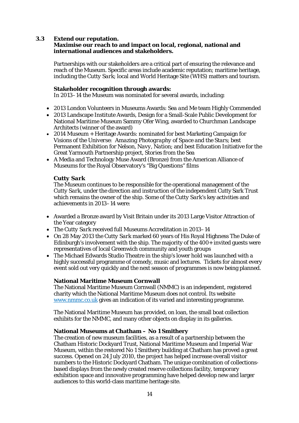# **3.3 Extend our reputation.**

## **Maximise our reach to and impact on local, regional, national and international audiences and stakeholders.**

Partnerships with our stakeholders are a critical part of ensuring the relevance and reach of the Museum. Specific areas include academic reputation; maritime heritage, including the *Cutty Sark*; local and World Heritage Site (WHS) matters and tourism.

## **Stakeholder recognition through awards:**

In 2013–14 the Museum was nominated for several awards, including:

- 2013 London Volunteers in Museums Awards: *Sea and Me* team Highly Commended
- 2013 Landscape Institute Awards, Design for a Small-Scale Public Development for National Maritime Museum Sammy Ofer Wing, awarded to Churchman Landscape Architects (winner of the award)
- 2014 Museum + Heritage Awards: nominated for best Marketing Campaign for *Visions of the Universe: Amazing Photography of Space and the Stars*; best Permanent Exhibition for *Nelson, Navy, Nation*; and best Education Initiative for the Great Yarmouth Partnership project, *Stories from the Sea*
- A Media and Technology Muse Award (Bronze) from the American Alliance of Museums for the Royal Observatory's "Big Questions" films

## *Cutty Sark*

The Museum continues to be responsible for the operational management of the *Cutty Sark*, under the direction and instruction of the independent Cutty Sark Trust which remains the owner of the ship. Some of the *Cutty Sark*'s key activities and achievements in 2013–14 were:

- Awarded a Bronze award by Visit Britain under its 2013 Large Visitor Attraction of the Year category
- The *Cutty Sark* received full Museums Accreditation in 2013–14
- On 28 May 2013 the *Cutty Sark* marked 60 years of His Royal Highness The Duke of Edinburgh's involvement with the ship. The majority of the 400+ invited guests were representatives of local Greenwich community and youth groups
- The Michael Edwards Studio Theatre in the ship's lower hold was launched with a highly successful programme of comedy, music and lectures. Tickets for almost every event sold out very quickly and the next season of programmes is now being planned.

# **National Maritime Museum Cornwall**

The National Maritime Museum Cornwall (NMMC) is an independent, registered charity which the National Maritime Museum does not control. Its website [www.nmmc.co.uk](http://www.nmmc.co.uk/) gives an indication of its varied and interesting programme.

The National Maritime Museum has provided, on loan, the small boat collection exhibits for the NMMC, and many other objects on display in its galleries.

## **National Museums at Chatham – No 1 Smithery**

The creation of new museum facilities, as a result of a partnership between the Chatham Historic Dockyard Trust, National Maritime Museum and Imperial War Museum, within the restored No 1 Smithery building at Chatham has proved a great success. Opened on 24 July 2010, the project has helped increase overall visitor numbers to the Historic Dockyard Chatham. The unique combination of collectionsbased displays from the newly created reserve collections facility, temporary exhibition space and innovative programming have helped develop new and larger audiences to this world-class maritime heritage site.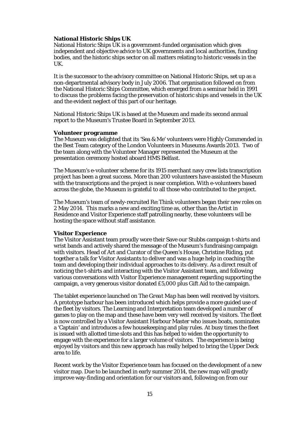## **National Historic Ships UK**

National Historic Ships UK is a government-funded organisation which gives independent and objective advice to UK governments and local authorities, funding bodies, and the historic ships sector on all matters relating to historic vessels in the UK.

It is the successor to the advisory committee on National Historic Ships, set up as a non-departmental advisory body in July 2006. That organisation followed on from the National Historic Ships Committee, which emerged from a seminar held in 1991 to discuss the problems facing the preservation of historic ships and vessels in the UK and the evident neglect of this part of our heritage.

National Historic Ships UK is based at the Museum and made its second annual report to the Museum's Trustee Board in September 2013.

#### **Volunteer programme**

The Museum was delighted that its 'Sea & Me' volunteers were Highly Commended in the Best Team category of the London Volunteers in Museums Awards 2013. Two of the team along with the Volunteer Manager represented the Museum at the presentation ceremony hosted aboard *HMS Belfast*.

The Museum's e-volunteer scheme for its 1915 merchant navy crew lists transcription project has been a great success. More than 200 volunteers have assisted the Museum with the transcriptions and the project is near completion. With e-volunteers based across the globe, the Museum is grateful to all those who contributed to the project.

The Museum's team of newly-recruited *Re:Think* volunteers began their new roles on 2 May 2014. This marks a new and exciting time as, other than the Artist in Residence and Visitor Experience staff patrolling nearby, these volunteers will be hosting the space without staff assistance.

#### **Visitor Experience**

The Visitor Assistant team proudly wore their Save our Stubbs campaign t-shirts and wrist bands and actively shared the message of the Museum's fundraising campaign with visitors. Head of Art and Curator of the Queen's House, Christine Riding, put together a talk for Visitor Assistants to deliver and was a huge help in coaching the team and developing their individual approaches to its delivery. As a direct result of noticing the t-shirts and interacting with the Visitor Assistant team, and following various conversations with Visitor Experience management regarding supporting the campaign, a very generous visitor donated £5,000 plus Gift Aid to the campaign.

The tablet experience launched on *The Great Map* has been well received by visitors. A prototype harbour has been introduced which helps provide a more guided use of the fleet by visitors. The Learning and Interpretation team developed a number of games to play on the map and these have been very well received by visitors. The fleet is now controlled by a Visitor Assistant Harbour Master who issues boats, nominates a 'Captain' and introduces a few housekeeping and play rules. At busy times the fleet is issued with allotted time slots and this has helped to widen the opportunity to engage with the experience for a larger volume of visitors. The experience is being enjoyed by visitors and this new approach has really helped to bring the Upper Deck area to life.

Recent work by the Visitor Experience team has focused on the development of a new visitor map. Due to be launched in early summer 2014, the new map will greatly improve way-finding and orientation for our visitors and, following on from our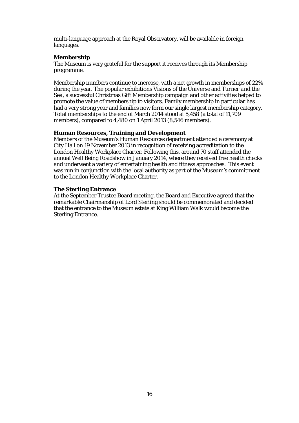multi-language approach at the Royal Observatory, will be available in foreign languages.

# **Membership**

The Museum is very grateful for the support it receives through its Membership programme.

Membership numbers continue to increase, with a net growth in memberships of 22% during the year. The popular exhibitions *Visions of the Universe* and *Turner and the Sea*, a successful Christmas Gift Membership campaign and other activities helped to promote the value of membership to visitors. Family membership in particular has had a very strong year and families now form our single largest membership category. Total memberships to the end of March 2014 stood at 5,458 (a total of 11,709 members), compared to 4,480 on 1 April 2013 (8,546 members).

## **Human Resources, Training and Development**

Members of the Museum's Human Resources department attended a ceremony at City Hall on 19 November 2013 in recognition of receiving accreditation to the London Healthy Workplace Charter. Following this, around 70 staff attended the annual Well Being Roadshow in January 2014, where they received free health checks and underwent a variety of entertaining health and fitness approaches. This event was run in conjunction with the local authority as part of the Museum's commitment to the London Healthy Workplace Charter.

## **The Sterling Entrance**

At the September Trustee Board meeting, the Board and Executive agreed that the remarkable Chairmanship of Lord Sterling should be commemorated and decided that the entrance to the Museum estate at King William Walk would become the Sterling Entrance.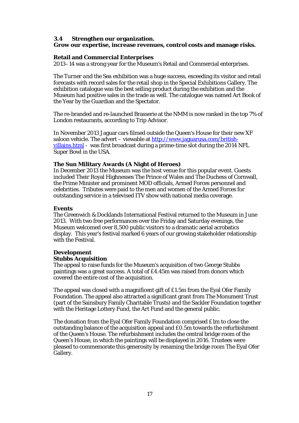# **3.4 Strengthen our organization.**

# **Grow our expertise, increase revenues, control costs and manage risks.**

# **Retail and Commercial Enterprises**

2013–14 was a strong year for the Museum's Retail and Commercial enterprises.

The *Turner and the Sea* exhibition was a huge success, exceeding its visitor and retail forecasts with record sales for the retail shop in the Special Exhibitions Gallery. The exhibition catalogue was the best selling product during the exhibition and the Museum had positive sales in the trade as well. The catalogue was named Art Book of the Year by the Guardian and the Spectator.

The re-branded and re-launched Brasserie at the NMM is now ranked in the top 7% of London restaurants, according to Trip Advisor.

In November 2013 Jaguar cars filmed outside the Queen's House for their new XF saloon vehicle. The advert – viewable at  $http://www.jaguarusa.com/british$ [villains.html](http://www.jaguarusa.com/british-villains.html%20-) - was first broadcast during a prime-time slot during the 2014 NFL Super Bowl in the USA.

# **The Sun Military Awards (A Night of Heroes)**

In December 2013 the Museum was the host venue for this popular event. Guests included Their Royal Highnesses The Prince of Wales and The Duchess of Cornwall, the Prime Minister and prominent MOD officials, Armed Forces personnel and celebrities. Tributes were paid to the men and women of the Armed Forces for outstanding service in a televised ITV show with national media coverage.

# **Events**

The Greenwich & Docklands International Festival returned to the Museum in June 2013. With two free performances over the Friday and Saturday evenings, the Museum welcomed over 8,500 public visitors to a dramatic aerial acrobatics display. This year's festival marked 6 years of our growing stakeholder relationship with the Festival.

# **Development**

# **Stubbs Acquisition**

The appeal to raise funds for the Museum's acquisition of two George Stubbs paintings was a great success. A total of £4.45m was raised from donors which covered the entire cost of the acquisition.

The appeal was closed with a magnificent gift of £1.5m from the Eyal Ofer Family Foundation. The appeal also attracted a significant grant from The Monument Trust (part of the Sainsbury Family Charitable Trusts) and the Sackler Foundation together with the Heritage Lottery Fund, the Art Fund and the general public.

The donation from the Eyal Ofer Family Foundation comprised £1m to close the outstanding balance of the acquisition appeal and £0.5m towards the refurbishment of the Queen's House. The refurbishment includes the central bridge room of the Queen's House, in which the paintings will be displayed in 2016. Trustees were pleased to commemorate this generosity by renaming the bridge room The Eyal Ofer Gallery.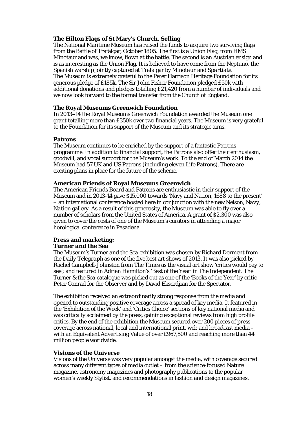## **The Hilton Flags of St Mary's Church, Selling**

The National Maritime Museum has raised the funds to acquire two surviving flags from the Battle of Trafalgar, October 1805. The first is a Union Flag, from HMS Minotaur and was, we know, flown at the battle. The second is an Austrian ensign and is as interesting as the Union Flag. It is believed to have come from the *Neptuno*, the Spanish warship jointly captured at Trafalgar by *Minotaur* and *Spartiate*. The Museum is extremely grateful to the Peter Harrison Heritage Foundation for its generous pledge of £185k. The Sir John Fisher Foundation pledged £50k with additional donations and pledges totalling £21,420 from a number of individuals and we now look forward to the formal transfer from the Church of England.

## **The Royal Museums Greenwich Foundation**

In 2013--14 the Royal Museums Greenwich Foundation awarded the Museum one grant totalling more than £350k over two financial years. The Museum is very grateful to the Foundation for its support of the Museum and its strategic aims.

#### **Patrons**

The Museum continues to be enriched by the support of a fantastic Patrons programme. In addition to financial support, the Patrons also offer their enthusiasm, goodwill, and vocal support for the Museum's work. To the end of March 2014 the Museum had 57 UK and US Patrons (including eleven Life Patrons). There are exciting plans in place for the future of the scheme.

#### **American Friends of Royal Museums Greenwich**

The American Friends Board and Patrons are enthusiastic in their support of the Museum and in 2013-14 gave \$15,000 towards 'Navy and Nation, 1688 to the present' – an international conference hosted here in conjunction with the new *Nelson, Navy, Nation* gallery. As a result of this generosity, the Museum was able to fly over a number of scholars from the United States of America. A grant of \$2,300 was also given to cover the costs of one of the Museum's curators in attending a major horological conference in Pasadena.

# **Press and marketing:**

## *Turner and the Sea*

The Museum's *Turner and the Sea* exhibition was chosen by Richard Dorment from the *Daily Telegraph* as one of the five best art shows of 2013. It was also picked by Rachel Campbell-Johnston from The Times as the visual art show 'critics would pay to see'; and featured in Adrian Hamilton's 'Best of the Year' in The Independent. The *Turner & the Sea* catalogue was picked out as one of the 'Books of the Year' by critic Peter Conrad for the Observer and by David Ekserdjian for the Spectator.

The exhibition received an extraordinarily strong response from the media and opened to outstanding positive coverage across a spread of key media. It featured in the 'Exhibition of the Week' and 'Critics Choice' sections of key national media and was critically acclaimed by the press, gaining exceptional reviews from high profile critics. By the end of the exhibition the Museum secured over 200 pieces of press coverage across national, local and international print, web and broadcast media – with an Equivalent Advertising Value of over £967,500 and reaching more than 44 million people worldwide.

## *Visions of the Universe*

*Visions of the Universe* was very popular amongst the media, with coverage secured across many different types of media outlet – from the science-focused Nature magazine, astronomy magazines and photography publications to the popular women's weekly Stylist, and recommendations in fashion and design magazines.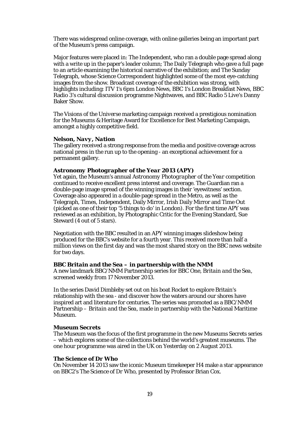There was widespread online coverage, with online galleries being an important part of the Museum's press campaign.

Major features were placed in: The Independent, who ran a double page spread along with a write up in the paper's leader column; The Daily Telegraph who gave a full page to an article examining the historical narrative of the exhibition; and The Sunday Telegraph, whose Science Correspondent highlighted some of the most eye-catching images from the show. Broadcast coverage of the exhibition was strong, with highlights including: ITV 1's 6pm London News, BBC 1's London Breakfast News, BBC Radio 3's cultural discussion programme Nightwaves, and BBC Radio 5 Live's Danny Baker Show.

The *Visions of the Universe* marketing campaign received a prestigious nomination for the Museums & Heritage Award for Excellence for Best Marketing Campaign, amongst a highly competitive field.

#### *Nelson, Navy, Nation*

The gallery received a strong response from the media and positive coverage across national press in the run up to the opening - an exceptional achievement for a permanent gallery.

#### *Astronomy Photographer of the Year 2013 (APY)*

Yet again, the Museum's annual *Astronomy Photographer of the Year* competition continued to receive excellent press interest and coverage. The Guardian ran a double-page image spread of the winning images in their 'eyewitness' section. Coverage also appeared in a double-page spread in the Metro, as well as the Telegraph, Times, Independent, Daily Mirror, Irish Daily Mirror and Time Out (picked as one of their top '5 things to do' in London). For the first time *APY* was reviewed as an exhibition, by Photographic Critic for the Evening Standard, Sue Steward (4 out of 5 stars).

Negotiation with the BBC resulted in an *APY* winning images slideshow being produced for the BBC's website for a fourth year. This received more than half a million views on the first day and was the most shared story on the BBC news website for two days.

#### *BBC Britain and the Sea –* **in partnership with the NMM**

A new landmark BBC/NMM Partnership series for BBC One, *Britain and the Sea*, screened weekly from 17 November 2013.

In the series David Dimbleby set out on his boat Rocket to explore Britain's relationship with the sea - and discover how the waters around our shores have inspired art and literature for centuries. The series was promoted as a BBC/NMM Partnership – *Britain and the Sea*, made in partnership with the National Maritime Museum.

#### *Museum Secrets*

The Museum was the focus of the first programme in the new *Museums Secrets* series – which explores some of the collections behind the world's greatest museums. The one hour programme was aired in the UK on Yesterday on 2 August 2013.

# *The Science of Dr Who*

On November 14 2013 saw the iconic Museum timekeeper H4 make a star appearance on BBC2's *The Science of Dr Who*, presented by Professor Brian Cox.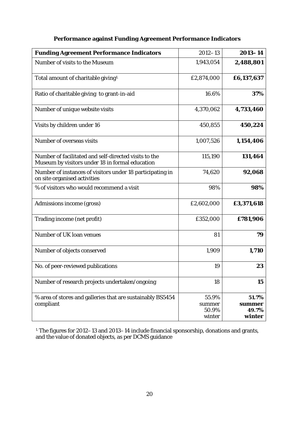| <b>Funding Agreement Performance Indicators</b>                                                          | $2012 - 13$                        | $2013 - 14$                        |
|----------------------------------------------------------------------------------------------------------|------------------------------------|------------------------------------|
| Number of visits to the Museum                                                                           | 1,943,054                          | 2,488,801                          |
| Total amount of charitable giving <sup>1.</sup>                                                          | £2,874,000                         | £6,137,637                         |
| Ratio of charitable giving to grant-in-aid                                                               | 16.6%                              | 37%                                |
| Number of unique website visits                                                                          | 4,370,062                          | 4,733,460                          |
| Visits by children under 16                                                                              | 450,855                            | 450,224                            |
| Number of overseas visits                                                                                | 1,007,526                          | 1,154,406                          |
| Number of facilitated and self-directed visits to the<br>Museum by visitors under 18 in formal education | 115,190                            | 131,464                            |
| Number of instances of visitors under 18 participating in<br>on site organised activities                | 74,620                             | 92,068                             |
| % of visitors who would recommend a visit                                                                | 98%                                | 98%                                |
| Admissions income (gross)                                                                                | £2,602,000                         | £3,371,618                         |
| Trading income (net profit)                                                                              | £352,000                           | £781,906                           |
| Number of UK loan venues                                                                                 | 81                                 | 79                                 |
| Number of objects conserved                                                                              | 1,909                              | 1,710                              |
| No. of peer-reviewed publications                                                                        | 19                                 | 23                                 |
| Number of research projects undertaken/ongoing                                                           | 18                                 | 15                                 |
| % area of stores and galleries that are sustainably BS5454<br>compliant                                  | 55.9%<br>summer<br>50.9%<br>winter | 51.7%<br>summer<br>49.7%<br>winter |

# **Performance against Funding Agreement Performance Indicators**

1. The figures for 2012–13 and 2013–14 include financial sponsorship, donations and grants, and the value of donated objects, as per DCMS guidance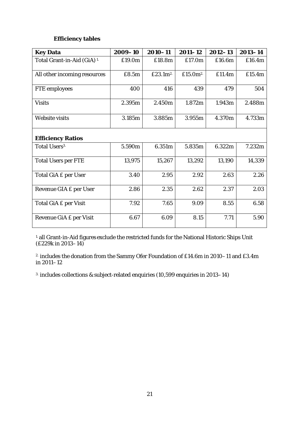# **Efficiency tables**

| <b>Key Data</b>                        | 2009-10 | $2010 - 11$          | $2011 - 12$ | $2012 - 13$ | $2013 - 14$ |  |  |  |
|----------------------------------------|---------|----------------------|-------------|-------------|-------------|--|--|--|
| Total Grant-in-Aid (GiA) <sup>1.</sup> | £19.0m  | £18.8m               | £17.0m      | £16.6m      | £16.4m      |  |  |  |
| All other incoming resources           | £8.5m   | £23.1m <sup>2.</sup> | £15.0 $m^2$ | £11.4m      | £15.4m      |  |  |  |
| <b>FTE</b> employees                   | 400     | 416                  | 439         | 479         | 504         |  |  |  |
| <b>Visits</b>                          | 2.395m  | 2.450m               | 1.872m      | 1.943m      | 2.488m      |  |  |  |
| Website visits                         | 3.185m  | 3.885m               | 3.955m      | 4.370m      | 4.733m      |  |  |  |
| <b>Efficiency Ratios</b>               |         |                      |             |             |             |  |  |  |
| Total Users <sup>3.</sup>              | 5.590m  | 6.351m               | 5.835m      | 6.322m      | 7.232m      |  |  |  |
| <b>Total Users per FTE</b>             | 13,975  | 15,267               | 13,292      | 13,190      | 14,339      |  |  |  |
| Total GiA £ per User                   | 3.40    | 2.95                 | 2.92        | 2.63        | 2.26        |  |  |  |
| Revenue GIA £ per User                 | 2.86    | 2.35                 | 2.62        | 2.37        | 2.03        |  |  |  |
| Total GiA £ per Visit                  | 7.92    | 7.65                 | 9.09        | 8.55        | 6.58        |  |  |  |
| Revenue GiA £ per Visit                | 6.67    | 6.09                 | 8.15        | 7.71        | 5.90        |  |  |  |

1. all Grant-in-Aid figures exclude the restricted funds for the National Historic Ships Unit (£229k in 2013–14)

2. includes the donation from the Sammy Ofer Foundation of £14.6m in 2010–11 and £3.4m in 2011–12

3. includes collections & subject-related enquiries (10,599 enquiries in 2013–14)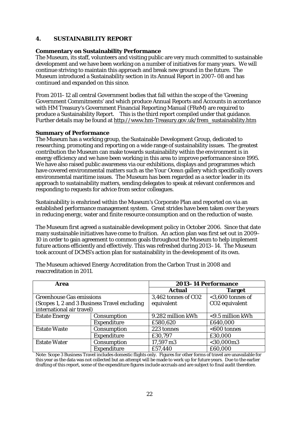# **4. SUSTAINABILITY REPORT**

# **Commentary on Sustainability Performance**

The Museum, its staff, volunteers and visiting public are very much committed to sustainable development and we have been working on a number of initiatives for many years. We will continue striving to maintain this approach and break new ground in the future. The Museum introduced a Sustainability section in its Annual Report in 2007–08 and has continued and expanded on this since.

From 2011–12 all central Government bodies that fall within the scope of the 'Greening Government Commitments' and which produce Annual Reports and Accounts in accordance with HM Treasury's Government Financial Reporting Manual (FReM) are required to produce a Sustainability Report. This is the third report compiled under that guidance. Further details may be found at [http://www.hm-Treasury.gov.uk/frem\\_sustainability.htm](http://www.hm-treasury.gov.uk/frem_sustainability.htm)

## **Summary of Performance**

The Museum has a working group, the Sustainable Development Group, dedicated to researching, promoting and reporting on a wide range of sustainability issues. The greatest contribution the Museum can make towards sustainability within the environment is in energy efficiency and we have been working in this area to improve performance since 1995. We have also raised public awareness via our exhibitions, displays and programmes which have covered environmental matters such as the *Your Ocean* gallery which specifically covers environmental maritime issues. The Museum has been regarded as a sector leader in its approach to sustainability matters, sending delegates to speak at relevant conferences and responding to requests for advice from sector colleagues.

Sustainability is enshrined within the Museum's Corporate Plan and reported on via an established performance management system. Great strides have been taken over the years in reducing energy, water and finite resource consumption and on the reduction of waste.

The Museum first agreed a sustainable development policy in October 2006. Since that date many sustainable initiatives have come to fruition. An action plan was first set out in 2009– 10 in order to gain agreement to common goals throughout the Museum to help implement future actions efficiently and effectively. This was refreshed during 2013–14. The Museum took account of DCMS's action plan for sustainability in the development of its own.

| Area                                         |                    | 2013-14 Performance |                            |  |  |
|----------------------------------------------|--------------------|---------------------|----------------------------|--|--|
|                                              |                    | <b>Actual</b>       | <b>Target</b>              |  |  |
| <b>Greenhouse Gas emissions</b>              |                    | 3,462 tonnes of CO2 | $<$ 3,600 tonnes of        |  |  |
| (Scopes 1, 2 and 3 Business Travel excluding |                    | equivalent          | CO <sub>2</sub> equivalent |  |  |
| international air travel)                    |                    |                     |                            |  |  |
| <b>Estate Energy</b>                         | Consumption        | 9.282 million kWh   | <9.5 million kWh           |  |  |
|                                              | <b>Expenditure</b> | £580,620            | £640,000                   |  |  |
| <b>Estate Waste</b>                          | Consumption        | 223 tonnes          | $<$ 600 tonnes             |  |  |
|                                              | Expenditure        | £30,797             | £30,000                    |  |  |
| <b>Estate Water</b>                          | Consumption        | 17,597 m3           | $<$ 30,000m3               |  |  |
|                                              | Expenditure        | £57,440             | £60,000                    |  |  |

The Museum achieved Energy Accreditation from the Carbon Trust in 2008 and reaccreditation in 2011.

Note: Scope 3 Business Travel includes domestic flights only. Figures for other forms of travel are unavailable for this year as the data was not collected but an attempt will be made to work up for future years. Due to the earlier drafting of this report, some of the expenditure figures include accruals and are subject to final audit therefore.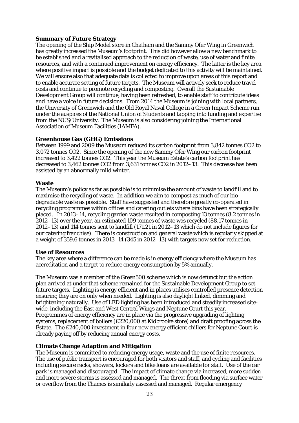# **Summary of Future Strategy**

The opening of the Ship Model store in Chatham and the Sammy Ofer Wing in Greenwich has greatly increased the Museum's footprint. This did however allow a new benchmark to be established and a revitalised approach to the reduction of waste, use of water and finite resources, and with a continued improvement on energy efficiency. The latter is the key area where positive impact is possible and the budget dedicated to this activity will be maintained. We will ensure also that adequate data is collected to improve upon areas of this report and to enable accurate setting of future targets. The Museum will actively seek to reduce travel costs and continue to promote recycling and composting. Overall the Sustainable Development Group will continue, having been refreshed, to enable staff to contribute ideas and have a voice in future decisions. From 2014 the Museum is joining with local partners, the University of Greenwich and the Old Royal Naval College in a Green Impact Scheme run under the auspices of the National Union of Students and tapping into funding and expertise from the NUS/University. The Museum is also considering joining the International Association of Museum Facilities (IAMFA).

## **Greenhouse Gas (GHG) Emissions**

Between 1999 and 2009 the Museum reduced its carbon footprint from 3,842 tonnes CO2 to 3,072 tonnes CO2. Since the opening of the new Sammy Ofer Wing our carbon footprint increased to 3,422 tonnes CO2. This year the Museum Estate's carbon footprint has decreased to 3,462 tonnes CO2 from 3,631 tonnes CO2 in 2012–13. This decrease has been assisted by an abnormally mild winter.

## **Waste**

The Museum's policy as far as possible is to minimise the amount of waste to landfill and to maximise the recycling of waste. In addition we aim to compost as much of our biodegradable waste as possible. Staff have suggested and therefore greatly co-operated in recycling programmes within offices and catering outlets where bins have been strategically placed. In 2013–14, recycling garden waste resulted in composting 13 tonnes (8.2 tonnes in 2012–13) over the year, an estimated 109 tonnes of waste was recycled (88.17 tonnes in 2012–13) and 114 tonnes sent to landfill (171.21 in 2012–13 which do not include figures for our catering franchise). There is construction and general waste which is regularly skipped at a weight of 359.6 tonnes in 2013–14 (345 in 2012–13) with targets now set for reduction.

## **Use of Resources**

The key area where a difference can be made is in energy efficiency where the Museum has accreditation and a target to reduce energy consumption by 5% annually.

The Museum was a member of the Green500 scheme which is now defunct but the action plan arrived at under that scheme remained for the Sustainable Development Group to set future targets. Lighting is energy efficient and in places utilises controlled presence detection ensuring they are on only when needed. Lighting is also daylight linked, dimming and brightening naturally. Use of LED lighting has been introduced and steadily increased sitewide, including the East and West Central Wings and Neptune Court this year. Programmes of energy efficiency are in place via the progressive upgrading of lighting systems, replacement of boilers (£220,000 at Kidbrooke store) and draft proofing across the Estate. The £240,000 investment in four new energy efficient chillers for Neptune Court is already paying off by reducing annual energy costs.

# **Climate Change Adaption and Mitigation**

The Museum is committed to reducing energy usage, waste and the use of finite resources. The use of public transport is encouraged for both visitors and staff, and cycling and facilities including secure racks, showers, lockers and bike loans are available for staff. Use of the car park is managed and discouraged. The impact of climate change via increased, more sudden and more severe storms is assessed and managed. The threat from flooding via surface water or overflow from the Thames is similarly assessed and managed. Regular emergency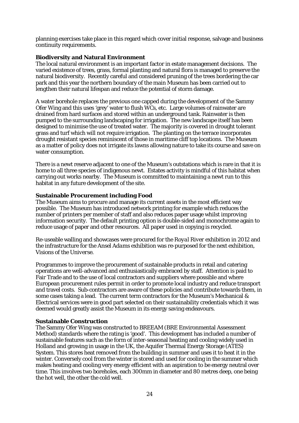planning exercises take place in this regard which cover initial response, salvage and business continuity requirements.

# **Biodiversity and Natural Environment**

The local natural environment is an important factor in estate management decisions. The varied existence of trees, grass, formal planting and natural flora is managed to preserve the natural biodiversity. Recently careful and considered pruning of the trees bordering the car park and this year the northern boundary of the main Museum has been carried out to lengthen their natural lifespan and reduce the potential of storm damage.

A water borehole replaces the previous one capped during the development of the Sammy Ofer Wing and this uses 'grey' water to flush WCs, etc. Large volumes of rainwater are drained from hard surfaces and stored within an underground tank. Rainwater is then pumped to the surrounding landscaping for irrigation. The new landscape itself has been designed to minimise the use of treated water. The majority is covered in drought tolerant grass and turf which will not require irrigation. The planting on the terrace incorporates drought resistant species reminiscent of those in maritime cliff top locations. The Museum as a matter of policy does not irrigate its lawns allowing nature to take its course and save on water consumption.

There is a newt reserve adjacent to one of the Museum's outstations which is rare in that it is home to all three species of indigenous newt. Estates activity is mindful of this habitat when carrying out works nearby. The Museum is committed to maintaining a newt run to this habitat in any future development of the site.

# **Sustainable Procurement including Food**

The Museum aims to procure and manage its current assets in the most efficient way possible. The Museum has introduced network printing for example which reduces the number of printers per member of staff and also reduces paper usage whilst improving information security. The default printing option is double-sided and monochrome again to reduce usage of paper and other resources. All paper used in copying is recycled.

Re-useable walling and showcases were procured for the *Royal River* exhibition in 2012 and the infrastructure for the *Ansel Adams* exhibition was re-purposed for the next exhibition, *Visions of the Universe*.

Programmes to improve the procurement of sustainable products in retail and catering operations are well-advanced and enthusiastically embraced by staff. Attention is paid to Fair Trade and to the use of local contractors and suppliers where possible and where European procurement rules permit in order to promote local industry and reduce transport and travel costs. Sub-contractors are aware of these policies and contribute towards them, in some cases taking a lead. The current term contractors for the Museum's Mechanical & Electrical services were in good part selected on their sustainability credentials which it was deemed would greatly assist the Museum in its energy saving endeavours.

# **Sustainable Construction**

The Sammy Ofer Wing was constructed to BREEAM (BRE Environmental Assessment Method) standards where the rating is 'good'. This development has included a number of sustainable features such as the form of inter-seasonal heating and cooling widely used in Holland and growing in usage in the UK, the Aquifer Thermal Energy Storage (ATES) System. This stores heat removed from the building in summer and uses it to heat it in the winter. Conversely cool from the winter is stored and used for cooling in the summer which makes heating and cooling very energy efficient with an aspiration to be energy neutral over time. This involves two boreholes, each 300mm in diameter and 80 metres deep, one being the hot well, the other the cold well.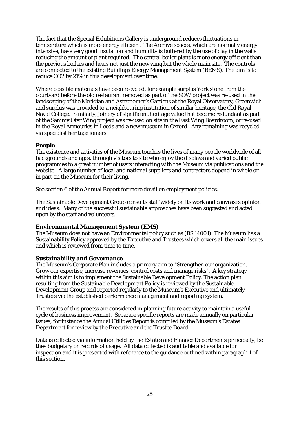The fact that the Special Exhibitions Gallery is underground reduces fluctuations in temperature which is more energy efficient. The Archive spaces, which are normally energy intensive, have very good insulation and humidity is buffered by the use of clay in the walls reducing the amount of plant required. The central boiler plant is more energy efficient than the previous boilers and heats not just the new wing but the whole main site. The controls are connected to the existing Buildings Energy Management System (BEMS). The aim is to reduce CO2 by 21% in this development over time.

Where possible materials have been recycled, for example surplus York stone from the courtyard before the old restaurant removed as part of the SOW project was re-used in the landscaping of the Meridian and Astronomer's Gardens at the Royal Observatory, Greenwich and surplus was provided to a neighbouring institution of similar heritage, the Old Royal Naval College. Similarly, joinery of significant heritage value that became redundant as part of the Sammy Ofer Wing project was re-used on site in the East Wing Boardroom, or re-used in the Royal Armouries in Leeds and a new museum in Oxford. Any remaining was recycled via specialist heritage joiners.

# **People**

The existence and activities of the Museum touches the lives of many people worldwide of all backgrounds and ages, through visitors to site who enjoy the displays and varied public programmes to a great number of users interacting with the Museum via publications and the website. A large number of local and national suppliers and contractors depend in whole or in part on the Museum for their living.

See section 6 of the Annual Report for more detail on employment policies.

The Sustainable Development Group consults staff widely on its work and canvasses opinion and ideas. Many of the successful sustainable approaches have been suggested and acted upon by the staff and volunteers.

# **Environmental Management System (EMS)**

The Museum does not have an Environmental policy such as (BS 14001). The Museum has a Sustainability Policy approved by the Executive and Trustees which covers all the main issues and which is reviewed from time to time.

## **Sustainability and Governance**

The Museum's Corporate Plan includes a primary aim to "Strengthen our organization. Grow our expertise, increase revenues, control costs and manage risks". A key strategy within this aim is to implement the Sustainable Development Policy. The action plan resulting from the Sustainable Development Policy is reviewed by the Sustainable Development Group and reported regularly to the Museum's Executive and ultimately Trustees via the established performance management and reporting system.

The results of this process are considered in planning future activity to maintain a useful cycle of business improvement. Separate specific reports are made annually on particular issues, for instance the Annual Utilities Report is compiled by the Museum's Estates Department for review by the Executive and the Trustee Board.

Data is collected via information held by the Estates and Finance Departments principally, be they budgetary or records of usage. All data collected is auditable and available for inspection and it is presented with reference to the guidance outlined within paragraph 1 of this section.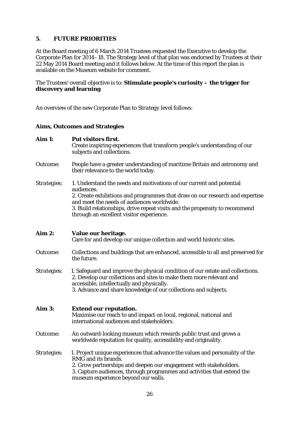# **5. FUTURE PRIORITIES**

At the Board meeting of 6 March 2014 Trustees requested the Executive to develop the Corporate Plan for 2014–18. The Strategy level of that plan was endorsed by Trustees at their 22 May 2014 Board meeting and it follows below. At the time of this report the plan is available on the Museum website for comment.

# The Trustees' overall objective is to: **Stimulate people's curiosity – the trigger for discovery and learning**

An overview of the new Corporate Plan to *Strategy level* follows:

# **Aims, Outcomes and Strategies**

| Aim 1:      | Put visitors first.<br>Create inspiring experiences that transform people's understanding of our<br>subjects and collections.                                                                                                                                                                                                               |
|-------------|---------------------------------------------------------------------------------------------------------------------------------------------------------------------------------------------------------------------------------------------------------------------------------------------------------------------------------------------|
| Outcome:    | People have a greater understanding of maritime Britain and astronomy and<br>their relevance to the world today.                                                                                                                                                                                                                            |
| Strategies: | 1. Understand the needs and motivations of our current and potential<br>audiences.<br>2. Create exhibitions and programmes that draw on our research and expertise<br>and meet the needs of audiences worldwide.<br>3. Build relationships, drive repeat visits and the propensity to recommend<br>through an excellent visitor experience. |
| Aim 2:      | Value our heritage.<br>Care for and develop our unique collection and world historic sites.                                                                                                                                                                                                                                                 |
| Outcome:    | Collections and buildings that are enhanced, accessible to all and preserved for<br>the future.                                                                                                                                                                                                                                             |
| Strategies: | 1. Safeguard and improve the physical condition of our estate and collections.<br>2. Develop our collections and sites to make them more relevant and<br>accessible, intellectually and physically.<br>3. Advance and share knowledge of our collections and subjects.                                                                      |
| Aim 3:      | <b>Extend our reputation.</b><br>Maximise our reach to and impact on local, regional, national and<br>international audiences and stakeholders.                                                                                                                                                                                             |
| Outcome:    | An outward-looking museum which rewards public trust and grows a<br>worldwide reputation for quality, accessibility and originality.                                                                                                                                                                                                        |
| Strategies: | 1. Project unique experiences that advance the values and personality of the<br>RMG and its brands.<br>2. Grow partnerships and deepen our engagement with stakeholders.<br>3. Capture audiences, through programmes and activities that extend the<br>museum experience beyond our walls.                                                  |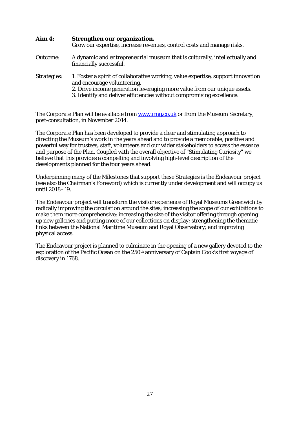| Aim 4:      | Strengthen our organization.<br>Grow our expertise, increase revenues, control costs and manage risks.                                                                                                                                                               |  |  |  |  |  |
|-------------|----------------------------------------------------------------------------------------------------------------------------------------------------------------------------------------------------------------------------------------------------------------------|--|--|--|--|--|
| Outcome:    | A dynamic and entrepreneurial museum that is culturally, intellectually and<br>financially successful.                                                                                                                                                               |  |  |  |  |  |
| Strategies: | 1. Foster a spirit of collaborative working, value expertise, support innovation<br>and encourage volunteering.<br>2. Drive income generation leveraging more value from our unique assets.<br>3. Identify and deliver efficiencies without compromising excellence. |  |  |  |  |  |

The Corporate Plan will be available fro[m www.rmg.co.uk](http://www.rmg.co.uk/) or from the Museum Secretary, post-consultation, in November 2014.

The Corporate Plan has been developed to provide a clear and stimulating approach to directing the Museum's work in the years ahead and to provide a memorable, positive and powerful way for trustees, staff, volunteers and our wider stakeholders to access the essence and purpose of the Plan. Coupled with the overall objective of "Stimulating Curiosity" we believe that this provides a compelling and involving high-level description of the developments planned for the four years ahead.

Underpinning many of the Milestones that support these Strategies is the Endeavour project (see also the Chairman's Foreword) which is currently under development and will occupy us until 2018–19.

The Endeavour project will transform the visitor experience of Royal Museums Greenwich by radically improving the circulation around the sites; increasing the scope of our exhibitions to make them more comprehensive; increasing the size of the visitor offering through opening up new galleries and putting more of our collections on display; strengthening the thematic links between the National Maritime Museum and Royal Observatory; and improving physical access.

The Endeavour project is planned to culminate in the opening of a new gallery devoted to the exploration of the Pacific Ocean on the  $250<sup>th</sup>$  anniversary of Captain Cook's first voyage of discovery in 1768.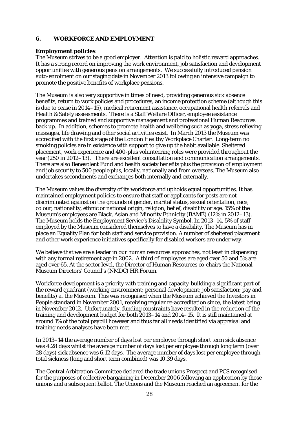# **6. WORKFORCE AND EMPLOYMENT**

# **Employment policies**

The Museum strives to be a good employer. Attention is paid to holistic reward approaches. It has a strong record on improving the work environment, job satisfaction and development opportunities with generous pension arrangements. We successfully introduced pension auto-enrolment on our staging date in November 2013 following an intensive campaign to promote the positive benefits of workplace pensions.

The Museum is also very supportive in times of need, providing generous sick absence benefits, return to work policies and procedures, an income protection scheme (although this is due to cease in 2014–15), medical retirement assistance, occupational health referrals and Health & Safety assessments. There is a Staff Welfare Officer, employee assistance programmes and trained and supportive management and professional Human Resources back up. In addition, schemes to promote health and wellbeing such as yoga, stress relieving massages, life drawing and other social activities exist. In March 2013 the Museum was accredited with the first stage of the London Healthy Workplace Charter. Long-term no smoking policies are in existence with support to give up the habit available. Sheltered placement, work experience and 400-plus volunteering roles were provided throughout the year (250 in 2012–13). There are excellent consultation and communication arrangements. There are also Benevolent Fund and health society benefits plus the provision of employment and job security to 500 people plus, locally, nationally and from overseas. The Museum also undertakes secondments and exchanges both internally and externally.

The Museum values the diversity of its workforce and upholds equal opportunities. It has maintained employment policies to ensure that staff or applicants for posts are not discriminated against on the grounds of gender, marital status, sexual orientation, race, colour, nationality, ethnic or national origin, religion, belief, disability or age. 15% of the Museum's employees are Black, Asian and Minority Ethnicity (BAME) (12% in 2012–13). The Museum holds the Employment Service's Disability Symbol. In 2013–14, 5% of staff employed by the Museum considered themselves to have a disability. The Museum has in place an Equality Plan for both staff and service provision. A number of sheltered placement and other work experience initiatives specifically for disabled workers are under way.

We believe that we are a leader in our human resources approaches, not least in dispensing with any formal retirement age in 2002. A third of employees are aged over 50 and 5% are aged over 65. At the sector level, the Director of Human Resources co-chairs the National Museum Directors' Council's (NMDC) HR Forum.

Workforce development is a priority with training and capacity-building a significant part of the reward quadrant (working environment; personal development; job satisfaction; pay and benefits) at the Museum. This was recognised when the Museum achieved the Investors in People standard in November 2001, receiving regular re-accreditation since, the latest being in November 2012. Unfortunately, funding constraints have resulted in the reduction of the training and development budget for both 2013–14 and 2014–15. It is still maintained at around 1% of the total paybill however and thus far all needs identified via appraisal and training needs analyses have been met.

In 2013–14 the average number of days lost per employee through short term sick absence was 4.28 days whilst the average number of days lost per employee through long term (over 28 days) sick absence was 6.12 days. The average number of days lost per employee through total sickness (long and short term combined) was 10.39 days.

The Central Arbitration Committee declared the trade unions Prospect and PCS recognised for the purposes of collective bargaining in December 2006 following an application by those unions and a subsequent ballot. The Unions and the Museum reached an agreement for the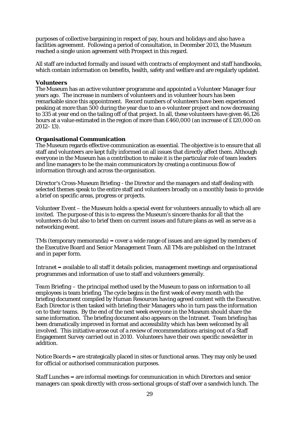purposes of collective bargaining in respect of pay, hours and holidays and also have a facilities agreement. Following a period of consultation, in December 2013, the Museum reached a single union agreement with Prospect in this regard.

All staff are inducted formally and issued with contracts of employment and staff handbooks, which contain information on benefits, health, safety and welfare and are regularly updated.

## **Volunteers**

The Museum has an active volunteer programme and appointed a Volunteer Manager four years ago. The increase in numbers of volunteers and in volunteer hours has been remarkable since this appointment. Record numbers of volunteers have been experienced peaking at more than 500 during the year due to an e-volunteer project and now decreasing to 335 at year end on the tailing off of that project. In all, these volunteers have given 46,126 hours at a value estimated in the region of more than £460,000 (an increase of £120,000 on 2012–13).

# **Organisational Communication**

The Museum regards effective communication as essential. The objective is to ensure that all staff and volunteers are kept fully informed on all issues that directly affect them. Although everyone in the Museum has a contribution to make it is the particular role of team leaders and line managers to be the main communicators by creating a continuous flow of information through and across the organisation.

*Director's Cross-Museum Briefing* - the Director and the managers and staff dealing with selected themes speak to the entire staff and volunteers broadly on a monthly basis to provide a brief on specific areas, progress or projects.

*Volunteer Event* – the Museum holds a special event for volunteers annually to which all are invited. The purpose of this is to express the Museum's sincere thanks for all that the volunteers do but also to brief them on current issues and future plans as well as serve as a networking event.

*TMs* (temporary memoranda) – cover a wide range of issues and are signed by members of the Executive Board and Senior Management Team. All TMs are published on the Intranet and in paper form.

*Intranet* – available to all staff it details policies, management meetings and organisational programmes and information of use to staff and volunteers generally.

*Team Briefing* – the principal method used by the Museum to pass on information to all employees is team briefing. The cycle begins in the first week of every month with the briefing document compiled by Human Resources having agreed content with the Executive. Each Director is then tasked with briefing their Managers who in turn pass the information on to their teams. By the end of the next week everyone in the Museum should share the same information. The briefing document also appears on the Intranet. Team briefing has been dramatically improved in format and accessibility which has been welcomed by all involved. This initiative arose out of a review of recommendations arising out of a Staff Engagement Survey carried out in 2010. Volunteers have their own specific newsletter in addition.

*Notice Boards* – are strategically placed in sites or functional areas. They may only be used for official or authorised communication purposes.

*Staff Lunches* – are informal meetings for communication in which Directors and senior managers can speak directly with cross-sectional groups of staff over a sandwich lunch. The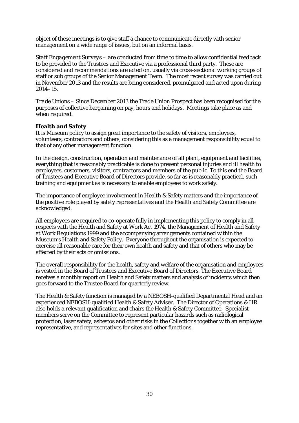object of these meetings is to give staff a chance to communicate directly with senior management on a wide range of issues, but on an informal basis.

*Staff Engagement Surveys* – are conducted from time to time to allow confidential feedback to be provided to the Trustees and Executive via a professional third party. These are considered and recommendations are acted on, usually via cross-sectional working groups of staff or sub groups of the Senior Management Team. The most recent survey was carried out in November 2013 and the results are being considered, promulgated and acted upon during 2014–15.

*Trade Unions* – Since December 2013 the Trade Union Prospect has been recognised for the purposes of collective bargaining on pay, hours and holidays. Meetings take place as and when required.

## **Health and Safety**

It is Museum policy to assign great importance to the safety of visitors, employees, volunteers, contractors and others, considering this as a management responsibility equal to that of any other management function.

In the design, construction, operation and maintenance of all plant, equipment and facilities, everything that is reasonably practicable is done to prevent personal injuries and ill health to employees, customers, visitors, contractors and members of the public. To this end the Board of Trustees and Executive Board of Directors provide, so far as is reasonably practical, such training and equipment as is necessary to enable employees to work safely.

The importance of employee involvement in Health & Safety matters and the importance of the positive role played by safety representatives and the Health and Safety Committee are acknowledged.

All employees are required to co-operate fully in implementing this policy to comply in all respects with the Health and Safety at Work Act 1974, the Management of Health and Safety at Work Regulations 1999 and the accompanying arrangements contained within the Museum's Health and Safety Policy. Everyone throughout the organisation is expected to exercise all reasonable care for their own health and safety and that of others who may be affected by their acts or omissions.

The overall responsibility for the health, safety and welfare of the organisation and employees is vested in the Board of Trustees and Executive Board of Directors. The Executive Board receives a monthly report on Health and Safety matters and analysis of incidents which then goes forward to the Trustee Board for quarterly review.

The Health & Safety function is managed by a NEBOSH-qualified Departmental Head and an experienced NEBOSH-qualified Health & Safety Adviser. The Director of Operations & HR also holds a relevant qualification and chairs the Health & Safety Committee. Specialist members serve on the Committee to represent particular hazards such as radiological protection, laser safety, asbestos and other risks in the Collections together with an employee representative, and representatives for sites and other functions.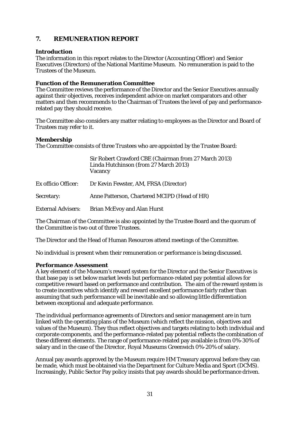# **7. REMUNERATION REPORT**

# **Introduction**

The information in this report relates to the Director (Accounting Officer) and Senior Executives (Directors) of the National Maritime Museum. No remuneration is paid to the Trustees of the Museum.

# **Function of the Remuneration Committee**

The Committee reviews the performance of the Director and the Senior Executives annually against their objectives, receives independent advice on market comparators and other matters and then recommends to the Chairman of Trustees the level of pay and performancerelated pay they should receive.

The Committee also considers any matter relating to employees as the Director and Board of Trustees may refer to it.

## **Membership**

The Committee consists of three Trustees who are appointed by the Trustee Board:

|                           | Sir Robert Crawford CBE (Chairman from 27 March 2013)<br>Linda Hutchinson (from 27 March 2013)<br><b>Vacancy</b> |
|---------------------------|------------------------------------------------------------------------------------------------------------------|
| Ex officio Officer:       | Dr Kevin Fewster, AM, FRSA (Director)                                                                            |
| Secretary:                | Anne Patterson, Chartered MCIPD (Head of HR)                                                                     |
| <b>External Advisers:</b> | <b>Brian McEvoy and Alan Hurst</b>                                                                               |

The Chairman of the Committee is also appointed by the Trustee Board and the quorum of the Committee is two out of three Trustees.

The Director and the Head of Human Resources attend meetings of the Committee.

No individual is present when their remuneration or performance is being discussed.

## **Performance Assessment**

A key element of the Museum's reward system for the Director and the Senior Executives is that base pay is set below market levels but performance-related pay potential allows for competitive reward based on performance and contribution. The aim of the reward system is to create incentives which identify and reward excellent performance fairly rather than assuming that such performance will be inevitable and so allowing little differentiation between exceptional and adequate performance.

The individual performance agreements of Directors and senior management are in turn linked with the operating plans of the Museum (which reflect the mission, objectives and values of the Museum). They thus reflect objectives and targets relating to both individual and corporate components, and the performance-related pay potential reflects the combination of these different elements. The range of performance-related pay available is from 0%-30% of salary and in the case of the Director, Royal Museums Greenwich 0%-20% of salary.

Annual pay awards approved by the Museum require HM Treasury approval before they can be made, which must be obtained via the Department for Culture Media and Sport (DCMS). Increasingly, Public Sector Pay policy insists that pay awards should be performance driven.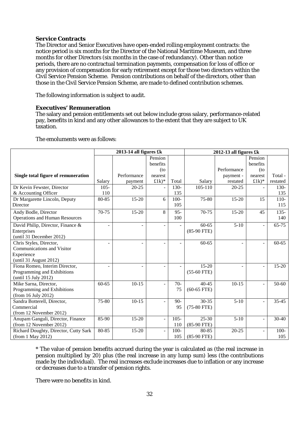# **Service Contracts**

The Director and Senior Executives have open-ended rolling employment contracts: the notice period is six months for the Director of the National Maritime Museum, and three months for other Directors (six months in the case of redundancy). Other than notice periods, there are no contractual termination payments, compensation for loss of office or any provision of compensation for early retirement except for those two directors within the Civil Service Pension Scheme. Pension contributions on behalf of the directors, other than those in the Civil Service Pension Scheme, are made to defined contribution schemes.

The following information is subject to audit.

# **Executives' Remuneration**

The salary and pension entitlements set out below include gross salary, performance-related pay, benefits in kind and any other allowances to the extent that they are subject to UK taxation.

|                                       | 2013-14 all figures $fk$ |             |                | 2012-13 all figures £k |               |                     |                          |           |
|---------------------------------------|--------------------------|-------------|----------------|------------------------|---------------|---------------------|--------------------------|-----------|
|                                       |                          |             | Pension        |                        |               |                     | Pension                  |           |
|                                       |                          |             | benefits       |                        |               |                     | benefits                 |           |
|                                       |                          |             | $($ to         |                        |               | Performance         | (to                      |           |
| Single total figure of remuneration   |                          | Performance | nearest        |                        |               | payment -           | nearest                  | Total -   |
|                                       | Salary                   | payment     | $£1k)*$        | Total                  | Salary        | restated            | $£1k)*$                  | restated  |
| Dr Kevin Fewster, Director            | $105 -$                  | $20 - 25$   |                | 130-                   | $105 - 110$   | $20 - 25$           |                          | $130-$    |
| & Accounting Officer                  | 110                      |             |                | 135                    |               |                     |                          | 135       |
| Dr Margarette Lincoln, Deputy         | 80-85                    | $15 - 20$   | 6              | $100 -$                | 75-80         | $15 - 20$           | 15                       | $110-$    |
| Director                              |                          |             |                | 105                    |               |                     |                          | 115       |
| Andy Bodle, Director                  | $70-75$                  | $15 - 20$   | 8              | $95 -$                 | $70-75$       | $15 - 20$           | 45                       | $135 -$   |
| <b>Operations and Human Resources</b> |                          |             |                | 100                    |               |                     |                          | 140       |
| David Philip, Director, Finance &     | $\overline{\phantom{0}}$ |             | $\overline{a}$ |                        | $60 - 65$     | $\overline{5} - 10$ | $\overline{\phantom{a}}$ | $65 - 75$ |
| Enterprises                           |                          |             |                |                        | $(85-90$ FTE) |                     |                          |           |
| (until 31 December 2012)              |                          |             |                |                        |               |                     |                          |           |
| Chris Styles, Director,               | L.                       | L,          | $\blacksquare$ |                        | 60-65         | ÷                   | $\blacksquare$           | $60 - 65$ |
| Communications and Visitor            |                          |             |                |                        |               |                     |                          |           |
| Experience                            |                          |             |                |                        |               |                     |                          |           |
| (until 31 August 2012)                |                          |             |                |                        |               |                     |                          |           |
| Fiona Romeo, Interim Director,        |                          |             |                |                        | $15-20$       |                     | $\frac{1}{2}$            | $15 - 20$ |
| Programming and Exhibitions           |                          |             |                |                        | $(55-60$ FTE) |                     |                          |           |
| (until 15 July 2012)                  |                          |             |                |                        |               |                     |                          |           |
| Mike Sarna, Director,                 | $60 - 65$                | $10-15$     | $\blacksquare$ | $70-$                  | $40 - 45$     | $10-15$             | $\overline{a}$           | 50-60     |
| Programming and Exhibitions           |                          |             |                | 75                     | $(60-65$ FTE) |                     |                          |           |
| (from 16 July 2012)                   |                          |             |                |                        |               |                     |                          |           |
| Sandra Botterell, Director,           | 75-80                    | $10 - 15$   | $\overline{a}$ | $90 -$                 | 30-35         | $5-10$              | $\overline{a}$           | $35 - 45$ |
| Commercial                            |                          |             |                | 95                     | $(75-80$ FTE) |                     |                          |           |
| (from 12 November 2012)               |                          |             |                |                        |               |                     |                          |           |
| Anupam Ganguli, Director, Finance     | 85-90                    | $15 - 20$   | ÷,             | $105 -$                | $25 - 30$     | $5-10$              | $\overline{\phantom{0}}$ | 30-40     |
| (from 12 November 2012)               |                          |             |                | 110                    | $(85-90$ FTE) |                     |                          |           |
| Richard Doughty, Director, Cutty Sark | $80 - 85$                | $15 - 20$   |                | $100 -$                | 80-85         | $20 - 25$           | $\overline{a}$           | $100 -$   |
| (from 1 May 2012)                     |                          |             |                | 105                    | $(85-90$ FTE) |                     |                          | 105       |

The emoluments were as follows:

\* The value of pension benefits accrued during the year is calculated as (the real increase in pension multiplied by 20) plus (the real increase in any lump sum) less (the contributions made by the individual). The real increases exclude increases due to inflation or any increase or decreases due to a transfer of pension rights.

There were no benefits in kind.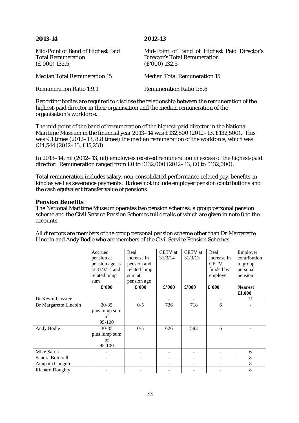| Mid-Point of Band of Highest Paid<br><b>Total Remuneration</b><br>$(E'000)$ 132.5 | Mid-Point of Band of Highest Paid Director's<br><b>Director's Total Remuneration</b><br>$(E'000)$ 132.5 |
|-----------------------------------------------------------------------------------|---------------------------------------------------------------------------------------------------------|
| <b>Median Total Remuneration 15</b>                                               | <b>Median Total Remuneration 15</b>                                                                     |
| <b>Remuneration Ratio 1:9.1</b>                                                   | <b>Remuneration Ratio 1:8.8</b>                                                                         |

Reporting bodies are required to disclose the relationship between the remuneration of the highest-paid director in their organisation and the median remuneration of the organisation's workforce.

The mid-point of the band of remuneration of the highest-paid director in the National Maritime Museum in the financial year 2013–14 was £132,500 (2012–13, £132,500). This was 9.1 times (2012–13, 8.8 times) the median remuneration of the workforce, which was £14,544 (2012–13, £15,231).

In 2013–14, nil (2012–13, nil) employees received remuneration in excess of the highest-paid director. Remuneration ranged from £0 to £132,000 (2012–13, £0 to £132,000).

Total remuneration includes salary, non-consolidated performance-related pay, benefits-inkind as well as severance payments. It does not include employer pension contributions and the cash equivalent transfer value of pensions.

#### **Pension Benefits**

The National Maritime Museum operates two pension schemes; a group personal pension scheme and the Civil Service Pension Schemes full details of which are given in note 8 to the accounts.

|                        | Accrued          | Real           | CETV at        | CETV at        | Real              | Employer       |
|------------------------|------------------|----------------|----------------|----------------|-------------------|----------------|
|                        | pension at       | increase in    | 31/3/14        | 31/3/13        | increase in       | contribution   |
|                        | pension age as   | pension and    |                |                | <b>CETV</b>       | to group       |
|                        | at $31/3/14$ and | related lump   |                |                | funded by         | personal       |
|                        | related lump     | sum at         |                |                | employer          | pension        |
|                        | sum              | pension age    |                |                |                   |                |
|                        | $\pounds$ '000   | $\pounds$ '000 | $\pounds$ '000 | $\pounds$ '000 | $\pounds$ '000    | <b>Nearest</b> |
|                        |                  |                |                |                |                   | £1,000         |
| Dr Kevin Fewster       |                  |                |                |                | -                 | 11             |
| Dr Margarette Lincoln  | $30 - 35$        | $0 - 5$        | 736            | 718            | 6                 |                |
|                        | plus lump sum    |                |                |                |                   |                |
|                        | of               |                |                |                |                   |                |
|                        | 95-100           |                |                |                |                   |                |
| Andy Bodle             | $30 - 35$        | $0 - 5$        | 626            | 583            | 6                 |                |
|                        | plus lump sum    |                |                |                |                   |                |
|                        | of               |                |                |                |                   |                |
|                        | 95-100           |                |                |                |                   |                |
| Mike Sarna             |                  | -              |                |                | -                 | 6              |
| Sandra Botterell       |                  |                |                |                |                   | 8              |
| Anupam Ganguli         | -                | -              |                |                | $\qquad \qquad -$ | 8              |
| <b>Richard Doughty</b> |                  |                |                |                |                   | 8              |

All directors are members of the group personal pension scheme other than Dr Margarette Lincoln and Andy Bodle who are members of the Civil Service Pension Schemes.

# **2013-14 2012-13**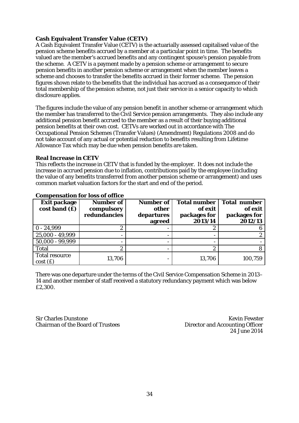## **Cash Equivalent Transfer Value (CETV)**

A Cash Equivalent Transfer Value (CETV) is the actuarially assessed capitalised value of the pension scheme benefits accrued by a member at a particular point in time. The benefits valued are the member's accrued benefits and any contingent spouse's pension payable from the scheme. A CETV is a payment made by a pension scheme or arrangement to secure pension benefits in another pension scheme or arrangement when the member leaves a scheme and chooses to transfer the benefits accrued in their former scheme. The pension figures shown relate to the benefits that the individual has accrued as a consequence of their total membership of the pension scheme, not just their service in a senior capacity to which disclosure applies.

The figures include the value of any pension benefit in another scheme or arrangement which the member has transferred to the Civil Service pension arrangements. They also include any additional pension benefit accrued to the member as a result of their buying additional pension benefits at their own cost. CETVs are worked out in accordance with The Occupational Pension Schemes (Transfer Values) (Amendment) Regulations 2008 and do not take account of any actual or potential reduction to benefits resulting from Lifetime Allowance Tax which may be due when pension benefits are taken.

#### **Real Increase in CETV**

This reflects the increase in CETV that is funded by the employer. It does not include the increase in accrued pension due to inflation, contributions paid by the employee (including the value of any benefits transferred from another pension scheme or arrangement) and uses common market valuation factors for the start and end of the period.

| <b>Exit package</b><br>cost band(f) | Number of<br>compulsory<br>redundancies | <b>Number of</b><br>other<br>departures<br>agreed | <b>Total number</b><br>of exit<br>packages for<br>2013/14 | <b>Total number</b><br>of exit<br>packages for<br>2012/13 |
|-------------------------------------|-----------------------------------------|---------------------------------------------------|-----------------------------------------------------------|-----------------------------------------------------------|
| $0 - 24,999$                        | 2                                       |                                                   | റ                                                         |                                                           |
| 25,000 - 49,999                     | -                                       | $\overline{\phantom{0}}$                          | $\overline{\phantom{0}}$                                  |                                                           |
| $50,000 - 99,999$                   |                                         |                                                   |                                                           |                                                           |
| <b>Total</b>                        | $\boldsymbol{2}$                        |                                                   | $\boldsymbol{2}$                                          |                                                           |
| <b>Total resource</b><br>cost(f)    | 13,706                                  |                                                   | 13,706                                                    | 100,759                                                   |

# **Compensation for loss of office**

There was one departure under the terms of the Civil Service Compensation Scheme in 2013– 14 and another member of staff received a statutory redundancy payment which was below £2,300.

Sir Charles Dunstone<br>
Chairman of the Board of Trustees<br>
Chairman of the Board of Trustees<br>
Chairman of the Roard of Trustees

Director and Accounting Officer 24 June 2014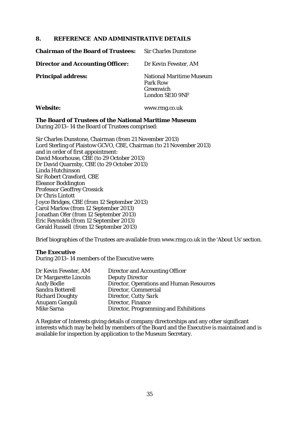# **8. REFERENCE AND ADMINISTRATIVE DETAILS**

| <b>Chairman of the Board of Trustees:</b> | <b>Sir Charles Dunstone</b>                                                 |
|-------------------------------------------|-----------------------------------------------------------------------------|
| <b>Director and Accounting Officer:</b>   | Dr Kevin Fewster, AM                                                        |
| <b>Principal address:</b>                 | <b>National Maritime Museum</b><br>Park Row<br>Greenwich<br>London SE10 9NF |

## **Website:** www.rmg.co.uk

#### **The Board of Trustees of the National Maritime Museum**

During 2013–14 the Board of Trustees comprised:

Sir Charles Dunstone, Chairman (from 21 November 2013) Lord Sterling of Plaistow GCVO, CBE, Chairman (to 21 November 2013) and in order of first appointment: David Moorhouse, CBE (to 29 October 2013) Dr David Quarmby, CBE (to 29 October 2013) Linda Hutchinson Sir Robert Crawford, CBE Eleanor Boddington Professor Geoffrey Crossick Dr Chris Lintott Joyce Bridges, CBE (from 12 September 2013) Carol Marlow (from 12 September 2013) Jonathan Ofer (from 12 September 2013) Eric Reynolds (from 12 September 2013) Gerald Russell (from 12 September 2013)

Brief biographies of the Trustees are available from www.rmg.co.uk in the 'About Us' section.

## **The Executive**

During 2013–14 members of the Executive were:

| Dr Kevin Fewster, AM    | Director and Accounting Officer          |
|-------------------------|------------------------------------------|
| Dr Margarette Lincoln   | <b>Deputy Director</b>                   |
| <b>Andy Bodle</b>       | Director, Operations and Human Resources |
| <b>Sandra Botterell</b> | Director, Commercial                     |
| <b>Richard Doughty</b>  | Director, Cutty Sark                     |
| Anupam Ganguli          | Director, Finance                        |
| <b>Mike Sarna</b>       | Director, Programming and Exhibitions    |

A Register of Interests giving details of company directorships and any other significant interests which may be held by members of the Board and the Executive is maintained and is available for inspection by application to the Museum Secretary.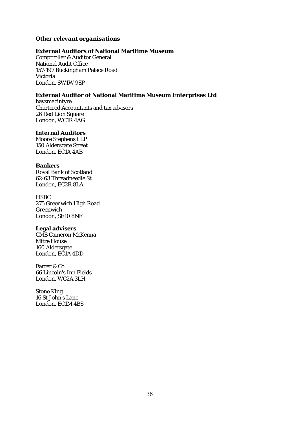## *Other relevant organisations*

## **External Auditors of National Maritime Museum**

Comptroller & Auditor General National Audit Office 157-197 Buckingham Palace Road Victoria London, SW1W 9SP

## **External Auditor of National Maritime Museum Enterprises Ltd**

haysmacintyre Chartered Accountants and tax advisors 26 Red Lion Square London, WC1R 4AG

## **Internal Auditors**

Moore Stephens LLP 150 Aldersgate Street London, EC1A 4AB

#### **Bankers**

Royal Bank of Scotland 62-63 Threadneedle St London, EC2R 8LA

# **HSBC**

275 Greenwich High Road Greenwich London, SE10 8NF

## **Legal advisers**

CMS Cameron McKenna Mitre House 160 Aldersgate London, EC1A 4DD

Farrer & Co 66 Lincoln's Inn Fields London, WC2A 3LH

Stone King 16 St John's Lane London, EC1M 4BS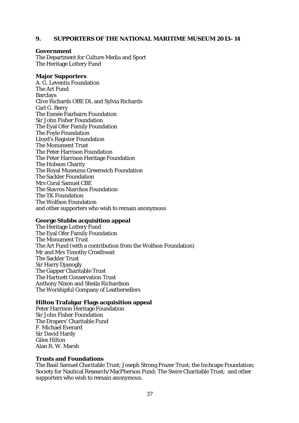#### **9. SUPPORTERS OF THE NATIONAL MARITIME MUSEUM 2013–14**

#### **Government**

The Department for Culture Media and Sport The Heritage Lottery Fund

#### **Major Supporters**

A. G. Leventis Foundation The Art Fund Barclays Clive Richards OBE DL and Sylvia Richards Carl G. Berry The Esmée Fairbairn Foundation Sir John Fisher Foundation The Eyal Ofer Family Foundation The Foyle Foundation Lloyd's Register Foundation The Monument Trust The Peter Harrison Foundation The Peter Harrison Heritage Foundation The Hobson Charity The Royal Museums Greenwich Foundation The Sackler Foundation Mrs Coral Samuel CBE The Stavros Niarchos Foundation The TK Foundation The Wolfson Foundation and other supporters who wish to remain anonymous

#### **George Stubbs acquisition appeal**

The Heritage Lottery Fund The Eyal Ofer Family Foundation The Monument Trust The Art Fund (with a contribution from the Wolfson Foundation) Mr and Mrs Timothy Crosthwait The Sackler Trust Sir Harry Djanogly The Gapper Charitable Trust The Hartnett Conservation Trust Anthony Nixon and Sheila Richardson The Worshipful Company of Leathersellers

#### **Hilton Trafalgar Flags acquisition appeal**

Peter Harrison Heritage Foundation Sir John Fisher Foundation The Drapers' Charitable Fund F. Michael Everard Sir David Hardy Giles Hilton Alan R. W. Marsh

#### **Trusts and Foundations**

The Basil Samuel Charitable Trust; Joseph Strong Frazer Trust; the Inchcape Foundation; Society for Nautical Research/MacPherson Fund; The Swire Charitable Trust; and other supporters who wish to remain anonymous.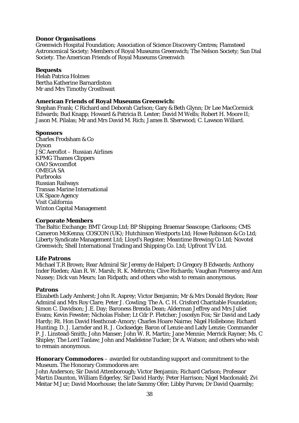#### **Donor Organisations**

Greenwich Hospital Foundation; Association of Science Discovery Centres; Flamsteed Astronomical Society; Members of Royal Museums Greenwich; The Nelson Society; Sun Dial Society. The American Friends of Royal Museums Greenwich

#### **Bequests**

Helah Patrica Holmes Bertha Katherine Barnardiston Mr and Mrs Timothy Crosthwait

#### **American Friends of Royal Museums Greenwich:**

Stephan Frank; C Richard and Deborah Carlson; Gary & Beth Glynn; Dr Lee MacCormick Edwards; Bud Knapp; Howard & Patricia B. Lester; David M Wells; Robert H. Moore II; Jason M. Pilalas; Mr and Mrs David M. Rich; James B. Sherwood; C. Lawson Willard.

#### **Sponsors**

Charles Frodsham & Co Dyson JSC Aeroflot – Russian Airlines KPMG Thames Clippers OAO Sovcomflot OMEGA SA Purbrooks Russian Railways Transas Marine International UK Space Agency Visit California Winton Capital Management

#### **Corporate Members**

The Baltic Exchange; BMT Group Ltd; BP Shipping; Braemar Seascope; Clarksons; CMS Cameron McKenna; COSCON (UK); Hutchinson Westports Ltd; Howe Robinson & Co Ltd; Liberty Syndicate Management Ltd; Lloyd's Register; Meantime Brewing Co Ltd; Novotel Greenwich; Shell International Trading and Shipping Co. Ltd; Upfront TV Ltd.

#### **Life Patrons**

Michael T.R Brown; Rear Admiral Sir Jeremy de Halpert; D Gregory B Edwards; Anthony Inder Rieden; Alan R. W. Marsh; R. K. Mehrotra; Clive Richards; Vaughan Pomeroy and Ann Nussey; Dick van Meurs; Ian Ridpath; and others who wish to remain anonymous.

## **Patrons**

Elizabeth Lady Amherst; John R. Asprey; Victor Benjamin; Mr & Mrs Donald Brydon; Rear Admiral and Mrs Roy Clare; Peter J. Cowling; The A. C. H. Crisford Charitable Foundation; Simon C. Davidson; J.E. Day; Baroness Brenda Dean; Alderman Jeffrey and Mrs Juliet Evans; Kevin Fewster; Nicholas Fisher; Lt Cdr P. Fletcher; Joscelyn Fox; Sir David and Lady Hardy; Rt. Hon David Heathcoat-Amory; Charles Hoare Nairne; Nigel Hollebone; Richard Hunting; D. J. Larnder and R. J. Cocksedge; Baron of Lenzie and Lady Lenzie; Commander P. J. Linstead-Smith; John Manser; John W. R. Martin; Jane Mennie; Merrick Rayner; Ms. C Shipley; The Lord Tanlaw; John and Madeleine Tucker; Dr A. Watson; and others who wish to remain anonymous.

**Honorary Commodores** – awarded for outstanding support and commitment to the Museum. The Honorary Commodores are:

John Anderson; Sir David Attenborough; Victor Benjamin; Richard Carlson; Professor Martin Daunton, William Edgerley, Sir David Hardy; Peter Harrison; Nigel Macdonald; Zvi Meitar M Jur; David Moorhouse; the late Sammy Ofer; Libby Purves; Dr David Quarmby;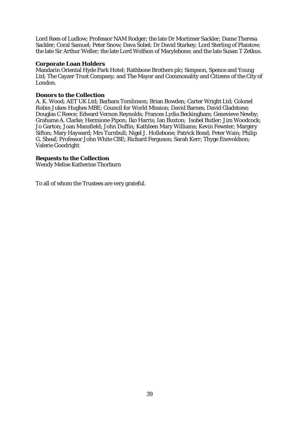Lord Rees of Ludlow; Professor NAM Rodger; the late Dr Mortimer Sackler; Dame Theresa Sackler; Coral Samuel; Peter Snow; Dava Sobel; Dr David Starkey; Lord Sterling of Plaistow; the late Sir Arthur Weller; the late Lord Wolfson of Marylebone; and the late Susan T Zetkus.

#### **Corporate Loan Holders**

Mandarin Oriental Hyde Park Hotel; Rathbone Brothers plc; Simpson, Spence and Young Ltd; The Cayzer Trust Company; and The Mayor and Commonality and Citizens of the City of London.

#### **Donors to the Collection**

A. K. Wood; AET UK Ltd; Barbara Tomlinson; Brian Bowden; Carter Wright Ltd; Colonel Robin Jukes-Hughes MBE; Council for World Mission; David Barnes; David Gladstone; Douglas C Reece; Edward Vernon Reynolds; Frances Lydia Beckingham; Genevieve Newby; Grahame A. Clarke; Hermione Pipon; Iko Harris; Ian Buxton; Isobel Butler; Jim Woodcock; Jo Garton; Joan Mansfield; John Duffin; Kathleen Mary Williams; Kevin Fewster; Margery Sifton; Mary Hayward; Mrs Turnbull; Nigel J. Hollebone; Patrick Bond; Peter Wain; Philip G. Sheaf; Professor John White CBE; Richard Ferguson; Sarah Kerr; Thyge Enevoldson; Valerie Goodright

#### **Bequests to the Collection**

Wendy Melise Katherine Thorburn

To all of whom the Trustees are very grateful.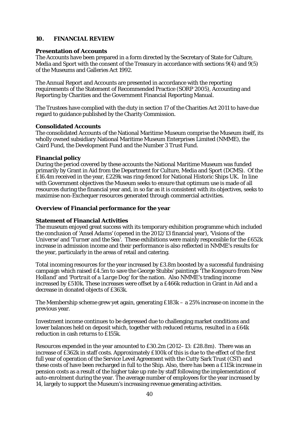# **10. FINANCIAL REVIEW**

#### **Presentation of Accounts**

The Accounts have been prepared in a form directed by the Secretary of State for Culture, Media and Sport with the consent of the Treasury in accordance with sections 9(4) and 9(5) of the Museums and Galleries Act 1992.

The Annual Report and Accounts are presented in accordance with the reporting requirements of the Statement of Recommended Practice (SORP 2005), Accounting and Reporting by Charities and the Government Financial Reporting Manual.

The Trustees have complied with the duty in section 17 of the Charities Act 2011 to have due regard to guidance published by the Charity Commission.

#### **Consolidated Accounts**

The consolidated Accounts of the National Maritime Museum comprise the Museum itself, its wholly owned subsidiary National Maritime Museum Enterprises Limited (NMME), the Caird Fund, the Development Fund and the Number 3 Trust Fund.

#### **Financial policy**

During the period covered by these accounts the National Maritime Museum was funded primarily by Grant in Aid from the Department for Culture, Media and Sport (DCMS). Of the £16.4m received in the year, £229k was ring-fenced for National Historic Ships UK. In line with Government objectives the Museum seeks to ensure that optimum use is made of all resources during the financial year and, in so far as it is consistent with its objectives, seeks to maximise non-Exchequer resources generated through commercial activities.

#### **Overview of Financial performance for the year**

## **Statement of Financial Activities**

The museum enjoyed great success with its temporary exhibition programme which included the conclusion of *'Ansel Adams'* (opened in the 2012/13 financial year), '*Visions of the Universe'* and '*Turner and the Sea'*. These exhibitions were mainly responsible for the £652k increase in admission income and their performance is also reflected in NMME's results for the year, particularly in the areas of retail and catering.

Total incoming resources for the year increased by £3.8m boosted by a successful fundraising campaign which raised £4.5m to save the George Stubbs' paintings '*The Kongouro from New Holland'* and '*Portrait of a Large Dog'* for the nation. Also NMME's trading income increased by £510k. These increases were offset by a £466k reduction in Grant in Aid and a decrease in donated objects of £363k.

The Membership scheme grew yet again, generating £183k – a 25% increase on income in the previous year.

Investment income continues to be depressed due to challenging market conditions and lower balances held on deposit which, together with reduced returns, resulted in a £64k reduction in cash returns to £155k.

Resources expended in the year amounted to £30.2m (2012–13: £28.8m). There was an increase of £362k in staff costs. Approximately £100k of this is due to the effect of the first full year of operation of the Service Level Agreement with the Cutty Sark Trust (CST) and these costs of have been recharged in full to the Ship. Also, there has been a £115k increase in pension costs as a result of the higher take up rate by staff following the implementation of auto-enrolment during the year. The average number of employees for the year increased by 14, largely to support the Museum's increasing revenue generating activities.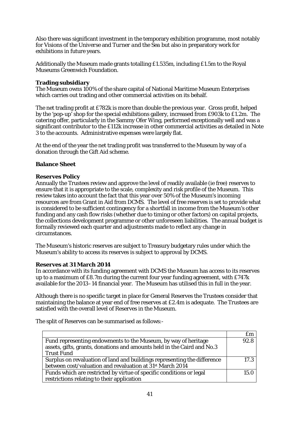Also there was significant investment in the temporary exhibition programme, most notably for *Visions of the Universe* and *Turner and the Sea* but also in preparatory work for exhibitions in future years.

Additionally the Museum made grants totalling £1.535m, including £1.5m to the Royal Museums Greenwich Foundation.

## **Trading subsidiary**

The Museum owns 100% of the share capital of National Maritime Museum Enterprises which carries out trading and other commercial activities on its behalf.

The net trading profit at £782k is more than double the previous year. Gross profit, helped by the 'pop-up' shop for the special exhibitions gallery, increased from £903k to £1.2m. The catering offer, particularly in the Sammy Ofer Wing, performed exceptionally well and was a significant contributor to the £112k increase in other commercial activities as detailed in Note 3 to the accounts. Administrative expenses were largely flat.

At the end of the year the net trading profit was transferred to the Museum by way of a donation through the Gift Aid scheme.

# **Balance Sheet**

# **Reserves Policy**

Annually the Trustees review and approve the level of readily available (ie free) reserves to ensure that it is appropriate to the scale, complexity and risk profile of the Museum. This review takes into account the fact that this year over 50% of the Museum's incoming resources are from Grant in Aid from DCMS. The level of free reserves is set to provide what is considered to be sufficient contingency for a shortfall in income from the Museum's other funding and any cash flow risks (whether due to timing or other factors) on capital projects, the collections development programme or other unforeseen liabilities. The annual budget is formally reviewed each quarter and adjustments made to reflect any change in circumstances.

The Museum's historic reserves are subject to Treasury budgetary rules under which the Museum's ability to access its reserves is subject to approval by DCMS.

## **Reserves at 31 March 2014**

In accordance with its funding agreement with DCMS the Museum has access to its reserves up to a maximum of £8.7m during the current four year funding agreement, with £747k available for the 2013–14 financial year. The Museum has utilised this in full in the year.

Although there is no specific target in place for General Reserves the Trustees consider that maintaining the balance at year end of free reserves at £2.4m is adequate. The Trustees are satisfied with the overall level of Reserves in the Museum.

The split of Reserves can be summarised as follows:-

|                                                                          | £m   |
|--------------------------------------------------------------------------|------|
| Fund representing endowments to the Museum, by way of heritage           | 92.8 |
| assets, gifts, grants, donations and amounts held in the Caird and No.3  |      |
| <b>Trust Fund</b>                                                        |      |
| Surplus on revaluation of land and buildings representing the difference | 17.3 |
| between cost/valuation and revaluation at 31 <sup>st</sup> March 2014    |      |
| Funds which are restricted by virtue of specific conditions or legal     | 15.0 |
| restrictions relating to their application                               |      |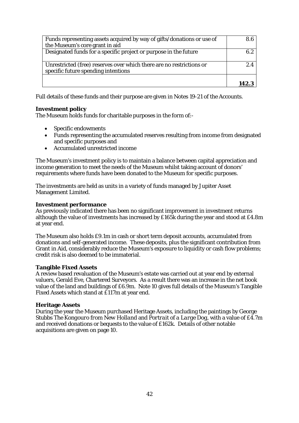| Funds representing assets acquired by way of gifts/donations or use of | 8.6 |
|------------------------------------------------------------------------|-----|
| the Museum's core grant in aid                                         |     |
| Designated funds for a specific project or purpose in the future       | 6.2 |
|                                                                        |     |
| Unrestricted (free) reserves over which there are no restrictions or   | 2.4 |
| specific future spending intentions                                    |     |
|                                                                        |     |
|                                                                        |     |

Full details of these funds and their purpose are given in Notes 19-21 of the Accounts.

## **Investment policy**

The Museum holds funds for charitable purposes in the form of:-

- Specific endowments
- Funds representing the accumulated reserves resulting from income from designated and specific purposes and
- Accumulated unrestricted income

The Museum's investment policy is to maintain a balance between capital appreciation and income generation to meet the needs of the Museum whilst taking account of donors' requirements where funds have been donated to the Museum for specific purposes.

The investments are held as units in a variety of funds managed by Jupiter Asset Management Limited.

#### **Investment performance**

As previously indicated there has been no significant improvement in investment returns although the value of investments has increased by £165k during the year and stood at £4.8m at year end.

The Museum also holds £9.1m in cash or short term deposit accounts, accumulated from donations and self-generated income. These deposits, plus the significant contribution from Grant in Aid, considerably reduce the Museum's exposure to liquidity or cash flow problems; credit risk is also deemed to be immaterial.

## **Tangible Fixed Assets**

A review based revaluation of the Museum's estate was carried out at year end by external valuers, Gerald Eve, Chartered Surveyors. As a result there was an increase in the net book value of the land and buildings of £6.9m. Note 10 gives full details of the Museum's Tangible Fixed Assets which stand at £117m at year end.

## **Heritage Assets**

During the year the Museum purchased Heritage Assets, including the paintings by George Stubbs *The Kongouro from New Holland* and *Portrait of a Large Dog*, with a value of £4.7m and received donations or bequests to the value of £162k. Details of other notable acquisitions are given on page 10.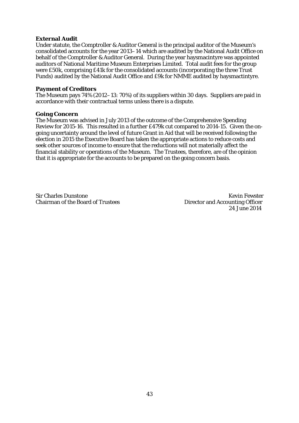#### **External Audit**

Under statute, the Comptroller & Auditor General is the principal auditor of the Museum's consolidated accounts for the year 2013–14 which are audited by the National Audit Office on behalf of the Comptroller & Auditor General. During the year haysmacintyre was appointed auditors of National Maritime Museum Enterprises Limited. Total audit fees for the group were £50k, comprising £41k for the consolidated accounts (incorporating the three Trust Funds) audited by the National Audit Office and £9k for NMME audited by haysmactintyre.

#### **Payment of Creditors**

The Museum pays 74% (2012–13: 70%) of its suppliers within 30 days. Suppliers are paid in accordance with their contractual terms unless there is a dispute.

#### **Going Concern**

The Museum was advised in July 2013 of the outcome of the Comprehensive Spending Review for 2015-16. This resulted in a further £479k cut compared to 2014-15. Given the ongoing uncertainty around the level of future Grant in Aid that will be received following the election in 2015 the Executive Board has taken the appropriate actions to reduce costs and seek other sources of income to ensure that the reductions will not materially affect the financial stability or operations of the Museum. The Trustees, therefore, are of the opinion that it is appropriate for the accounts to be prepared on the going concern basis.

Sir Charles Dunstone Kevin Fewster<br>
Chairman of the Board of Trustees (Statement of Accounting Officer

Director and Accounting Officer 24 June 2014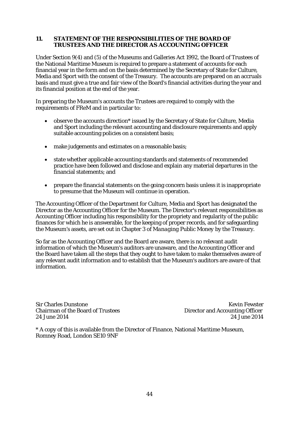## **11. STATEMENT OF THE RESPONSIBILITIES OF THE BOARD OF TRUSTEES AND THE DIRECTOR AS ACCOUNTING OFFICER**

Under Section 9(4) and (5) of the Museums and Galleries Act 1992, the Board of Trustees of the National Maritime Museum is required to prepare a statement of accounts for each financial year in the form and on the basis determined by the Secretary of State for Culture, Media and Sport with the consent of the Treasury. The accounts are prepared on an accruals basis and must give a true and fair view of the Board's financial activities during the year and its financial position at the end of the year.

In preparing the Museum's accounts the Trustees are required to comply with the requirements of FReM and in particular to:

- observe the accounts direction\* issued by the Secretary of State for Culture, Media and Sport including the relevant accounting and disclosure requirements and apply suitable accounting policies on a consistent basis;
- make judgements and estimates on a reasonable basis;
- state whether applicable accounting standards and statements of recommended practice have been followed and disclose and explain any material departures in the financial statements; and
- prepare the financial statements on the going concern basis unless it is inappropriate to presume that the Museum will continue in operation.

The Accounting Officer of the Department for Culture, Media and Sport has designated the Director as the Accounting Officer for the Museum. The Director's relevant responsibilities as Accounting Officer including his responsibility for the propriety and regularity of the public finances for which he is answerable, for the keeping of proper records, and for safeguarding the Museum's assets, are set out in Chapter 3 of *Managing Public Money* by the Treasury.

So far as the Accounting Officer and the Board are aware, there is no relevant audit information of which the Museum's auditors are unaware, and the Accounting Officer and the Board have taken all the steps that they ought to have taken to make themselves aware of any relevant audit information and to establish that the Museum's auditors are aware of that information.

Sir Charles Dunstone<br>
Chairman of the Board of Trustees<br>
Chairman of the Board of Trustees<br>
Chairman of the Board of Trustees Chairman of the Board of Trustees Director and Accounting Officer

24 June 2014 24 June 2014

\* A copy of this is available from the Director of Finance, National Maritime Museum, Romney Road, London SE10 9NF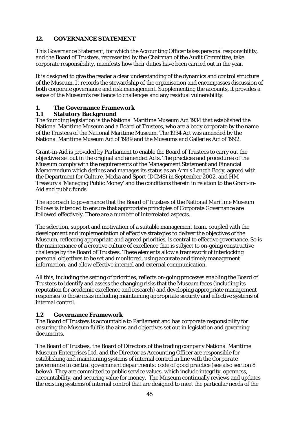# **12. GOVERNANCE STATEMENT**

This Governance Statement, for which the Accounting Officer takes personal responsibility, and the Board of Trustees, represented by the Chairman of the Audit Committee, take corporate responsibility, manifests how their duties have been carried out in the year.

It is designed to give the reader a clear understanding of the dynamics and control structure of the Museum. It records the stewardship of the organisation and encompasses discussion of both corporate governance and risk management. Supplementing the accounts, it provides a sense of the Museum's resilience to challenges and any residual vulnerability.

# **1. The Governance Framework**

# **1.1 Statutory Background**

The founding legislation is the National Maritime Museum Act 1934 that established the National Maritime Museum and a Board of Trustees, who are a body corporate by the name of the Trustees of the National Maritime Museum. The 1934 Act was amended by the National Maritime Museum Act of 1989 and the Museums and Galleries Act of 1992.

Grant-in-Aid is provided by Parliament to enable the Board of Trustees to carry out the objectives set out in the original and amended Acts. The practices and procedures of the Museum comply with the requirements of the Management Statement and Financial Memorandum which defines and manages its status as an Arm's Length Body, agreed with the Department for Culture, Media and Sport (DCMS) in September 2002, and HM Treasury's 'Managing Public Money' and the conditions therein in relation to the Grant-in-Aid and public funds.

The approach to governance that the Board of Trustees of the National Maritime Museum follows is intended to ensure that appropriate principles of Corporate Governance are followed effectively. There are a number of interrelated aspects.

The selection, support and motivation of a suitable management team, coupled with the development and implementation of effective strategies to deliver the objectives of the Museum, reflecting appropriate and agreed priorities, is central to effective governance. So is the maintenance of a creative culture of excellence that is subject to on-going constructive challenge by the Board of Trustees. These elements allow a framework of interlocking personal objectives to be set and monitored, using accurate and timely management information, and allow effective internal and external communication.

All this, including the setting of priorities, reflects on-going processes enabling the Board of Trustees to identify and assess the changing risks that the Museum faces (including its reputation for academic excellence and research) and developing appropriate management responses to those risks including maintaining appropriate security and effective systems of internal control.

## **1.2 Governance Framework**

The Board of Trustees is accountable to Parliament and has corporate responsibility for ensuring the Museum fulfils the aims and objectives set out in legislation and governing documents.

The Board of Trustees, the Board of Directors of the trading company National Maritime Museum Enterprises Ltd, and the Director as Accounting Officer are responsible for establishing and maintaining systems of internal control in line with the *Corporate governance in central government departments: code of good practice* (see also section 8 below). They are committed to public service values, which include integrity, openness, accountability, and securing value for money. The Museum continually reviews and updates the existing systems of internal control that are designed to meet the particular needs of the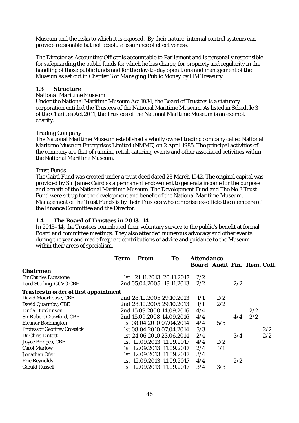Museum and the risks to which it is exposed. By their nature, internal control systems can provide reasonable but not absolute assurance of effectiveness.

The Director as Accounting Officer is accountable to Parliament and is personally responsible for safeguarding the public funds for which he has charge, for propriety and regularity in the handling of those public funds and for the day-to-day operations and management of the Museum as set out in Chapter 3 of *Managing Public Money* by HM Treasury.

## **1.3 Structure**

#### *National Maritime Museum*

Under the National Maritime Museum Act 1934, the Board of Trustees is a statutory corporation entitled the Trustees of the National Maritime Museum. As listed in Schedule 3 of the Charities Act 2011, the Trustees of the National Maritime Museum is an exempt charity.

#### *Trading Company*

The National Maritime Museum established a wholly owned trading company called National Maritime Museum Enterprises Limited (NMME) on 2 April 1985. The principal activities of the company are that of running retail, catering, events and other associated activities within the National Maritime Museum.

#### *Trust Funds*

The Caird Fund was created under a trust deed dated 23 March 1942. The original capital was provided by Sir James Caird as a permanent endowment to generate income for the purpose and benefit of the National Maritime Museum. The Development Fund and The No 3 Trust Fund were set up for the development and benefit of the National Maritime Museum. Management of the Trust Funds is by their Trustees who comprise ex-officio the members of the Finance Committee and the Director.

#### **1.4 The Board of Trustees in 2013–14**

In 2013–14, the Trustees contributed their voluntary service to the public's benefit at formal Board and committee meetings. They also attended numerous advocacy and other events during the year and made frequent contributions of advice and guidance to the Museum within their areas of specialism.

|                                               | Term | From                      | To |                             | <b>Attendance</b> |     |     |     |
|-----------------------------------------------|------|---------------------------|----|-----------------------------|-------------------|-----|-----|-----|
|                                               |      |                           |    | Board Audit Fin. Rem. Coll. |                   |     |     |     |
| <b>Chairmen</b>                               |      |                           |    |                             |                   |     |     |     |
| <b>Sir Charles Dunstone</b>                   |      | 1st 21.11.2013 20.11.2017 |    | 2/2                         |                   |     |     |     |
| Lord Sterling, GCVO CBE                       |      | 2nd 05.04.2005 19.11.2013 |    | 2/2                         |                   | 2/2 |     |     |
| <b>Trustees in order of first appointment</b> |      |                           |    |                             |                   |     |     |     |
| David Moorhouse, CBE                          |      | 2nd 28.10.2005 29.10.2013 |    | 1/1                         | 2/2               |     |     |     |
| David Quarmby, CBE                            |      | 2nd 28.10.2005 29.10.2013 |    | 1/1                         | 2/2               |     |     |     |
| Linda Hutchinson                              |      | 2nd 15.09.2008 14.09.2016 |    | 4/4                         |                   |     | 2/2 |     |
| <b>Sir Robert Crawford, CBE</b>               |      | 2nd 15.09.2008 14.09.2016 |    | 4/4                         |                   | 4/4 | 2/2 |     |
| <b>Eleanor Boddington</b>                     |      | 1st 08.04.2010 07.04.2014 |    | 4/4                         | 5/5               |     |     |     |
| <b>Professor Geoffrey Crossick</b>            |      | 1st 08.04.2010 07.04.2014 |    | 3/3                         |                   |     |     | 2/2 |
| Dr Chris Lintott                              |      | 1st 24.06.2010 23.06.2014 |    | 2/4                         |                   | 3/4 |     | 2/2 |
| Joyce Bridges, CBE                            |      | 1st 12.09.2013 11.09.2017 |    | 4/4                         | 2/2               |     |     |     |
| <b>Carol Marlow</b>                           |      | 1st 12.09.2013 11.09.2017 |    | 2/4                         | 1/1               |     |     |     |
| Jonathan Ofer                                 |      | 1st 12.09.2013 11.09.2017 |    | 3/4                         |                   |     |     |     |
| <b>Eric Reynolds</b>                          |      | 1st 12.09.2013 11.09.2017 |    | 4/4                         |                   | 2/2 |     |     |
| <b>Gerald Russell</b>                         |      | 1st 12.09.2013 11.09.2017 |    | 3/4                         | 3/3               |     |     |     |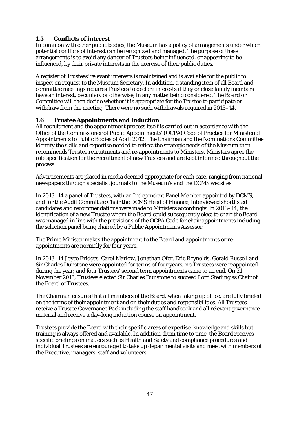# **1.5 Conflicts of interest**

In common with other public bodies, the Museum has a policy of arrangements under which potential conflicts of interest can be recognized and managed. The purpose of these arrangements is to avoid any danger of Trustees being influenced, or appearing to be influenced, by their private interests in the exercise of their public duties.

A register of Trustees' relevant interests is maintained and is available for the public to inspect on request to the Museum Secretary. In addition, a standing item of all Board and committee meetings requires Trustees to declare interests if they or close family members have an interest, pecuniary or otherwise, in any matter being considered. The Board or Committee will then decide whether it is appropriate for the Trustee to participate or withdraw from the meeting. There were no such withdrawals required in 2013–14.

# **1.6 Trustee Appointments and Induction**

All recruitment and the appointment process itself is carried out in accordance with the Office of the Commissioner of Public Appointments' (OCPA) Code of Practice for Ministerial Appointments to Public Bodies of April 2012. The Chairman and the Nominations Committee identify the skills and expertise needed to reflect the strategic needs of the Museum then recommends Trustee recruitments and re-appointments to Ministers. Ministers agree the role specification for the recruitment of new Trustees and are kept informed throughout the process.

Advertisements are placed in media deemed appropriate for each case, ranging from national newspapers through specialist journals to the Museum's and the DCMS websites.

In 2013–14 a panel of Trustees, with an Independent Panel Member appointed by DCMS, and for the Audit Committee Chair the DCMS Head of Finance, interviewed shortlisted candidates and recommendations were made to Ministers accordingly. In 2013–14, the identification of a new Trustee whom the Board could subsequently elect to chair the Board was managed in line with the provisions of the OCPA Code for chair appointments including the selection panel being chaired by a Public Appointments Assessor.

The Prime Minister makes the appointment to the Board and appointments or reappointments are normally for four years.

In 2013–14 Joyce Bridges, Carol Marlow, Jonathan Ofer, Eric Reynolds, Gerald Russell and Sir Charles Dunstone were appointed for terms of four years; no Trustees were reappointed during the year; and four Trustees' second term appointments came to an end. On 21 November 2013, Trustees elected Sir Charles Dunstone to succeed Lord Sterling as Chair of the Board of Trustees.

The Chairman ensures that all members of the Board, when taking up office, are fully briefed on the terms of their appointment and on their duties and responsibilities. All Trustees receive a Trustee Governance Pack including the staff handbook and all relevant governance material and receive a day-long induction course on appointment.

Trustees provide the Board with their specific areas of expertise, knowledge and skills but training is always offered and available. In addition, from time to time, the Board receives specific briefings on matters such as Health and Safety and compliance procedures and individual Trustees are encouraged to take up departmental visits and meet with members of the Executive, managers, staff and volunteers.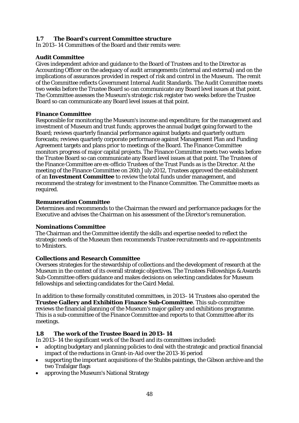# **1.7 The Board's current Committee structure**

In 2013–14 Committees of the Board and their remits were:

## **Audit Committee**

Gives independent advice and guidance to the Board of Trustees and to the Director as Accounting Officer on the adequacy of audit arrangements (internal and external) and on the implications of assurances provided in respect of risk and control in the Museum. The remit of the Committee reflects Government Internal Audit Standards. The Audit Committee meets two weeks before the Trustee Board so can communicate any Board level issues at that point. The Committee assesses the Museum's strategic risk register two weeks before the Trustee Board so can communicate any Board level issues at that point.

## **Finance Committee**

Responsible for monitoring the Museum's income and expenditure; for the management and investment of Museum and trust funds; approves the annual budget going forward to the Board; reviews quarterly financial performance against budgets and quarterly outturn forecasts; reviews quarterly corporate performance against Management Plan and Funding Agreement targets and plans prior to meetings of the Board. The Finance Committee monitors progress of major capital projects. The Finance Committee meets two weeks before the Trustee Board so can communicate any Board level issues at that point. The Trustees of the Finance Committee are ex-officio Trustees of the Trust Funds as is the Director. At the meeting of the Finance Committee on 26th July 2012, Trustees approved the establishment of an **Investment Committee** to review the total funds under management, and recommend the strategy for investment to the Finance Committee. The Committee meets as required.

## **Remuneration Committee**

Determines and recommends to the Chairman the reward and performance packages for the Executive and advises the Chairman on his assessment of the Director's remuneration.

## **Nominations Committee**

The Chairman and the Committee identify the skills and expertise needed to reflect the strategic needs of the Museum then recommends Trustee recruitments and re-appointments to Ministers.

## **Collections and Research Committee**

Oversees strategies for the stewardship of collections and the development of research at the Museum in the context of its overall strategic objectives. The Trustees Fellowships & Awards Sub-Committee offers guidance and makes decisions on selecting candidates for Museum fellowships and selecting candidates for the Caird Medal.

In addition to these formally constituted committees, in 2013–14 Trustees also operated the **Trustee Gallery and Exhibition Finance Sub-Committee**. This sub-committee reviews the financial planning of the Museum's major gallery and exhibitions programme. This is a sub-committee of the Finance Committee and reports to that Committee after its meetings.

## **1.8 The work of the Trustee Board in 2013–14**

In 2013–14 the significant work of the Board and its committees included:

- adopting budgetary and planning policies to deal with the strategic and practical financial impact of the reductions in Grant-in-Aid over the 2013-16 period
- supporting the important acquisitions of the Stubbs paintings, the Gibson archive and the two Trafalgar flags
- approving the Museum's National Strategy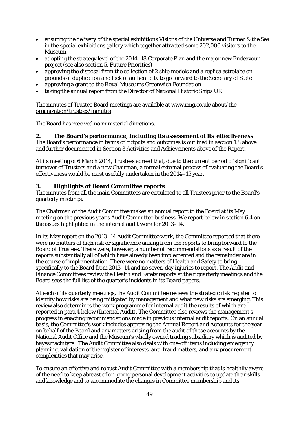- ensuring the delivery of the special exhibitions *Visions of the Universe* and *Turner & the Sea* in the special exhibitions gallery which together attracted some 202,000 visitors to the Museum
- adopting the strategy level of the 2014–18 Corporate Plan and the major new Endeavour project (see also section 5. Future Priorities)
- approving the disposal from the collection of 2 ship models and a replica astrolabe on grounds of duplication and lack of authenticity to go forward to the Secretary of State
- approving a grant to the Royal Museums Greenwich Foundation
- taking the annual report from the Director of National Historic Ships UK

The minutes of Trustee Board meetings are available a[t www.rmg.co.uk/about/the](http://www.rmg.co.uk/about/the-organization/trustees/minutes)[organization/trustees/minutes](http://www.rmg.co.uk/about/the-organization/trustees/minutes)

The Board has received no ministerial directions.

# **2. The Board's performance, including its assessment of its effectiveness**

The Board's performance in terms of outputs and outcomes is outlined in section 1.8 above and further documented in Section 3 Activities and Achievements above of the Report.

At its meeting of 6 March 2014, Trustees agreed that, due to the current period of significant turnover of Trustees and a new Chairman, a formal external process of evaluating the Board's effectiveness would be most usefully undertaken in the 2014–15 year.

# **3. Highlights of Board Committee reports**

The minutes from all the main Committees are circulated to all Trustees prior to the Board's quarterly meetings.

The Chairman of the Audit Committee makes an annual report to the Board at its May meeting on the previous year's Audit Committee business. We report below in section 6.4 on the issues highlighted in the internal audit work for 2013–14.

In its May report on the 2013–14 Audit Committee work, the Committee reported that there were no matters of high risk or significance arising from the reports to bring forward to the Board of Trustees. There were, however, a number of recommendations as a result of the reports substantially all of which have already been implemented and the remainder are in the course of implementation. There were no matters of Health and Safety to bring specifically to the Board from 2013–14 and no seven-day injuries to report. The Audit and Finance Committees review the Health and Safety reports at their quarterly meetings and the Board sees the full list of the quarter's incidents in its Board papers.

At each of its quarterly meetings, the Audit Committee reviews the strategic risk register to identify how risks are being mitigated by management and what new risks are emerging. This review also determines the work programme for internal audit the results of which are reported in para 4 below (Internal Audit). The Committee also reviews the management's progress in enacting recommendations made in previous internal audit reports. On an annual basis, the Committee's work includes approving the Annual Report and Accounts for the year on behalf of the Board and any matters arising from the audit of those accounts by the National Audit Office and the Museum's wholly owned trading subsidiary which is audited by hayesmacintyre. The Audit Committee also deals with one-off items including emergency planning, validation of the register of interests, anti-fraud matters, and any procurement complexities that may arise.

To ensure an effective and robust Audit Committee with a membership that is healthily aware of the need to keep abreast of on-going personal development activities to update their skills and knowledge and to accommodate the changes in Committee membership and its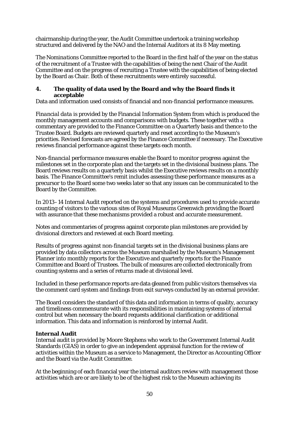chairmanship during the year, the Audit Committee undertook a training workshop structured and delivered by the NAO and the Internal Auditors at its 8 May meeting.

The *Nominations Committee* reported to the Board in the first half of the year on the status of the recruitment of a Trustee with the capabilities of being the next Chair of the Audit Committee and on the progress of recruiting a Trustee with the capabilities of being elected by the Board as Chair. Both of these recruitments were entirely successful.

## **4. The quality of data used by the Board and why the Board finds it acceptable**

Data and information used consists of financial and non-financial performance measures.

*Financial data* is provided by the Financial Information System from which is produced the monthly management accounts and comparisons with budgets. These together with a commentary are provided to the Finance Committee on a Quarterly basis and thence to the Trustee Board. Budgets are reviewed quarterly and reset according to the Museum's priorities. Revised forecasts are agreed by the Finance Committee if necessary. The Executive reviews financial performance against these targets each month.

*Non-financial performance measures* enable the Board to monitor progress against the milestones set in the corporate plan and the targets set in the divisional business plans. The Board reviews results on a quarterly basis whilst the Executive reviews results on a monthly basis. The Finance Committee's remit includes assessing these performance measures as a precursor to the Board some two weeks later so that any issues can be communicated to the Board by the Committee.

In 2013–14 Internal Audit reported on the systems and procedures used to provide accurate counting of visitors to the various sites of Royal Museums Greenwich providing the Board with assurance that these mechanisms provided a robust and accurate measurement.

Notes and commentaries of progress against corporate plan milestones are provided by divisional directors and reviewed at each Board meeting.

Results of progress against non-financial targets set in the divisional business plans are provided by data collectors across the Museum marshalled by the Museum's Management Planner into monthly reports for the Executive and quarterly reports for the Finance Committee and Board of Trustees. The bulk of measures are collected electronically from counting systems and a series of returns made at divisional level.

Included in these performance reports are data gleaned from public visitors themselves via the comment card system and findings from exit surveys conducted by an external provider.

The Board considers the standard of this data and information in terms of quality, accuracy and timeliness commensurate with its responsibilities in maintaining systems of internal control but when necessary the board requests additional clarification or additional information. This data and information is reinforced by internal Audit.

## **Internal Audit**

Internal audit is provided by Moore Stephens who work to the Government Internal Audit Standards (GIAS) in order to give an independent appraisal function for the review of activities within the Museum as a service to Management, the Director as Accounting Officer and the Board via the Audit Committee.

At the beginning of each financial year the internal auditors review with management those activities which are or are likely to be of the highest risk to the Museum achieving its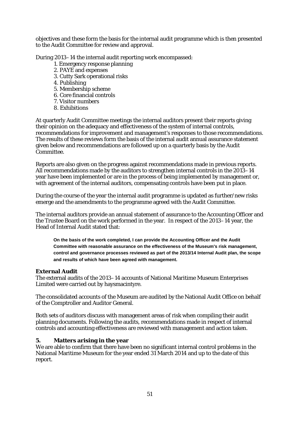objectives and these form the basis for the internal audit programme which is then presented to the Audit Committee for review and approval.

During 2013–14 the internal audit reporting work encompassed:

- 1. Emergency response planning
- 2. PAYE and expenses
- 3. Cutty Sark operational risks
- 4. Publishing
- 5. Membership scheme
- 6. Core financial controls
- 7. Visitor numbers
- 8. Exhibitions

At quarterly Audit Committee meetings the internal auditors present their reports giving their opinion on the adequacy and effectiveness of the system of internal controls, recommendations for improvement and management's responses to those recommendations. The results of these reviews form the basis of the internal audit annual assurance statement given below and recommendations are followed up on a quarterly basis by the Audit Committee.

Reports are also given on the progress against recommendations made in previous reports. All recommendations made by the auditors to strengthen internal controls in the 2013–14 year have been implemented or are in the process of being implemented by management or, with agreement of the internal auditors, compensating controls have been put in place.

During the course of the year the internal audit programme is updated as further/new risks emerge and the amendments to the programme agreed with the Audit Committee.

The internal auditors provide an annual statement of assurance to the Accounting Officer and the Trustee Board on the work performed in the year. In respect of the 2013–14 year, the Head of Internal Audit stated that:

**On the basis of the work completed, I can provide the Accounting Officer and the Audit Committee with reasonable assurance on the effectiveness of the Museum's risk management, control and governance processes reviewed as part of the 2013/14 Internal Audit plan, the scope and results of which have been agreed with management.** 

## **External Audit**

The external audits of the 2013–14 accounts of National Maritime Museum Enterprises Limited were carried out by haysmacintyre.

The consolidated accounts of the Museum are audited by the National Audit Office on behalf of the Comptroller and Auditor General.

Both sets of auditors discuss with management areas of risk when compiling their audit planning documents. Following the audits, recommendations made in respect of internal controls and accounting effectiveness are reviewed with management and action taken.

## **5. Matters arising in the year**

We are able to confirm that there have been no significant internal control problems in the National Maritime Museum for the year ended 31 March 2014 and up to the date of this report.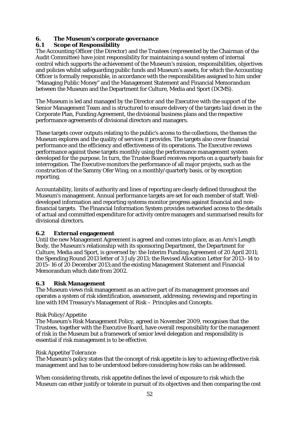# **6. The Museum's corporate governance**

# **6.1 Scope of Responsibility**

The Accounting Officer (the Director) and the Trustees (represented by the Chairman of the Audit Committee) have joint responsibility for maintaining a sound system of internal control which supports the achievement of the Museum's mission, responsibilities, objectives and policies whilst safeguarding public funds and Museum's assets, for which the Accounting Officer is formally responsible, in accordance with the responsibilities assigned to him under "Managing Public Money" and the Management Statement and Financial Memorandum between the Museum and the Department for Culture, Media and Sport (DCMS).

The Museum is led and managed by the Director and the Executive with the support of the Senior Management Team and is structured to ensure delivery of the targets laid down in the Corporate Plan, Funding Agreement, the divisional business plans and the respective performance agreements of divisional directors and managers.

These targets cover outputs relating to the public's access to the collections, the themes the Museum explores and the quality of services it provides. The targets also cover financial performance and the efficiency and effectiveness of its operations. The Executive reviews performance against these targets monthly using the performance management system developed for the purpose. In turn, the Trustee Board receives reports on a quarterly basis for interrogation. The Executive monitors the performance of all major projects, such as the construction of the Sammy Ofer Wing, on a monthly/quarterly basis, or by exception reporting.

Accountability, limits of authority and lines of reporting are clearly defined throughout the Museum's management. Annual performance targets are set for each member of staff. Welldeveloped information and reporting systems monitor progress against financial and nonfinancial targets. The Financial Information System provides networked access to the details of actual and committed expenditure for activity centre managers and summarised results for divisional directors.

## **6.2 External engagement**

Until the new Management Agreement is agreed and comes into place, as an Arm's Length Body, the Museum's relationship with its sponsoring Department, the Department for Culture, Media and Sport, is governed by: the Interim Funding Agreement of 20 April 2011; the Spending Round 2013 letter of 3 July 2013; the Revised Allocation Letter for 2013–14 to 2015–16 of 20 December 2013;and the existing Management Statement and Financial Memorandum which date from 2002.

## **6.3 Risk Management**

The Museum views risk management as an active part of its management processes and operates a system of risk identification, assessment, addressing, reviewing and reporting in line with HM Treasury's Management of Risk – Principles and Concepts.

## *Risk Policy/Appetite*

The Museum's Risk Management Policy, agreed in November 2009, recognises that the Trustees, together with the Executive Board, have overall responsibility for the management of risk in the Museum but a framework of senior level delegation and responsibility is essential if risk management is to be effective.

## *Risk Appetite/Tolerance*

The Museum's policy states that the concept of risk appetite is key to achieving effective risk management and has to be understood before considering how risks can be addressed.

When considering threats, risk appetite defines the level of exposure to risk which the Museum can either justify or tolerate in pursuit of its objectives and then comparing the cost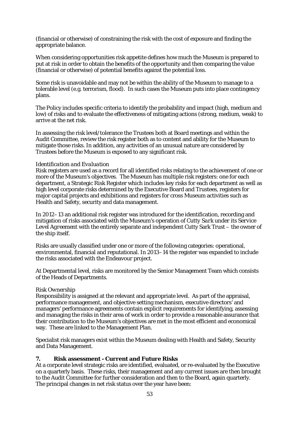(financial or otherwise) of constraining the risk with the cost of exposure and finding the appropriate balance.

When considering opportunities risk appetite defines how much the Museum is prepared to put at risk in order to obtain the benefits of the opportunity and then comparing the value (financial or otherwise) of potential benefits against the potential loss.

Some risk is unavoidable and may not be within the ability of the Museum to manage to a tolerable level (e.g. terrorism, flood). In such cases the Museum puts into place contingency plans.

The Policy includes specific criteria to identify the probability and impact (high, medium and low) of risks and to evaluate the effectiveness of mitigating actions (strong, medium, weak) to arrive at the net risk.

In assessing the risk level/tolerance the Trustees both at Board meetings and within the Audit Committee, review the risk register both as to content and ability for the Museum to mitigate those risks. In addition, any activities of an unusual nature are considered by Trustees before the Museum is exposed to any significant risk.

#### *Identification and Evaluation*

Risk registers are used as a record for all identified risks relating to the achievement of one or more of the Museum's objectives. The Museum has multiple risk registers: one for each department, a Strategic Risk Register which includes key risks for each department as well as high level corporate risks determined by the Executive Board and Trustees, registers for major capital projects and exhibitions and registers for cross Museum activities such as Health and Safety, security and data management.

In 2012–13 an additional risk register was introduced for the identification, recording and mitigation of risks associated with the Museum's operation of *Cutty Sark under its Service Level Agreement* with the entirely separate and independent Cutty Sark Trust – the owner of the ship itself.

Risks are usually classified under one or more of the following categories: operational, environmental, financial and reputational. In 2013–14 the register was expanded to include the risks associated with the Endeavour project.

At Departmental level, risks are monitored by the Senior Management Team which consists of the Heads of Departments.

## *Risk Ownership*

Responsibility is assigned at the relevant and appropriate level. As part of the appraisal, performance management, and objective setting mechanism, executive directors' and managers' performance agreements contain explicit requirements for identifying, assessing and managing the risks in their area of work in order to provide a reasonable assurance that their contribution to the Museum's objectives are met in the most efficient and economical way. These are linked to the Management Plan.

Specialist risk managers exist within the Museum dealing with Health and Safety, Security and Data Management.

## **7. Risk assessment - Current and Future Risks**

At a corporate level strategic risks are identified, evaluated, or re-evaluated by the Executive on a quarterly basis. These risks, their management and any current issues are then brought to the Audit Committee for further consideration and then to the Board, again quarterly. The principal changes in net risk status over the year have been: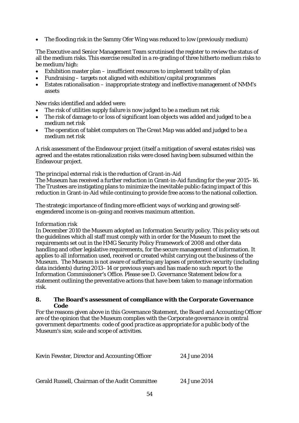• The flooding risk in the Sammy Ofer Wing was reduced to low (previously medium)

The Executive and Senior Management Team scrutinised the register to review the status of all the medium risks. This exercise resulted in a re-grading of three hitherto medium risks to be medium/high:

- Exhibition master plan insufficient resources to implement totality of plan
- Fundraising targets not aligned with exhibition/capital programmes
- Estates rationalisation inappropriate strategy and ineffective management of NMM's assets

New risks identified and added were:

- The risk of utilities supply failure is now judged to be a medium net risk
- The risk of damage to or loss of significant loan objects was added and judged to be a medium net risk
- The operation of tablet computers on *The Great Map* was added and judged to be a medium net risk

A risk assessment of the Endeavour project (itself a mitigation of several estates risks) was agreed and the estates rationalization risks were closed having been subsumed within the Endeavour project.

#### *The principal external risk is the reduction of Grant-in-Aid*

The Museum has received a further reduction in Grant-in-Aid funding for the year 2015–16. The Trustees are instigating plans to minimize the inevitable public-facing impact of this reduction in Grant-in-Aid while continuing to provide free access to the national collection.

The strategic importance of finding more efficient ways of working and growing selfengendered income is on-going and receives maximum attention.

#### *Information risk*

In December 2010 the Museum adopted an Information Security policy. This policy sets out the guidelines which all staff must comply with in order for the Museum to meet the requirements set out in the HMG Security Policy Framework of 2008 and other data handling and other legislative requirements, for the secure management of information. It applies to all information used, received or created whilst carrying out the business of the Museum. The Museum is not aware of suffering any lapses of protective security (including data incidents) during 2013–14 or previous years and has made no such report to the Information Commissioner's Office. Please see D. Governance Statement below for a statement outlining the preventative actions that have been taken to manage information risk.

#### **8. The Board's assessment of compliance with the Corporate Governance Code**

For the reasons given above in this Governance Statement, the Board and Accounting Officer are of the opinion that the Museum complies with the *Corporate governance in central government departments: code of good practice* as appropriate for a public body of the Museum's size, scale and scope of activities.

| Kevin Fewster, Director and Accounting Officer | 24 June 2014 |
|------------------------------------------------|--------------|
|------------------------------------------------|--------------|

Gerald Russell, Chairman of the Audit Committee 24 June 2014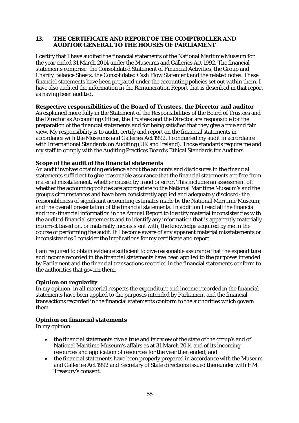## **13. THE CERTIFICATE AND REPORT OF THE COMPTROLLER AND AUDITOR GENERAL TO THE HOUSES OF PARLIAMENT**

I certify that I have audited the financial statements of the National Maritime Museum for the year ended 31 March 2014 under the Museums and Galleries Act 1992. The financial statements comprise: the Consolidated Statement of Financial Activities, the Group and Charity Balance Sheets, the Consolidated Cash Flow Statement and the related notes. These financial statements have been prepared under the accounting policies set out within them. I have also audited the information in the Remuneration Report that is described in that report as having been audited.

## **Respective responsibilities of the Board of Trustees, the Director and auditor**

As explained more fully in the Statement of the Responsibilities of the Board of Trustees and the Director as Accounting Officer, the Trustees and the Director are responsible for the preparation of the financial statements and for being satisfied that they give a true and fair view. My responsibility is to audit, certify and report on the financial statements in accordance with the Museums and Galleries Act 1992. I conducted my audit in accordance with International Standards on Auditing (UK and Ireland). Those standards require me and my staff to comply with the Auditing Practices Board's Ethical Standards for Auditors.

# **Scope of the audit of the financial statements**

An audit involves obtaining evidence about the amounts and disclosures in the financial statements sufficient to give reasonable assurance that the financial statements are free from material misstatement, whether caused by fraud or error. This includes an assessment of: whether the accounting policies are appropriate to the National Maritime Museum's and the group's circumstances and have been consistently applied and adequately disclosed; the reasonableness of significant accounting estimates made by the National Maritime Museum; and the overall presentation of the financial statements. In addition I read all the financial and non-financial information in the Annual Report to identify material inconsistencies with the audited financial statements and to identify any information that is apparently materially incorrect based on, or materially inconsistent with, the knowledge acquired by me in the course of performing the audit. If I become aware of any apparent material misstatements or inconsistencies I consider the implications for my certificate and report.

I am required to obtain evidence sufficient to give reasonable assurance that the expenditure and income recorded in the financial statements have been applied to the purposes intended by Parliament and the financial transactions recorded in the financial statements conform to the authorities that govern them.

## **Opinion on regularity**

In my opinion, in all material respects the expenditure and income recorded in the financial statements have been applied to the purposes intended by Parliament and the financial transactions recorded in the financial statements conform to the authorities which govern them.

# **Opinion on financial statements**

In my opinion:

- the financial statements give a true and fair view of the state of the group's and of National Maritime Museum's affairs as at 31 March 2014 and of its incoming resources and application of resources for the year then ended; and
- the financial statements have been properly prepared in accordance with the Museum and Galleries Act 1992 and Secretary of State directions issued thereunder with HM Treasury's consent.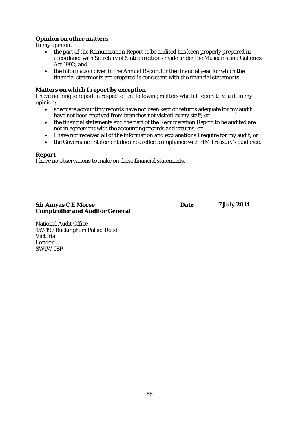# **Opinion on other matters**

In my opinion:

- the part of the Remuneration Report to be audited has been properly prepared in accordance with Secretary of State directions made under the Museums and Galleries Act 1992; and
- the information given in the Annual Report for the financial year for which the financial statements are prepared is consistent with the financial statements.

## **Matters on which I report by exception**

I have nothing to report in respect of the following matters which I report to you if, in my opinion:

- adequate accounting records have not been kept or returns adequate for my audit have not been received from branches not visited by my staff; or
- the financial statements and the part of the Remuneration Report to be audited are not in agreement with the accounting records and returns; or
- I have not received all of the information and explanations I require for my audit; or
- the Governance Statement does not reflect compliance with HM Treasury's guidance.

#### **Report**

I have no observations to make on these financial statements.

#### **Sir Amyas C E Morse Date Comptroller and Auditor General**

**7 July 2014**

National Audit Office 157-197 Buckingham Palace Road Victoria London SW1W 9SP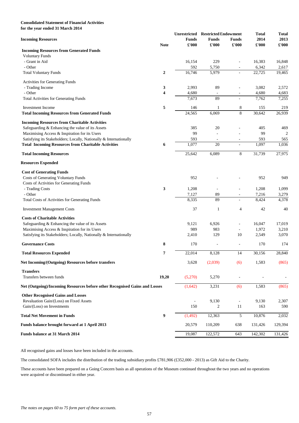# **Consolidated Statement of Financial Activities for the year ended 31 March 2014**

|                                                                            |                         | <b>Unrestricted</b>           | <b>Restricted Endowment</b>    |                               | <b>Total</b>  | <b>Total</b>          |
|----------------------------------------------------------------------------|-------------------------|-------------------------------|--------------------------------|-------------------------------|---------------|-----------------------|
| <b>Incoming Resources</b>                                                  | <b>Note</b>             | <b>Funds</b><br>$\pounds 000$ | <b>Funds</b><br>$\pounds$ '000 | <b>Funds</b><br>$\pounds 000$ | 2014<br>£'000 | 2013<br>$\pounds 000$ |
| <b>Incoming Resources from Generated Funds</b>                             |                         |                               |                                |                               |               |                       |
| <b>Voluntary Funds</b>                                                     |                         |                               |                                |                               |               |                       |
| - Grant in Aid                                                             |                         | 16,154                        | 229                            |                               | 16,383        | 16,848                |
| - Other                                                                    |                         | 592                           | 5,750                          |                               | 6,342         | 2,617                 |
| <b>Total Voluntary Funds</b>                                               | $\boldsymbol{2}$        | 16,746                        | 5,979                          | $\blacksquare$                | 22,725        | 19,465                |
| <b>Activities for Generating Funds</b>                                     |                         |                               |                                |                               |               |                       |
| - Trading Income                                                           | $\mathbf{3}$            | 2,993                         | 89                             |                               | 3,082         | 2,572                 |
| - Other                                                                    | $\overline{\mathbf{4}}$ | 4,680                         |                                | $\blacksquare$                | 4,680         | 4,683                 |
| <b>Total Activities for Generating Funds</b>                               |                         | 7,673                         | 89                             | $\blacksquare$                | 7,762         | 7,255                 |
| <b>Investment</b> Income                                                   | 5                       | 146                           |                                | 8                             | 155           | 219                   |
| <b>Total Incoming Resources from Generated Funds</b>                       |                         | 24,565                        | 6,069                          | $8\,$                         | 30,642        | 26,939                |
| <b>Incoming Resources from Charitable Activities</b>                       |                         |                               |                                |                               |               |                       |
| Safeguarding & Enhancing the value of its Assets                           |                         | 385                           | 20                             |                               | 405           | 469                   |
| Maximising Access & Inspiration for its Users                              |                         | 99                            |                                |                               | 99            | $\overline{2}$        |
| Satisfying its Stakeholders; Locally, Nationally & Internationally         |                         | 593                           |                                | $\overline{\phantom{a}}$      | 593           | 565                   |
| <b>Total Incoming Resources from Charitable Activities</b>                 | 6                       | 1,077                         | 20                             |                               | 1,097         | 1,036                 |
| <b>Total Incoming Resources</b>                                            |                         | 25,642                        | 6,089                          | 8                             | 31,739        | 27,975                |
| <b>Resources Expended</b>                                                  |                         |                               |                                |                               |               |                       |
| <b>Cost of Generating Funds</b>                                            |                         |                               |                                |                               |               |                       |
| <b>Costs of Generating Voluntary Funds</b>                                 |                         | 952                           |                                |                               | 952           | 949                   |
| Costs of Activities for Generating Funds                                   |                         |                               |                                |                               |               |                       |
| - Trading Costs                                                            | 3                       | 1,208                         |                                |                               | 1,208         | 1,099                 |
| - Other                                                                    |                         | 7,127                         | 89                             | $\overline{\phantom{a}}$      | 7,216         | 3,279                 |
| <b>Total Costs of Activities for Generating Funds</b>                      |                         | 8,335                         | 89                             |                               | 8,424         | 4,378                 |
| <b>Investment Management Costs</b>                                         |                         | 37                            | $\mathbf{1}$                   | $\overline{4}$                | 42            | 40                    |
| <b>Costs of Charitable Activities</b>                                      |                         |                               |                                |                               |               |                       |
| Safeguarding & Enhancing the value of its Assets                           |                         | 9,121                         | 6,926                          |                               | 16,047        | 17,019                |
| Maximising Access & Inspiration for its Users                              |                         | 989                           | 983                            | $\blacksquare$                | 1,972         | 3,210                 |
| Satisfying its Stakeholders; Locally, Nationally & Internationally         |                         | 2,410                         | 129                            | 10                            | 2,549         | 3,070                 |
| <b>Governance Costs</b>                                                    | 8                       | 170                           |                                | $\overline{\phantom{a}}$      | 170           | 174                   |
| <b>Total Resources Expended</b>                                            | 7                       | 22,014                        | 8,128                          | 14                            | 30,156        | 28,840                |
| Net Incoming/(Outgoing) Resources before transfers                         |                         | 3,628                         | (2,039)                        | (6)                           | 1,583         | (865)                 |
| <b>Transfers</b>                                                           |                         |                               |                                |                               |               |                       |
| Transfers between funds                                                    | 19,20                   | (5,270)                       | 5,270                          |                               |               |                       |
| Net (Outgoing)/Incoming Resources before other Recognised Gains and Losses |                         | (1,642)                       | 3,231                          | (6)                           | 1,583         | (865)                 |
| <b>Other Recognised Gains and Losses</b>                                   |                         |                               |                                |                               |               |                       |
| Revaluation Gain/(Loss) on Fixed Assets                                    |                         |                               | 9,130                          |                               | 9,130         | 2,307                 |
| Gain/(Loss) on Investments                                                 |                         | 150                           | $\mathbf{2}$                   | 11                            | 163           | 590                   |
| <b>Total Net Movement in Funds</b>                                         | $\boldsymbol{9}$        | (1, 492)                      | 12,363                         | 5                             | 10,876        | 2,032                 |
| Funds balance brought forward at 1 April 2013                              |                         | 20,579                        | 110,209                        | 638                           | 131,426       | 129,394               |

**Funds balance at 31 March 2014** 19,087 122,572 643 142,302 131,426

All recognised gains and losses have been included in the accounts.

The consolidated SOFA includes the distribution of the trading subsidiary profits £781,906 (£352,000 - 2013) as Gift Aid to the Charity.

These accounts have been prepared on a Going Concern basis as all operations of the Museum continued throughout the two years and no operations were acquired or discontinued in either year.

*The notes on pages 60 to 75 form part of these accounts.*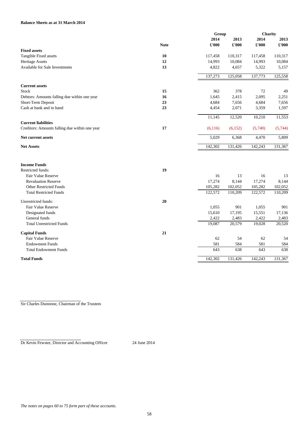# **Balance Sheets as at 31 March 2014**

| 2014<br>2013<br>2014<br>2013<br>$\pounds 000$<br><b>Note</b><br>£'000<br>£'000<br>$\pounds 000$<br><b>Fixed assets</b><br>Tangible Fixed assets<br><b>10</b><br>110,317<br>110,317<br>117,458<br>117,458<br><b>Heritage Assets</b><br>12<br>14,993<br>10,084<br>14,993<br>10,084<br><b>Available for Sale Investments</b><br>13<br>4,822<br>4,657<br>5,322<br>5,157<br>137,273<br>125,058<br>137,773<br>125,558<br><b>Current assets</b><br>15<br>378<br>362<br>72<br><b>Stock</b><br>49<br>16<br>1,645<br>2,415<br>2,095<br>2,251<br>Debtors: Amounts falling due within one year<br>23<br>Short-Term Deposit<br>4,684<br>7,656<br>4,684<br>7,656<br>Cash at bank and in hand<br>23<br>2,071<br>1,597<br>4,454<br>3,359<br>11,145<br>10,210<br>12,520<br><b>Current liabilities</b><br>17<br>(5,744)<br>Creditors: Amounts falling due within one year<br>(6,116)<br>(6, 152)<br>(5,740)<br>Net current assets<br>5,029<br>6,368<br>4,470<br>5,809<br>131,367<br><b>Net Assets</b><br>142,302<br>131,426<br>142,243<br><b>Income Funds</b><br>19<br><b>Restricted funds:</b><br><b>Fair Value Reserve</b><br>16<br>13<br>16<br>13<br><b>Revaluation Reserve</b><br>17,274<br>8,144<br>17,274<br>8,144<br><b>Other Restricted Funds</b><br>105,282<br>102,052<br>105,282<br>102,052<br><b>Total Restricted Funds</b><br>122,572<br>110,209<br>110,209<br>122,572<br>20<br>Unrestricted funds:<br><b>Fair Value Reserve</b><br>1,055<br>901<br>1,055<br>901<br>Designated funds<br>15,610<br>17,195<br>15,551<br>17,136<br>General funds<br>2,422<br>2,483<br>2,422<br>2,483<br><b>Total Unrestricted Funds</b><br>19,087<br>20,579<br>19,028<br><b>Capital Funds</b><br>21<br>Fair Value Reserve<br>62<br>62<br>54<br>54<br><b>Endowment Funds</b><br>581<br>584<br>581<br>584<br><b>Total Endowment Funds</b><br>643<br>638<br>638<br>643<br><b>Total Funds</b><br>131,426<br>142,243<br>131,367<br>142,302 |  | Group |  | <b>Charity</b> |        |  |
|--------------------------------------------------------------------------------------------------------------------------------------------------------------------------------------------------------------------------------------------------------------------------------------------------------------------------------------------------------------------------------------------------------------------------------------------------------------------------------------------------------------------------------------------------------------------------------------------------------------------------------------------------------------------------------------------------------------------------------------------------------------------------------------------------------------------------------------------------------------------------------------------------------------------------------------------------------------------------------------------------------------------------------------------------------------------------------------------------------------------------------------------------------------------------------------------------------------------------------------------------------------------------------------------------------------------------------------------------------------------------------------------------------------------------------------------------------------------------------------------------------------------------------------------------------------------------------------------------------------------------------------------------------------------------------------------------------------------------------------------------------------------------------------------------------------------------------------------------------------------------------------------------------------|--|-------|--|----------------|--------|--|
|                                                                                                                                                                                                                                                                                                                                                                                                                                                                                                                                                                                                                                                                                                                                                                                                                                                                                                                                                                                                                                                                                                                                                                                                                                                                                                                                                                                                                                                                                                                                                                                                                                                                                                                                                                                                                                                                                                              |  |       |  |                |        |  |
|                                                                                                                                                                                                                                                                                                                                                                                                                                                                                                                                                                                                                                                                                                                                                                                                                                                                                                                                                                                                                                                                                                                                                                                                                                                                                                                                                                                                                                                                                                                                                                                                                                                                                                                                                                                                                                                                                                              |  |       |  |                |        |  |
|                                                                                                                                                                                                                                                                                                                                                                                                                                                                                                                                                                                                                                                                                                                                                                                                                                                                                                                                                                                                                                                                                                                                                                                                                                                                                                                                                                                                                                                                                                                                                                                                                                                                                                                                                                                                                                                                                                              |  |       |  |                |        |  |
|                                                                                                                                                                                                                                                                                                                                                                                                                                                                                                                                                                                                                                                                                                                                                                                                                                                                                                                                                                                                                                                                                                                                                                                                                                                                                                                                                                                                                                                                                                                                                                                                                                                                                                                                                                                                                                                                                                              |  |       |  |                |        |  |
|                                                                                                                                                                                                                                                                                                                                                                                                                                                                                                                                                                                                                                                                                                                                                                                                                                                                                                                                                                                                                                                                                                                                                                                                                                                                                                                                                                                                                                                                                                                                                                                                                                                                                                                                                                                                                                                                                                              |  |       |  |                |        |  |
|                                                                                                                                                                                                                                                                                                                                                                                                                                                                                                                                                                                                                                                                                                                                                                                                                                                                                                                                                                                                                                                                                                                                                                                                                                                                                                                                                                                                                                                                                                                                                                                                                                                                                                                                                                                                                                                                                                              |  |       |  |                |        |  |
|                                                                                                                                                                                                                                                                                                                                                                                                                                                                                                                                                                                                                                                                                                                                                                                                                                                                                                                                                                                                                                                                                                                                                                                                                                                                                                                                                                                                                                                                                                                                                                                                                                                                                                                                                                                                                                                                                                              |  |       |  |                |        |  |
|                                                                                                                                                                                                                                                                                                                                                                                                                                                                                                                                                                                                                                                                                                                                                                                                                                                                                                                                                                                                                                                                                                                                                                                                                                                                                                                                                                                                                                                                                                                                                                                                                                                                                                                                                                                                                                                                                                              |  |       |  |                |        |  |
|                                                                                                                                                                                                                                                                                                                                                                                                                                                                                                                                                                                                                                                                                                                                                                                                                                                                                                                                                                                                                                                                                                                                                                                                                                                                                                                                                                                                                                                                                                                                                                                                                                                                                                                                                                                                                                                                                                              |  |       |  |                |        |  |
|                                                                                                                                                                                                                                                                                                                                                                                                                                                                                                                                                                                                                                                                                                                                                                                                                                                                                                                                                                                                                                                                                                                                                                                                                                                                                                                                                                                                                                                                                                                                                                                                                                                                                                                                                                                                                                                                                                              |  |       |  |                |        |  |
|                                                                                                                                                                                                                                                                                                                                                                                                                                                                                                                                                                                                                                                                                                                                                                                                                                                                                                                                                                                                                                                                                                                                                                                                                                                                                                                                                                                                                                                                                                                                                                                                                                                                                                                                                                                                                                                                                                              |  |       |  |                |        |  |
|                                                                                                                                                                                                                                                                                                                                                                                                                                                                                                                                                                                                                                                                                                                                                                                                                                                                                                                                                                                                                                                                                                                                                                                                                                                                                                                                                                                                                                                                                                                                                                                                                                                                                                                                                                                                                                                                                                              |  |       |  |                |        |  |
|                                                                                                                                                                                                                                                                                                                                                                                                                                                                                                                                                                                                                                                                                                                                                                                                                                                                                                                                                                                                                                                                                                                                                                                                                                                                                                                                                                                                                                                                                                                                                                                                                                                                                                                                                                                                                                                                                                              |  |       |  |                | 11,553 |  |
|                                                                                                                                                                                                                                                                                                                                                                                                                                                                                                                                                                                                                                                                                                                                                                                                                                                                                                                                                                                                                                                                                                                                                                                                                                                                                                                                                                                                                                                                                                                                                                                                                                                                                                                                                                                                                                                                                                              |  |       |  |                |        |  |
|                                                                                                                                                                                                                                                                                                                                                                                                                                                                                                                                                                                                                                                                                                                                                                                                                                                                                                                                                                                                                                                                                                                                                                                                                                                                                                                                                                                                                                                                                                                                                                                                                                                                                                                                                                                                                                                                                                              |  |       |  |                |        |  |
|                                                                                                                                                                                                                                                                                                                                                                                                                                                                                                                                                                                                                                                                                                                                                                                                                                                                                                                                                                                                                                                                                                                                                                                                                                                                                                                                                                                                                                                                                                                                                                                                                                                                                                                                                                                                                                                                                                              |  |       |  |                |        |  |
|                                                                                                                                                                                                                                                                                                                                                                                                                                                                                                                                                                                                                                                                                                                                                                                                                                                                                                                                                                                                                                                                                                                                                                                                                                                                                                                                                                                                                                                                                                                                                                                                                                                                                                                                                                                                                                                                                                              |  |       |  |                |        |  |
|                                                                                                                                                                                                                                                                                                                                                                                                                                                                                                                                                                                                                                                                                                                                                                                                                                                                                                                                                                                                                                                                                                                                                                                                                                                                                                                                                                                                                                                                                                                                                                                                                                                                                                                                                                                                                                                                                                              |  |       |  |                |        |  |
|                                                                                                                                                                                                                                                                                                                                                                                                                                                                                                                                                                                                                                                                                                                                                                                                                                                                                                                                                                                                                                                                                                                                                                                                                                                                                                                                                                                                                                                                                                                                                                                                                                                                                                                                                                                                                                                                                                              |  |       |  |                |        |  |
|                                                                                                                                                                                                                                                                                                                                                                                                                                                                                                                                                                                                                                                                                                                                                                                                                                                                                                                                                                                                                                                                                                                                                                                                                                                                                                                                                                                                                                                                                                                                                                                                                                                                                                                                                                                                                                                                                                              |  |       |  |                |        |  |
|                                                                                                                                                                                                                                                                                                                                                                                                                                                                                                                                                                                                                                                                                                                                                                                                                                                                                                                                                                                                                                                                                                                                                                                                                                                                                                                                                                                                                                                                                                                                                                                                                                                                                                                                                                                                                                                                                                              |  |       |  |                |        |  |
|                                                                                                                                                                                                                                                                                                                                                                                                                                                                                                                                                                                                                                                                                                                                                                                                                                                                                                                                                                                                                                                                                                                                                                                                                                                                                                                                                                                                                                                                                                                                                                                                                                                                                                                                                                                                                                                                                                              |  |       |  |                |        |  |
|                                                                                                                                                                                                                                                                                                                                                                                                                                                                                                                                                                                                                                                                                                                                                                                                                                                                                                                                                                                                                                                                                                                                                                                                                                                                                                                                                                                                                                                                                                                                                                                                                                                                                                                                                                                                                                                                                                              |  |       |  |                |        |  |
|                                                                                                                                                                                                                                                                                                                                                                                                                                                                                                                                                                                                                                                                                                                                                                                                                                                                                                                                                                                                                                                                                                                                                                                                                                                                                                                                                                                                                                                                                                                                                                                                                                                                                                                                                                                                                                                                                                              |  |       |  |                |        |  |
|                                                                                                                                                                                                                                                                                                                                                                                                                                                                                                                                                                                                                                                                                                                                                                                                                                                                                                                                                                                                                                                                                                                                                                                                                                                                                                                                                                                                                                                                                                                                                                                                                                                                                                                                                                                                                                                                                                              |  |       |  |                |        |  |
|                                                                                                                                                                                                                                                                                                                                                                                                                                                                                                                                                                                                                                                                                                                                                                                                                                                                                                                                                                                                                                                                                                                                                                                                                                                                                                                                                                                                                                                                                                                                                                                                                                                                                                                                                                                                                                                                                                              |  |       |  |                |        |  |
|                                                                                                                                                                                                                                                                                                                                                                                                                                                                                                                                                                                                                                                                                                                                                                                                                                                                                                                                                                                                                                                                                                                                                                                                                                                                                                                                                                                                                                                                                                                                                                                                                                                                                                                                                                                                                                                                                                              |  |       |  |                |        |  |
|                                                                                                                                                                                                                                                                                                                                                                                                                                                                                                                                                                                                                                                                                                                                                                                                                                                                                                                                                                                                                                                                                                                                                                                                                                                                                                                                                                                                                                                                                                                                                                                                                                                                                                                                                                                                                                                                                                              |  |       |  |                |        |  |
|                                                                                                                                                                                                                                                                                                                                                                                                                                                                                                                                                                                                                                                                                                                                                                                                                                                                                                                                                                                                                                                                                                                                                                                                                                                                                                                                                                                                                                                                                                                                                                                                                                                                                                                                                                                                                                                                                                              |  |       |  |                | 20,520 |  |
|                                                                                                                                                                                                                                                                                                                                                                                                                                                                                                                                                                                                                                                                                                                                                                                                                                                                                                                                                                                                                                                                                                                                                                                                                                                                                                                                                                                                                                                                                                                                                                                                                                                                                                                                                                                                                                                                                                              |  |       |  |                |        |  |
|                                                                                                                                                                                                                                                                                                                                                                                                                                                                                                                                                                                                                                                                                                                                                                                                                                                                                                                                                                                                                                                                                                                                                                                                                                                                                                                                                                                                                                                                                                                                                                                                                                                                                                                                                                                                                                                                                                              |  |       |  |                |        |  |
|                                                                                                                                                                                                                                                                                                                                                                                                                                                                                                                                                                                                                                                                                                                                                                                                                                                                                                                                                                                                                                                                                                                                                                                                                                                                                                                                                                                                                                                                                                                                                                                                                                                                                                                                                                                                                                                                                                              |  |       |  |                |        |  |
|                                                                                                                                                                                                                                                                                                                                                                                                                                                                                                                                                                                                                                                                                                                                                                                                                                                                                                                                                                                                                                                                                                                                                                                                                                                                                                                                                                                                                                                                                                                                                                                                                                                                                                                                                                                                                                                                                                              |  |       |  |                |        |  |
|                                                                                                                                                                                                                                                                                                                                                                                                                                                                                                                                                                                                                                                                                                                                                                                                                                                                                                                                                                                                                                                                                                                                                                                                                                                                                                                                                                                                                                                                                                                                                                                                                                                                                                                                                                                                                                                                                                              |  |       |  |                |        |  |

Dr Kevin Fewster, Director and Accounting Officer 24 June 2014

*The notes on pages 60 to 75 form part of these accounts.*

Sir Charles Dunstone, Chairman of the Trustees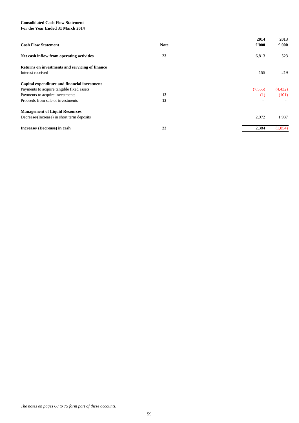# **Consolidated Cash Flow Statement For the Year Ended 31 March 2014**

| <b>Cash Flow Statement</b>                                           | <b>Note</b> | 2014<br>$\pounds 000$ | 2013<br>$\pounds 000$ |
|----------------------------------------------------------------------|-------------|-----------------------|-----------------------|
| Net cash inflow from operating activities                            | 23          | 6,813                 | 523                   |
| Returns on investments and servicing of finance<br>Interest received |             | 155                   | 219                   |
| Capital expenditure and financial investment                         |             |                       |                       |
| Payments to acquire tangible fixed assets                            |             | (7,555)               | (4, 432)              |
| Payments to acquire investments                                      | 13          | (1)                   | (101)                 |
| Proceeds from sale of investments                                    | 13          | $\blacksquare$        |                       |
| <b>Management of Liquid Resources</b>                                |             |                       |                       |
| Decrease/(Increase) in short term deposits                           |             | 2,972                 | 1,937                 |
| Increase/ (Decrease) in cash                                         | 23          | 2,384                 | (1, 854)              |

*The notes on pages 60 to 75 form part of these accounts.*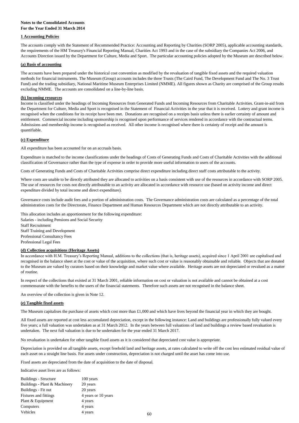# **Notes to the Consolidated Accounts For the Year Ended 31 March 2014**

# **1 Accounting Policies**

## **(a) Basis of accounting**

# **(b) Incoming resources**

# **(c) Expenditure**

All expenditure has been accounted for on an accruals basis.

This allocation includes an apportionment for the following expenditure: Salaries - including Pensions and Social Security Staff Recruitment Staff Training and Development Professional Consultancy Fees Professional Legal Fees

## **(d) Collection acquisitions (Heritage Assets)**

An overview of the collection is given in Note 12.

## **(e) Tangible fixed assets**

No revaluation is undertaken for other tangible fixed assets as it is considered that depreciated cost value is appropriate.

Fixed assets are depreciated from the date of acquisition to the date of disposal.

Indicative asset lives are as follows:

| Buildings - Structure         | 100 years           |
|-------------------------------|---------------------|
| Buildings - Plant & Machinery | 20 years            |
| Buildings - Fit out           | 20 years            |
| Fixtures and fittings         | 4 years or 10 years |
| Plant & Equipment             | 4 years             |
| Computers                     | 4 years             |
| Vehicles                      | 4 years             |
|                               |                     |

Governance costs include audit fees and a portion of administration costs. The Governance administration costs are calculated as a percentage of the total administration costs for the Directorate, Finance Department and Human Resources Department which are not directly attributable to an activity.

In respect of the collections that existed at 31 March 2001, reliable information on cost or valuation is not available and cannot be obtained at a cost commensurate with the benefits to the users of the financial statements. Therefore such assets are not recognised in the balance sheet.

The Museum capitalises the purchase of assets which cost more than £1,000 and which have lives beyond the financial year in which they are bought.

Depreciation is provided on all tangible assets, except freehold land and heritage assets, at rates calculated to write off the cost less estimated residual value of each asset on a straight line basis. For assets under construction, depreciation is not charged until the asset has come into use.

In accordance with H.M. Treasury's Reporting Manual, additions to the collections (that is, heritage assets), acquired since 1 April 2001 are capitalised and recognised in the balance sheet at the cost or value of the acquisition, where such cost or value is reasonably obtainable and reliable. Objects that are donated to the Museum are valued by curators based on their knowledge and market value where available. Heritage assets are not depreciated or revalued as a matter of routine.

All fixed assets are reported at cost less accumulated depreciation, except in the following instance: Land and buildings are professionally fully valued every five years; a full valuation was undertaken as at 31 March 2012. In the years between full valuations of land and buildings a review based revaluation is

#### undertaken. The next full valuation is due to be undertaken for the year ended 31 March 2017.

The accounts comply with the Statement of Recommended Practice: Accounting and Reporting by Charities (SORP 2005), applicable accounting standards, the requirements of the HM Treasury's Financial Reporting Manual, Charities Act 1993 and in the case of the subsidiary the Companies Act 2006, and Accounts Direction issued by the Department for Culture, Media and Sport. The particular accounting policies adopted by the Museum are described below.

The accounts have been prepared under the historical cost convention as modified by the revaluation of tangible fixed assets and the required valuation methods for financial instruments. The Museum (Group) accounts includes the three Trusts (The Caird Fund, The Development Fund and The No. 3 Trust Fund) and the trading subsidiary, National Maritime Museum Enterprises Limited (NMME). All figures shown as Charity are comprised of the Group results excluding NMME. The accounts are consolidated on a line-by-line basis.

Expenditure is matched to the income classifications under the headings of Costs of Generating Funds and Costs of Charitable Activities with the additional classification of Governance rather than the type of expense in order to provide more useful information to users of the accounts.

Costs of Generating Funds and Costs of Charitable Activities comprise direct expenditure including direct staff costs attributable to the activity.

Where costs are unable to be directly attributed they are allocated to activities on a basis consistent with use of the resources in accordance with SORP 2005. The use of resources for costs not directly attributable to an activity are allocated in accordance with resource use (based on activity income and direct expenditure divided by total income and direct expenditure).

Income is classified under the headings of Incoming Resources from Generated Funds and Incoming Resources from Charitable Activities. Grant-in-aid from the Department for Culture, Media and Sport is recognised in the Statement of Financial Activities in the year that it is received. Lottery and grant income is recognised when the conditions for its receipt have been met. Donations are recognised on a receipts basis unless there is earlier certainty of amount and entitlement. Commercial income including sponsorship is recognised upon performance of services rendered in accordance with the contractual terms. Admissions and membership income is recognised as received. All other income is recognised where there is certainty of receipt and the amount is quantifiable.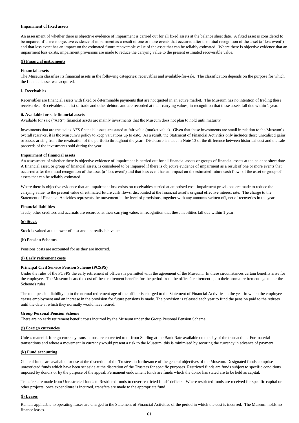## **Impairment of fixed assets**

#### **(f) Financial instruments**

#### **Financial assets**

#### **i. Receivables**

#### **ii. Available for sale financial assets**

Available for sale ("AFS") financial assets are mainly investments that the Museum does not plan to hold until maturity.

#### **Impairment of financial assets**

#### **Financial liabilities**

Trade, other creditors and accruals are recorded at their carrying value, in recognition that these liabilities fall due within 1 year.

## **(g) Stock**

Stock is valued at the lower of cost and net realisable value.

#### **(h) Pension Schemes**

Pensions costs are accounted for as they are incurred.

#### **(i) Early retirement costs**

## **Principal Civil Service Pension Scheme (PCSPS)**

#### **Group Personal Pension Scheme**

#### **(j) Foreign currencies**

# **(k) Fund accounting**

## **(l) Leases**

Rentals applicable to operating leases are charged to the Statement of Financial Activities of the period in which the cost is incurred. The Museum holds no finance leases.

Under the rules of the PCSPS the early retirement of officers is permitted with the agreement of the Museum. In these circumstances certain benefits arise for the employee. The Museum bears the cost of these retirement benefits for the period from the officer's retirement up to their normal retirement age under the Scheme's rules.

The total pension liability up to the normal retirement age of the officer is charged to the Statement of Financial Activities in the year in which the employee ceases employment and an increase in the provision for future pensions is made. The provision is released each year to fund the pension paid to the retirees until the date at which they normally would have retired.

There are no early retirement benefit costs incurred by the Museum under the Group Personal Pension Scheme.

Unless material, foreign currency transactions are converted to or from Sterling at the Bank Rate available on the day of the transaction. For material transactions and where a movement in currency would present a risk to the Museum, this is minimised by securing the currency in advance of payment.

General funds are available for use at the discretion of the Trustees in furtherance of the general objectives of the Museum. Designated funds comprise unrestricted funds which have been set aside at the discretion of the Trustees for specific purposes. Restricted funds are funds subject to specific conditions imposed by donors or by the purpose of the appeal. Permanent endowment funds are funds which the donor has stated are to be held as capital.

Transfers are made from Unrestricted funds to Restricted funds to cover restricted funds' deficits. Where restricted funds are received for specific capital or other projects, once expenditure is incurred, transfers are made to the appropriate fund.

An assessment of whether there is objective evidence of impairment is carried out for all fixed assets at the balance sheet date. A fixed asset is considered to be impaired if there is objective evidence of impairment as a result of one or more events that occurred after the initial recognition of the asset (a 'loss event') and that loss event has an impact on the estimated future recoverable value of the asset that can be reliably estimated. Where there is objective evidence that an impairment loss exists, impairment provisions are made to reduce the carrying value to the present estimated recoverable value.

The Museum classifies its financial assets in the following categories: receivables and available-for-sale. The classification depends on the purpose for which the financial asset was acquired.

Receivables are financial assets with fixed or determinable payments that are not quoted in an active market. The Museum has no intention of trading these receivables. Receivables consist of trade and other debtors and are recorded at their carrying values, in recognition that these assets fall due within 1 year.

Investments that are treated as AFS financial assets are stated at fair value (market value). Given that these investments are small in relation to the Museum's overall reserves, it is the Museum's policy to keep valuations up to date. As a result, the Statement of Financial Activities only includes those unrealised gains or losses arising from the revaluation of the portfolio throughout the year. Disclosure is made in Note 13 of the difference between historical cost and the sale proceeds of the investments sold during the year.

An assessment of whether there is objective evidence of impairment is carried out for all financial assets or groups of financial assets at the balance sheet date. A financial asset, or group of financial assets, is considered to be impaired if there is objective evidence of impairment as a result of one or more events that occurred after the initial recognition of the asset (a 'loss event') and that loss event has an impact on the estimated future cash flows of the asset or group of assets that can be reliably estimated.

Where there is objective evidence that an impairment loss exists on receivables carried at amortised cost, impairment provisions are made to reduce the carrying value to the present value of estimated future cash flows, discounted at the financial asset's original effective interest rate. The charge to the Statement of Financial Activities represents the movement in the level of provisions, together with any amounts written off, net of recoveries in the year.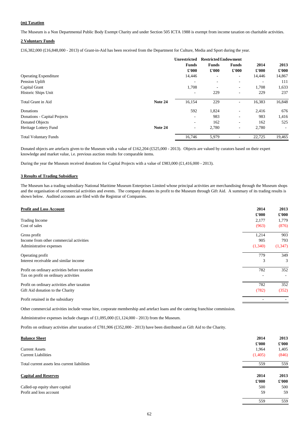## **(m) Taxation**

#### **2 Voluntary Funds**

|                              |         | <b>Unrestricted</b>      | <b>Restricted Endowment</b>  |                          |               |               |
|------------------------------|---------|--------------------------|------------------------------|--------------------------|---------------|---------------|
|                              |         | <b>Funds</b>             | <b>Funds</b>                 | <b>Funds</b>             | 2014          | 2013          |
|                              |         | $\pounds 000$            | $\pounds 000$                | $\pounds 000$            | $\pounds 000$ | $\pounds 000$ |
| <b>Operating Expenditure</b> |         | 14,446                   | $\qquad \qquad \blacksquare$ | $\overline{\phantom{a}}$ | 14,446        | 14,867        |
| Pension Uplift               |         |                          |                              |                          |               | 111           |
| Capital Grant                |         | 1,708                    |                              | $\overline{\phantom{a}}$ | 1,708         | 1,633         |
| Historic Ships Unit          |         |                          | 229                          |                          | 229           | 237           |
| <b>Total Grant in Aid</b>    | Note 24 | 16,154                   | 229                          | $\blacksquare$           | 16,383        | 16,848        |
| Donations                    |         | 592                      | 1,824                        | $\blacksquare$           | 2,416         | 676           |
| Donations - Capital Projects |         | $\overline{\phantom{a}}$ | 983                          | $\overline{\phantom{a}}$ | 983           | 1,416         |
| <b>Donated Objects</b>       |         | $\overline{\phantom{0}}$ | 162                          | $\sim$                   | 162           | 525           |
| Heritage Lottery Fund        | Note 24 | $\overline{\phantom{a}}$ | 2,780                        | $\sim$                   | 2,780         | $\sim$        |
| <b>Total Voluntary Funds</b> |         | 16,746                   | 5,979                        |                          | 22,725        | 19,465        |

#### **3 Results of Trading Subsidiary**

| <b>Profit and Loss Account</b>                | 2014<br>$\pounds 000$ | 2013<br>£'000 |
|-----------------------------------------------|-----------------------|---------------|
| <b>Trading Income</b>                         | 2,177                 | 1,779         |
| Cost of sales                                 | (963)                 | (876)         |
| Gross profit                                  | 1,214                 | 903           |
| Income from other commercial activities       | 905                   | 793           |
| Administrative expenses                       | (1,340)               | (1, 347)      |
| Operating profit                              | 779                   | 349           |
| Interest receivable and similar income        | 3                     | 3             |
| Profit on ordinary activities before taxation | 782                   | 352           |
| Tax on profit on ordinary activities          |                       |               |
| Profit on ordinary activities after taxation  | 782                   | 352           |
| Gift Aid donation to the Charity              | (782)                 | (352)         |
| Profit retained in the subsidiary             |                       |               |
|                                               |                       |               |

Other commercial activities include venue hire, corporate membership and artefact loans and the catering franchise commission.

Administrative expenses include charges of £1,095,000 (£1,124,000 - 2013) from the Museum.

Profits on ordinary activities after taxation of £781,906 (£352,000 - 2013) have been distributed as Gift Aid to the Charity.

| <b>Balance Sheet</b>                          | 2014          | 2013          |
|-----------------------------------------------|---------------|---------------|
|                                               | $\pounds 000$ | $\pounds 000$ |
| <b>Current Assets</b>                         | 1,964         | 1,405         |
| <b>Current Liabilities</b>                    | (1,405)       | (846)         |
| Total current assets less current liabilities | 559           | 559           |
| <b>Capital and Reserves</b>                   | 2014          | 2013          |
|                                               | $\pounds 000$ | $\pounds 000$ |
| Called-up equity share capital                | 500           | 500           |
|                                               |               |               |
| Profit and loss account                       | 59            | 59            |

The Museum is a Non Departmental Public Body Exempt Charity and under Section 505 ICTA 1988 is exempt from income taxation on charitable activities.

£16,382,000 (£16,848,000 - 2013) of Grant-in-Aid has been received from the Department for Culture, Media and Sport during the year.

Donated objects are artefacts given to the Museum with a value of £162,204 (£525,000 - 2013). Objects are valued by curators based on their expert knowledge and market value, i.e. previous auction results for comparable items.

During the year the Museum received donations for Capital Projects with a value of £983,000 (£1,416,000 - 2013).

The Museum has a trading subsidiary National Maritime Museum Enterprises Limited whose principal activities are merchandising through the Museum shops and the organisation of commercial activities and events. The company donates its profit to the Museum through Gift Aid. A summary of its trading results is shown below. Audited accounts are filed with the Registrar of Companies.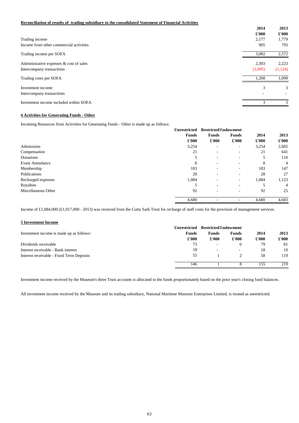## **Reconciliation of results of trading subsidiary to the consolidated Statement of Financial Activities**

|                                            | 2014    | 2013    |
|--------------------------------------------|---------|---------|
|                                            | £'000   | £'000   |
| Trading income                             | 2,177   | 1,779   |
| Income from other commercial activities    | 905     | 793     |
| Trading income per SOFA                    | 3,082   | 2,572   |
| Administrative expenses $\&$ cost of sales | 2,303   | 2,223   |
| Intercompany transactions                  | (1,095) | (1,124) |
| Trading costs per SOFA                     | 1,208   | 1,099   |
| Investment income                          | 3       | 3       |
| Intercompany transactions                  |         |         |
| Investment income included within SOFA     | 3       | 3       |
|                                            |         |         |

## **4 Activities for Generating Funds - Other**

Incoming Resources from Activities for Generating Funds - Other is made up as follows:

|                         | <b>Unrestricted</b> | <b>Restricted Endowment</b> |                              |                         |               |
|-------------------------|---------------------|-----------------------------|------------------------------|-------------------------|---------------|
|                         | <b>Funds</b>        | <b>Funds</b>                | <b>Funds</b>                 | 2014                    | 2013          |
|                         | $\pounds 000$       | $\pounds 000$               | $\pounds 000$                | $\pounds 000$           | $\pounds 000$ |
| Admissions              | 3,254               | $\overline{\phantom{a}}$    | $\sim$                       | 3,254                   | 2,602         |
| Compensation            | 21                  | $\overline{\phantom{a}}$    | $\qquad \qquad \blacksquare$ | 21                      | 641           |
| Donations               | 5                   | $\overline{\phantom{a}}$    | $\sim$                       | 5                       | 110           |
| <b>Event Attendance</b> | 8                   | $\overline{\phantom{a}}$    | $\sim$                       | 8                       | 4             |
| Membership              | 183                 | $\overline{\phantom{a}}$    | $\overline{\phantom{0}}$     | 183                     | 147           |
| Publications            | 28                  |                             |                              | 28                      | 27            |
| Recharged expenses      | 1,084               | $\overline{\phantom{a}}$    | $\sim$                       | 1,084                   | 1,123         |
| Royalties               | 5                   | $\overline{\phantom{a}}$    |                              | $\overline{\mathbf{5}}$ | 4             |
| Miscellaneous Other     | 92                  | $\overline{\phantom{a}}$    | $\overline{\phantom{0}}$     | 92                      | 25            |
|                         | 4,680               |                             |                              | 4,680                   | 4,683         |

## **5 Investment Income**

|                                           | <b>Restricted Endowment</b><br><b>Unrestricted</b> |                          |               |               |               |
|-------------------------------------------|----------------------------------------------------|--------------------------|---------------|---------------|---------------|
| Investment income is made up as follows:  | <b>Funds</b>                                       | <b>Funds</b>             | <b>Funds</b>  | 2014          | 2013          |
|                                           | $\pounds 000$                                      | $\pounds 000$            | $\pounds 000$ | $\pounds 000$ | $\pounds 000$ |
| Dividends receivable                      | 73                                                 | $\overline{\phantom{a}}$ | <sub>0</sub>  | 79            | 81            |
| Interest receivable - Bank interest       | 18                                                 | $\overline{\phantom{0}}$ | -             | 18            | 19            |
| Interest receivable - Fixed Term Deposits | 55                                                 |                          |               | 58            | 119           |
|                                           | 146                                                |                          |               | 155           | 219           |

Income of £1,084,000 (£1,017,000 - 2013) was received from the Cutty Sark Trust for recharge of staff costs for the provision of management services.

Investment income received by the Museum's three Trust accounts is allocated to the funds proportionately based on the prior year's closing fund balances.

All investment income received by the Museum and its trading subsidiary, National Maritime Museum Enterprises Limited, is treated as unrestricted.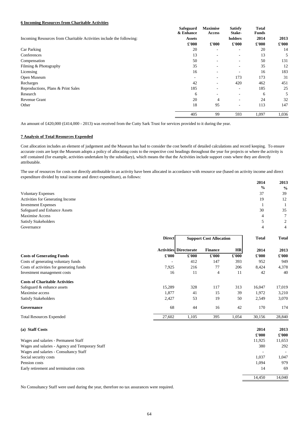## **6 Incoming Resources from Charitable Activities**

|                                                                      | <b>Safeguard</b><br>& Enhance | <b>Maximise</b><br><b>Access</b> | <b>Satisfy</b><br>Stake-     | <b>Total</b><br><b>Funds</b> |               |
|----------------------------------------------------------------------|-------------------------------|----------------------------------|------------------------------|------------------------------|---------------|
| Incoming Resources from Charitable Activities include the following: | <b>Assets</b>                 |                                  | holders                      | 2014                         | 2013          |
|                                                                      | $\pounds 000$                 | $\pounds 000$                    | $\pounds 000$                | $\pounds 000$                | $\pounds 000$ |
| Car Parking                                                          | 20                            | $\overline{\phantom{a}}$         | -                            | 20                           | 14            |
| Conferences                                                          | 13                            |                                  | $\qquad \qquad \blacksquare$ | 13                           | 5             |
| Compensation                                                         | 50                            | $\overline{\phantom{a}}$         | $\overline{\phantom{a}}$     | 50                           | 131           |
| Filming & Photography                                                | 35                            | $\overline{\phantom{a}}$         | $\qquad \qquad \blacksquare$ | 35                           | 12            |
| Licensing                                                            | 16                            | $\qquad \qquad$                  |                              | 16                           | 183           |
| Open Museum                                                          | $\overline{\phantom{0}}$      | $\overline{\phantom{a}}$         | 173                          | 173                          | 31            |
| Recharges                                                            | 42                            | $\overline{\phantom{a}}$         | 420                          | 462                          | 451           |
| Reproductions, Plans & Print Sales                                   | 185                           |                                  | $\overline{\phantom{a}}$     | 185                          | 25            |
| Research                                                             | 6                             | $\overline{\phantom{a}}$         | -                            | 6                            | 5             |
| Revenue Grant                                                        | 20                            | 4                                | $\overline{\phantom{a}}$     | 24                           | 32            |
| Other                                                                | 18                            | 95                               | $\overline{\phantom{a}}$     | 113                          | 147           |
|                                                                      | 405                           | 99                               | 593                          | 1,097                        | 1,036         |

An amount of £420,000 (£414,000 - 2013) was received from the Cutty Sark Trust for services provided to it during the year.

# **7 Analysis of Total Resources Expended**

|                                     | 2014          | 2013          |
|-------------------------------------|---------------|---------------|
|                                     | $\frac{6}{9}$ | $\frac{6}{6}$ |
| <b>Voluntary Expenses</b>           | 37            | 39            |
| Activities for Generating Income    | 19            | 12            |
| <b>Investment Expenses</b>          |               |               |
| <b>Safeguard and Enhance Assets</b> | 30            | 35            |
| <b>Maximise Access</b>              |               |               |
| <b>Satisfy Stakeholders</b>         |               |               |
| Governance                          |               |               |

| (a) Staff Costs                                 | 2014          | 2013          |
|-------------------------------------------------|---------------|---------------|
|                                                 | $\pounds 000$ | $\pounds 000$ |
| Wages and salaries - Permanent Staff            | 11,925        | 11,653        |
| Wages and salaries - Agency and Temporary Staff | 380           | 292           |
| Wages and salaries - Consultancy Staff          |               |               |
| Social security costs                           | 1,037         | 1,047         |
| Pension costs                                   | 1,094         | 979           |
| Early retirement and termination costs          | 14            | 69            |
|                                                 | 14,450        | 14,040        |

|                                          | <b>Direct</b>            | <b>Support Cost Allocation</b> |                |               | <b>Total</b>  | <b>Total</b>  |
|------------------------------------------|--------------------------|--------------------------------|----------------|---------------|---------------|---------------|
|                                          |                          | <b>Activities Directorate</b>  | <b>Finance</b> | <b>HR</b>     | 2014          | 2013          |
| <b>Costs of Generating Funds</b>         | $\pounds 000$            | $\pounds 000$                  | $\pounds 000$  | $\pounds 000$ | $\pounds 000$ | $\pounds 000$ |
| Costs of generating voluntary funds      | $\overline{\phantom{a}}$ | 412                            | 147            | 393           | 952           | 949           |
| Costs of activities for generating funds | 7,925                    | 216                            | 77             | 206           | 8,424         | 4,378         |
| Investment management costs              | 16                       | 11                             | $\overline{4}$ | 11            | 42            | 40            |
| <b>Costs of Charitable Activities</b>    |                          |                                |                |               |               |               |
| Safeguard & enhance assets               | 15,289                   | 328                            | 117            | 313           | 16,047        | 17,019        |
| Maximise access                          | 1,877                    | 41                             | 15             | 39            | 1,972         | 3,210         |
| <b>Satisfy Stakeholders</b>              | 2,427                    | 53                             | 19             | 50            | 2,549         | 3,070         |
| Governance                               | 68                       | 44                             | 16             | 42            | 170           | 174           |
| <b>Total Resources Expended</b>          | 27,602                   | 1,105                          | 395            | 1,054         | 30,156        | 28,840        |

No Consultancy Staff were used during the year, therefore no tax assurances were required.

Cost allocation includes an element of judgement and the Museum has had to consider the cost benefit of detailed calculations and record keeping. To ensure accurate costs are kept the Museum adopts a policy of allocating costs to the respective cost headings throughout the year for projects or where the activity is self contained (for example, activities undertaken by the subsidiary), which means the that the Activities include support costs where they are directly attributable.

The use of resources for costs not directly attributable to an activity have been allocated in accordance with resource use (based on activity income and direct expenditure divided by total income and direct expenditure), as follows: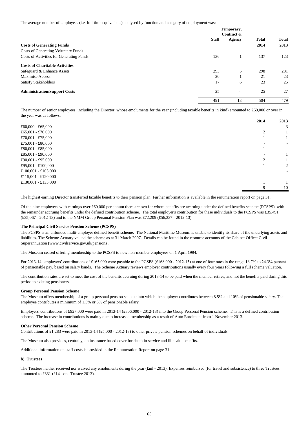The average number of employees (i.e. full-time equivalents) analysed by function and category of employment was:

|                                            | Temporary,<br>Contract & |                          |                          |                      |
|--------------------------------------------|--------------------------|--------------------------|--------------------------|----------------------|
| <b>Costs of Generating Funds</b>           | <b>Staff</b>             | <b>Agency</b>            | <b>Total</b><br>2014     | <b>Total</b><br>2013 |
| <b>Costs of Generating Voluntary Funds</b> |                          | $\overline{\phantom{a}}$ | $\overline{\phantom{a}}$ |                      |
| Costs of Activities for Generating Funds   | 136                      |                          | 137                      | 123                  |
| <b>Costs of Charitable Activities</b>      |                          |                          |                          |                      |
| Safeguard & Enhance Assets                 | 293                      | 5                        | 298                      | 281                  |
| <b>Maximise Access</b>                     | 20                       |                          | 21                       | 23                   |
| <b>Satisfy Stakeholders</b>                | 17                       | 6                        | 23                       | 25                   |
| <b>Administration/Support Costs</b>        | 25                       | $\overline{\phantom{a}}$ | 25                       | 27                   |
|                                            | 491                      | 13                       | 504                      | 479                  |

|                     | 2014 | 2013                     |
|---------------------|------|--------------------------|
| £60,000 - £65,000   |      | 3                        |
| £65,001 - £70,000   |      |                          |
| £70,001 - £75,000   |      |                          |
| £75,001 - £80,000   |      |                          |
| £80,001 - £85,000   |      | $\overline{\phantom{a}}$ |
| £85,001 - £90,000   |      |                          |
| £90,001 - £95,000   |      |                          |
| £95,001 - £100,000  |      | 2                        |
| £100,001 - £105,000 |      | $\sim$                   |
| £115,001 - £120,000 |      |                          |
| £130,001 - £135,000 |      |                          |
|                     | 9    | 10                       |

## **The Principal Civil Service Pension Scheme (PCSPS)**

The Museum ceased offering membership to the PCSPS to new non-member employees on 1 April 1994.

#### **Group Personal Pension Scheme**

#### **Other Personal Pension Scheme**

Contributions of £1,283 were paid in 2013-14 (£5,000 - 2012-13) to other private pension schemes on behalf of individuals.

The Museum also provides, centrally, an insurance based cover for death in service and ill health benefits.

The number of senior employees, including the Director, whose emoluments for the year (including taxable benefits in kind) amounted to £60,000 or over in the year was as follows:

Additional information on staff costs is provided in the Remuneration Report on page 31.

**b) Trustees**

The contribution rates are set to meet the cost of the benefits accruing during 2013-14 to be paid when the member retires, and not the benefits paid during this period to existing pensioners.

The Museum offers membership of a group personal pension scheme into which the employer contributes between 8.5% and 10% of pensionable salary. The employee contributes a minimum of 1.5% or 3% of pensionable salary.

Employers' contributions of £927,000 were paid in 2013-14 (£806,000 - 2012-13) into the Group Personal Pension scheme. This is a defined contribution scheme. The increase in contributions is mainly due to increased membership as a result of Auto Enrolment from 1 November 2013.

The Trustees neither received nor waived any emoluments during the year (£nil - 2013). Expenses reimbursed (for travel and subsistence) to three Trustees amounted to £331 (£14 - one Trustee 2013).

The highest earning Director transferred taxable benefits to their pension plan. Further information is available in the renumeration report on page 31.

Of the nine employees with earnings over £60,000 per annum there are two for whom benefits are accruing under the defined benefits scheme (PCSPS), with the remainder accruing benefits under the defined contribution scheme. The total employer's contribution for these individuals to the PCSPS was £35,491 (£35,067 - 2012-13) and to the NMM Group Personal Pension Plan was £72,209 (£56,337 - 2012-13).

The PCSPS is an unfunded multi-employer defined benefit scheme. The National Maritime Museum is unable to identify its share of the underlying assets and liabilities. The Scheme Actuary valued the scheme as at 31 March 2007. Details can be found in the resource accounts of the Cabinet Office: Civil Superannuation (www.civilservice.gov.uk/pensions).

For 2013-14, employers' contributions of £165,000 were payable to the PCSPS (£168,000 - 2012-13) at one of four rates in the range 16.7% to 24.3% percent of pensionable pay, based on salary bands. The Scheme Actuary reviews employer contributions usually every four years following a full scheme valuation.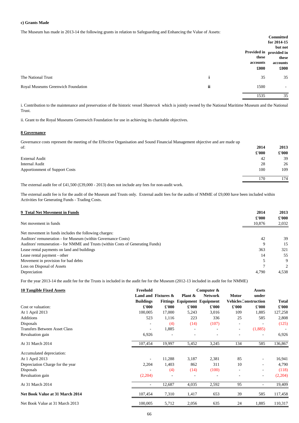#### **c) Grants Made**

The Museum has made in 2013-14 the following grants in relation to Safeguarding and Enhancing the Value of Assets:

ii. Grant to the Royal Museums Greenwich Foundation for use in achieving its charitable objectives.

#### **8 Governance**

**2014 2013**

|                                       | $\pounds 000$ | $\pounds 000$ |
|---------------------------------------|---------------|---------------|
| <b>External Audit</b>                 | 42            | 39            |
| <b>Internal Audit</b>                 | 28            | 26            |
| <b>Apportionment of Support Costs</b> | 100           | 109           |
|                                       | 170           | 174           |

The external audit fee of £41,500 (£39,000 - 2013) does not include any fees for non-audit work.

| <b>9 Total Net Movement in Funds</b>                                            | 2014                    | 2013                   |
|---------------------------------------------------------------------------------|-------------------------|------------------------|
| Net movement in funds                                                           | $\pounds 000$<br>10,876 | $\pounds 000$<br>2,032 |
|                                                                                 |                         |                        |
| Net movement in funds includes the following charges:                           |                         |                        |
| Auditors' remuneration - for Museum (within Governance Costs)                   | 42                      | 39                     |
| Auditors' remuneration - for NMME and Trusts (within Costs of Generating Funds) | 9                       | 15                     |
| Lease rental payments on land and buildings                                     | 363                     | 321                    |
| Lease rental payment - other                                                    | 14                      | 55                     |
| Movement in provision for bad debts                                             |                         | 9                      |
| Loss on Disposal of Assets                                                      |                         | 2                      |
| Depreciation                                                                    | 4,790                   | 4,538                  |

For the year 2013-14 the audit fee for the Trusts is included in the audit fee for the Museum (2012-13 included in audit fee for NMME)

|                                    |    |          | <b>Committed</b>        |
|------------------------------------|----|----------|-------------------------|
|                                    |    |          | for 2014-15             |
|                                    |    |          | but not                 |
|                                    |    |          | Provided in provided in |
|                                    |    | these    | these                   |
|                                    |    | accounts | accounts                |
|                                    |    | £000     | £000                    |
| The National Trust                 |    | 35       | 35                      |
| Royal Museums Greenwich Foundation | ii | 1500     | $\sim$                  |
|                                    |    | 1535     | 35                      |

| <b>10 Tangible Fixed Assets</b>      | Freehold                 |                        |               | Computer &                          |                | <b>Assets</b>                |                      |
|--------------------------------------|--------------------------|------------------------|---------------|-------------------------------------|----------------|------------------------------|----------------------|
|                                      |                          | Land and Fixtures $\&$ | Plant $\&$    | <b>Network</b>                      | <b>Motor</b>   | under                        |                      |
|                                      | <b>Buildings</b>         |                        |               | <b>Fittings Equipment Equipment</b> |                | <b>Vehicles Construction</b> | <b>Total</b>         |
| Cost or valuation:                   | $\pounds 000$            | $\pounds 000$          | $\pounds 000$ | $\pounds 000$                       | $\pounds 000$  | $\pmb{\pounds}$ '000         | $\pmb{\pounds}$ '000 |
| At 1 April 2013                      | 100,005                  | 17,000                 | 5,243         | 3,016                               | 109            | 1,885                        | 127,258              |
| <b>Additions</b>                     | 523                      | 1,116                  | 223           | 336                                 | 25             | 585                          | 2,808                |
| Disposals                            |                          | (4)                    | (14)          | (107)                               | $\blacksquare$ |                              | (125)                |
| <b>Transfers Between Asset Class</b> | $\overline{\phantom{a}}$ | 1,885                  |               |                                     | $\overline{a}$ | (1,885)                      |                      |
| Revaluation gain                     | 6,926                    |                        |               |                                     |                |                              | 6,926                |
| At 31 March 2014                     | 107,454                  | 19,997                 | 5,452         | 3,245                               | 134            | 585                          | 136,867              |
| Accumulated depreciation:            |                          |                        |               |                                     |                |                              |                      |
| At 1 April 2013                      | $\overline{\phantom{a}}$ | 11,288                 | 3,187         | 2,381                               | 85             | $\blacksquare$               | 16,941               |
| Depreciation Charge for the year     | 2,204                    | 1,403                  | 862           | 311                                 | 10             |                              | 4,790                |
| Disposals                            |                          | (4)                    | (14)          | (100)                               | $\blacksquare$ | $\blacksquare$               | (118)                |
| Revaluation gain                     | (2,204)                  |                        |               |                                     | $\blacksquare$ | $\blacksquare$               | (2,204)              |
| At 31 March 2014                     | $\overline{\phantom{a}}$ | 12,687                 | 4,035         | 2,592                               | 95             | $\overline{\phantom{a}}$     | 19,409               |
| Net Book Value at 31 March 2014      | 107,454                  | 7,310                  | 1,417         | 653                                 | 39             | 585                          | 117,458              |
| Net Book Value at 31 March 2013      | 100,005                  | 5,712                  | 2,056         | 635                                 | 24             | 1,885                        | 110,317              |

Governance costs represent the meeting of the Effective Organisation and Sound Financial Management objective and are made up of:

The external audit fee is for the audit of the Museum and Trusts only. External audit fees for the audits of NMME of £9,000 have been included within Activities for Generating Funds - Trading Costs.

i. Contribution to the maintenance and preservation of the historic vessel *Shamrock* which is jointly owned by the National Maritime Museum and the National Trust.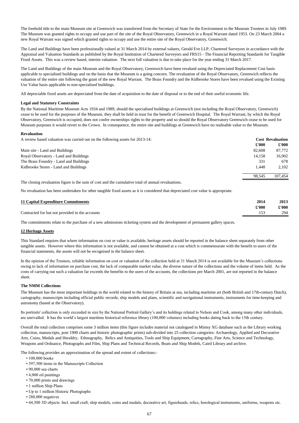All depreciable fixed assets are depreciated from the date of acquisition to the date of disposal or to the end of their useful economic life.

#### **Legal and Statutory Constraints**

#### **Revaluation**

A review based valuation was carried out on the following assets for 2013-14: **Cost Revaluation**

|                                        | £'000  | $\pounds 000$ |
|----------------------------------------|--------|---------------|
| Main site - Land and Buildings         | 82,608 | 87,772        |
| Royal Observatory - Land and Buildings | 14,158 | 16,902        |
| The Brass Foundry - Land and Buildings | 331    | 678           |
| Kidbrooke Stores - Land and Buildings  | 1,448  | 2,102         |
|                                        | 98,545 | 107,454       |
| .<br>.<br>$\sim$                       |        |               |

The closing revaluation figure is the sum of cost and the cumulative total of annual revaluations.

- 100,000 books
- 397,500 items in the Manuscripts Collection
- 90,000 sea charts
- 4,000 oil paintings
- 70,000 prints and drawings
- 1 million Ship Plans
- Up to 1 million Historic Photographs
- 280,000 negatives

No revaluation has been undertaken for other tangible fixed assets as it is considered that depreciated cost value is appropriate.

| <b>11 Capital Expenditure Commitments</b>       | 2014                 | 2013                                  |
|-------------------------------------------------|----------------------|---------------------------------------|
|                                                 | $\pmb{\pounds}$ '000 | $\pmb{\pmb{\pmb{\mathfrak{L}^*}000}}$ |
| Contracted for but not provided in the accounts |                      | 294                                   |

## **12 Heritage Assets**

## **The NMM Collections**

• 44,500 3D objects: Incl. small craft, ship models, coins and medals, decorative art, figureheads, relics, horological instruments, uniforms, weapons etc.

The following provides an approximation of the spread and extent of collections:-

The commitments relate to the purchase of a new admissions ticketing system and the development of permanent gallery spaces.

This Standard requires that where information on cost or value is available, heritage assets should be reported in the balance sheet separately from other tangible assets. However where this information is not available, and cannot be obtained at a cost which is commensurate with the benefit to users of the financial statements, the assets will not be recognised in the balance sheet.

In the opinion of the Trustees, reliable information on cost or valuation of the collection held at 31 March 2014 is not available for the Museum's collections owing to lack of information on purchase cost, the lack of comparable market value, the diverse nature of the collections and the volume of items held. As the costs of carrying out such a valuation far exceeds the benefits to the users of the accounts, the collections pre March 2001, are not reported in the balance sheet.

The Museum has the most important holdings in the world related to the history of Britain at sea, including maritime art (both British and 17th-century Dutch), cartography, manuscripts including official public records, ship models and plans, scientific and navigational instruments, instruments for time-keeping and astronomy (based at the Observatory).

Its portraits' collection is only exceeded in size by the National Portrait Gallery's and its holdings related to Nelson and Cook, among many other individuals, are unrivalled. It has the world's largest maritime historical reference library (100,000 volumes) including books dating back to the 15th century.

Overall the total collection comprises some 3 million items (this figure includes material not catalogued in Mimsy XG database such as the Library working

collection, manuscripts, post 1900 charts and historic photographic prints) sub-divided into 25 collection categories: Archaeology, Applied and Decorative Arts, Coins, Medals and Heraldry, Ethnography, Relics and Antiquities, Tools and Ship Equipment, Cartography, Fine Arts, Science and Technology, Weapons and Ordnance, Photographs and Film, Ship Plans and Technical Records, Boats and Ship Models, Caird Library and archive.

The freehold title to the main Museum site at Greenwich was transferred from the Secretary of State for the Environment to the Museum Trustees in July 1989. The Museum was granted rights to occupy and use part of the site of the Royal Observatory, Greenwich in a Royal Warrant dated 1953. On 23 March 2004 a new Royal Warrant was signed which granted rights to occupy and use the entire site of the Royal Observatory, Greenwich.

The Land and Buildings have been professionally valued at 31 March 2014 by external valuers, Gerald Eve LLP, Chartered Surveyors in accordance with the Appraisal and Valuation Standards as published by the Royal Institution of Chartered Surveyors and FRS15 - The Financial Reporting Standards for Tangible Fixed Assets. This was a review based, interim valuation. The next full valuation is due to take place for the year ending 31 March 2017.

The Land and Buildings of the main Museum and the Royal Observatory, Greenwich have been revalued using the Depreciated Replacement Cost basis applicable to specialised buildings and on the basis that the Museum is a going concern. The revaluation of the Royal Observatory, Greenwich reflects the valuation of the entire site following the grant of the new Royal Warrant. The Brass Foundry and the Kidbrooke Stores have been revalued using the Existing Use Value basis applicable to non-specialised buildings.

By the National Maritime Museum Acts 1934 and 1989, should the specialised buildings at Greenwich (not including the Royal Observatory, Greenwich) cease to be used for the purposes of the Museum, they shall be held in trust for the benefit of Greenwich Hospital. The Royal Warrant, by which the Royal Observatory, Greenwich is occupied, does not confer ownerships rights to the property and so should the Royal Observatory Greenwich cease to be used for Museum purposes it would revert to the Crown. In consequence, the entire site and buildings at Greenwich have no realisable value to the Museum.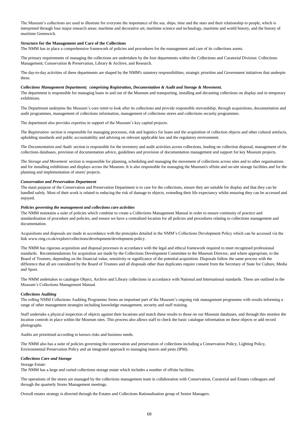# *Collections Auditing*

*Collections Care and Storage*

Storage Estate:

The NMM has a large and varied collections storage estate which includes a number of offsite facilities.

Overall estates strategy is directed through the Estates and Collections Rationalisation group of Senior Managers.

Audits are prioritised according to known risks and business needs.

The NMM also has a suite of policies governing the conservation and preservation of collections including a Conservation Policy, Lighting Policy, Environmental Preservation Policy and an integrated approach to managing insects and pests (IPM).

The operations of the stores are managed by the collections management team in collaboration with Conservation, Curatorial and Estates colleagues and through the quarterly Stores Management meetings.

The NMM maintains a suite of policies which combine to create a Collections Management Manual in order to ensure continuity of practice and standardisation of procedure and policies, and ensure we have a centralised location for all policies and procedures relating to collections management and documentation.

Acquisitions and disposals are made in accordance with the principles detailed in the NMM's Collections Development Policy which can be accessed via the link www.rmg.co.uk/explore/collections/development/development-policy.

The NMM has rigorous acquisition and disposal processes in accordance with the legal and ethical framework required to meet recognised professional standards. Recommendations for acquisition are made by the Collections Development Committee to the Museum Director, and where appropriate, to the Board of Trustees, depending on the financial value, sensitivity or significance of the potential acquisition. Disposals follow the same process with the difference that all are considered by the Board of Trustees and all disposals other than duplicates require consent from the Secretary of State for Culture, Media and Sport.

The NMM undertakes to catalogue Object, Archive and Library collections in accordance with National and International standards. These are outlined in the Museum's Collections Management Manual.

The rolling NMM Collections Auditing Programme forms an important part of the Museum's ongoing risk management programme with results informing a range of other management strategies including knowledge management, security and staff training.

Staff undertake a physical inspection of objects against their locations and match these results to those on our Museum databases, and through this monitor the location controls in place within the Museum sites. This process also allows staff to check the basic catalogue information on these objects or add record photographs.

*The Registration* section is responsible for managing processes, risk and logistics for loans and the acquisition of collection objects and other cultural artefacts, upholding standards and public accountability and advising on relevant applicable law and the regulatory environment.

*The Documentation and Audit* section is responsible for the inventory and audit activities across collections, leading on collection disposal, management of the collections databases, provision of documentation advice, guidelines and provision of documentation management and support for key Museum projects.

*The Storage and Movement* section is responsible for planning, scheduling and managing the movement of collections across sites and to other organisations and for installing exhibitions and displays across the Museum. It is also responsible for managing the Museum's offsite and on-site storage facilities and for the planning and implementation of stores' projects.

## *Conservation and Preservation Department*

The main purpose of the Conservation and Preservation Department is to care for the collections, ensure they are suitable for display and that they can be handled safely. Most of their work is related to reducing the risk of damage to objects, extending their life expectancy whilst ensuring they can be accessed and enjoyed.

## *Policies governing the management and collections care activities*

The primary requirements of managing the collections are undertaken by the four departments within the Collections and Curatorial Division: Collections Management; Conservation & Preservation, Library & Archive, and Research.

The day-to-day activities of these departments are shaped by the NMM's statutory responsibilities, strategic priorities and Government initiatives that underpin these.

# *Collections Management Department; comprising Registration, Documentation & Audit and Storage & Movement.*

The department is responsible for managing loans in and out of the Museum and transporting, installing and decanting collections on display and in temporary exhibitions.

The Department underpins the Museum's core remit to look after its collections and provide responsible stewardship, through acquisitions, documentation and audit programmes, management of collections information, management of collections stores and collections security programmes.

The department also provides expertise in support of the Museum's key capital projects.

The Museum's collections are used to illustrate for everyone the importance of the sea, ships, time and the stars and their relationship to people, which is interpreted through four major research areas: maritime and decorative art; maritime science and technology, maritime and world history, and the history of maritime Greenwich.

## **Structure for the Management and Care of the Collections**

The NMM has in place a comprehensive framework of policies and procedures for the management and care of its collections assets.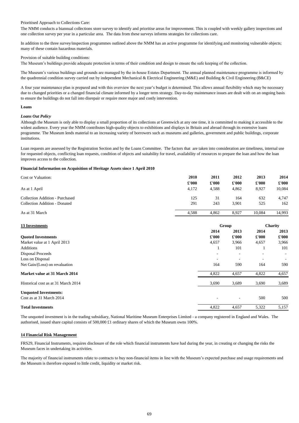# **Loans**

# *Loans Out Policy*

| Cost or Valuation:                     | 2010<br>$\pounds 000$ | 2011                   | 2012                   | 2013                   | 2014                    |
|----------------------------------------|-----------------------|------------------------|------------------------|------------------------|-------------------------|
| As at 1 April                          | 4,172                 | $\pounds 000$<br>4,588 | $\pounds 000$<br>4,862 | $\pounds 000$<br>8,927 | $\pounds 000$<br>10,084 |
| <b>Collection Addition - Purchased</b> | 125                   | 31                     | 164                    | 632                    | 4,747                   |
| <b>Collection Addition - Donated</b>   | 291                   | 243                    | 3,901                  | 525                    | 162                     |
| As at 31 March                         | 4,588                 | 4,862                  | 8,927                  | 10,084                 | 14,993                  |
| <b>13 Investments</b>                  |                       |                        | Group                  |                        | <b>Charity</b>          |
|                                        |                       | 2014                   | 2013                   | 2014                   | 2013                    |
| <b>Quoted Investments</b>              |                       | $\pounds 000$          | $\pounds 000$          | $\pounds 000$          | $\pounds 000$           |
| Market value at 1 April 2013           |                       | 4,657                  | 3,966                  | 4,657                  | 3,966                   |
| <b>Additions</b>                       |                       |                        | 101                    |                        | 101                     |
| <b>Disposal Proceeds</b>               |                       |                        |                        |                        |                         |
| Loss on Disposal                       |                       |                        |                        |                        |                         |
| Net Gain/(Loss) on revaluation         |                       | 164                    | 590                    | 164                    | 590                     |
| Market value at 31 March 2014          |                       | 4,822                  | 4,657                  | 4,822                  | 4,657                   |
| Historical cost as at 31 March 2014    |                       | 3,690                  | 3,689                  | 3,690                  | 3,689                   |
| <b>Unquoted Investments:</b>           |                       |                        |                        |                        |                         |
| Cost as at 31 March 2014               |                       |                        |                        | 500                    | 500                     |
| <b>Total Investments</b>               |                       | 4,822                  | 4,657                  | 5,322                  | 5,157                   |

# **14 Financial Risk Management**

# **Financial Information on Acquisition of Heritage Assets since 1 April 2010**

The unquoted investment is in the trading subsidiary, National Maritime Museum Enterprises Limited - a company registered in England and Wales. The authorised, issued share capital consists of 500,000 £1 ordinary shares of which the Museum owns 100%.

FRS29, Financial Instruments, requires disclosure of the role which financial instruments have had during the year, in creating or changing the risks the Museum faces in undertaking its activities.

The majority of financial instruments relate to contracts to buy non-financial items in line with the Museum's expected purchase and usage requirements and the Museum is therefore exposed to little credit, liquidity or market risk.

# Provision of suitable building conditions:

The Museum's buildings provide adequate protection in terms of their condition and design to ensure the safe keeping of the collection.

The Museum's various buildings and grounds are managed by the in-house Estates Department. The annual planned maintenance programme is informed by the quadrennial condition survey carried out by independent Mechanical & Electrical Engineering (M&E) and Building & Civil Engineering (B&CE)

Although the Museum is only able to display a small proportion of its collections at Greenwich at any one time, it is committed to making it accessible to the widest audience. Every year the NMM contributes high-quality objects to exhibitions and displays in Britain and abroad through its extensive loans programme. The Museum lends material to an increasing variety of borrowers such as museums and galleries, government and public buildings, corporate institutions.

Loan requests are assessed by the Registration Section and by the Loans Committee. The factors that are taken into consideration are timeliness, internal use for requested objects, conflicting loan requests, condition of objects and suitability for travel, availability of resources to prepare the loan and how the loan improves access to the collection.

# Prioritised Approach to Collections Care:

The NMM conducts a biannual collections store survey to identify and prioritise areas for improvement. This is coupled with weekly gallery inspections and one collection survey per year in a particular area. The data from these surveys informs strategies for collections care.

In addition to the three survey/inspection programmes outlined above the NMM has an active programme for identifying and monitoring vulnerable objects; many of these contain hazardous materials.

A four year maintenance plan is prepared and with this overview the next year's budget is determined. This allows annual flexibility which may be necessary due to changed priorities or a changed financial climate informed by a longer term strategy. Day-to-day maintenance issues are dealt with on an ongoing basis to ensure the buildings do not fall into disrepair or require more major and costly intervention.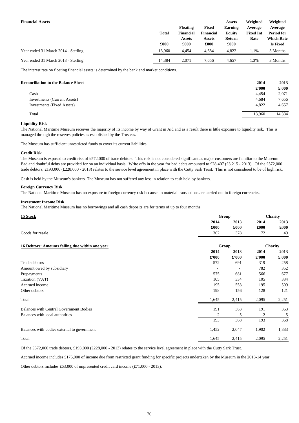| <b>Financial Assets</b>             | <b>Total</b><br>£000 | <b>Floating</b><br><b>Financial</b><br><b>Assets</b><br>£000 | <b>Fixed</b><br><b>Financial</b><br><b>Assets</b><br>£000 | <b>Assets</b><br><b>Earning</b><br><b>Equity</b><br>Return<br>£000 | Weighted<br>Average<br><b>Fixed Int</b><br>Rate | Weighted<br>Average<br><b>Period for</b><br><b>Which Rate</b><br><b>Is Fixed</b> |
|-------------------------------------|----------------------|--------------------------------------------------------------|-----------------------------------------------------------|--------------------------------------------------------------------|-------------------------------------------------|----------------------------------------------------------------------------------|
| Year ended 31 March 2014 - Sterling | 13,960               | 4,454                                                        | 4,684                                                     | 4,822                                                              | 1.1%                                            | 3 Months                                                                         |
| Year ended 31 March 2013 - Sterling | 14,384               | 2,071                                                        | 7,656                                                     | 4,657                                                              | 1.3%                                            | 3 Months                                                                         |

The interest rate on floating financial assets is determined by the bank and market conditions.

| <b>Reconciliation to the Balance Sheet</b> | 2014          | 2013          |
|--------------------------------------------|---------------|---------------|
|                                            | $\pounds 000$ | $\pounds 000$ |
| Cash                                       | 4,454         | 2,071         |
| <b>Investments (Current Assets)</b>        | 4,684         | 7,656         |
| <b>Investments (Fixed Assets)</b>          | 4,822         | 4,657         |
| Total                                      | 13,960        | 14,384        |

# **Liquidity Risk**

The Museum has sufficient unrestricted funds to cover its current liabilities.

# **Credit Risk**

193 368 193 368 Balances with bodies external to government  $\frac{1}{2}$  and  $\frac{1}{2}$  and  $\frac{1}{2}$  and  $\frac{1}{2}$  and  $\frac{1}{2}$  and  $\frac{1}{2}$  and  $\frac{1}{2}$  and  $\frac{1}{2}$  and  $\frac{1}{2}$  and  $\frac{1}{2}$  and  $\frac{1}{2}$  and  $\frac{1}{2}$  and  $\frac{1}{2}$ 

Cash is held by the Museum's bankers. The Museum has not suffered any loss in relation to cash held by bankers.

# **Foreign Currency Risk**

The National Maritime Museum has no exposure to foreign currency risk because no material transactions are carried out in foreign currencies.

# **Investment Income Risk**

| 15 Stock                                        |                | Group                    |                |               |
|-------------------------------------------------|----------------|--------------------------|----------------|---------------|
|                                                 | 2014           | 2013                     | 2014           | 2013          |
|                                                 | £000           | £000                     | £000           | £000          |
| Goods for resale                                | 362            | 378                      | 72             | 49            |
| 16 Debtors: Amounts falling due within one year | Group          |                          | <b>Charity</b> |               |
|                                                 | 2014           | 2013                     | 2014           | 2013          |
|                                                 | $\pounds 000$  | $\pounds 000$            | $\pounds 000$  | $\pounds 000$ |
| Trade debtors                                   | 572            | 691                      | 319            | 258           |
| Amount owed by subsidiary                       |                | $\overline{\phantom{0}}$ | 782            | 352           |
| Prepayments                                     | 575            | 681                      | 566            | 677           |
| Taxation (VAT)                                  | 105            | 334                      | 105            | 334           |
| Accrued income                                  | 195            | 553                      | 195            | 509           |
| Other debtors                                   | 198            | 156                      | 128            | 121           |
| Total                                           | 1,645          | 2,415                    | 2,095          | 2,251         |
| <b>Balances with Central Government Bodies</b>  | 191            | 363                      | 191            | 363           |
| Balances with local authorities                 | $\overline{2}$ | 5                        | $\overline{2}$ | 5             |

| Dalances with boules external to government | 2⊂+, | ∠,∪ <del>⊣</del> / | ⊿∪د   | L.00J        |
|---------------------------------------------|------|--------------------|-------|--------------|
| Total                                       | .645 | 2,415              | 2,095 | ) 751<br>ل⊶∡ |

Other debtors includes £63,000 of unpresented credit card income (£71,000 - 2013).

The National Maritime Museum has no borrowings and all cash deposits are for terms of up to four months.

Of the £572,000 trade debtors, £193,000 (£228,000 - 2013) relates to the service level agreement in place with the Cutty Sark Trust.

Accrued income includes £175,000 of income due from restricted grant funding for specific projects undertaken by the Museum in the 2013-14 year.

The National Maritime Museum receives the majority of its income by way of Grant in Aid and as a result there is little exposure to liquidity risk. This is managed through the reserves policies as established by the Trustees.

The Museum is exposed to credit risk of £572,000 of trade debtors. This risk is not considered significant as major customers are familiar to the Museum. Bad and doubtful debts are provided for on an individual basis. Write offs in the year for bad debts amounted to £28,407 (£3,215 - 2013). Of the £572,000 trade debtors, £193,000 (£228,000 - 2013) relates to the service level agreement in place with the Cutty Sark Trust. This is not considered to be of high risk.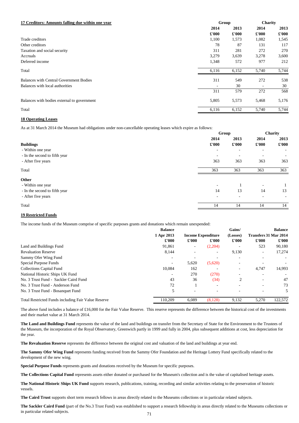# **18 Operating Leases**

As at 31 March 2014 the Museum had obligations under non-cancellable operating leases which expire as follows:

# **19 Restricted Funds**

The income funds of the Museum comprise of specific purposes grants and donations which remain unexpended:

|                                                            | <b>Balance</b>                          |                          |                          | Gains/                   |                              | <b>Balance</b> |
|------------------------------------------------------------|-----------------------------------------|--------------------------|--------------------------|--------------------------|------------------------------|----------------|
|                                                            | 1 Apr 2013<br><b>Income Expenditure</b> |                          |                          | (Losses)                 | <b>Transfers 31 Mar 2014</b> |                |
|                                                            | $\pounds 000$                           | $\pounds 000$            | $\pounds 000$            | $\pounds 000$            | $\pounds 000$                | $\pounds 000$  |
| Land and Buildings Fund                                    | 91,861                                  | $\overline{\phantom{a}}$ | (2,204)                  |                          | 523                          | 90,180         |
| <b>Revaluation Reserve</b>                                 | 8,144                                   | $\overline{\phantom{a}}$ | $\overline{\phantom{a}}$ | 9,130                    | $\overline{\phantom{a}}$     | 17,274         |
| Sammy Ofer Wing Fund                                       | $\overline{\phantom{a}}$                |                          |                          | $\overline{\phantom{0}}$ |                              |                |
| <b>Special Purpose Funds</b>                               | $\overline{\phantom{a}}$                | 5,620                    | (5,620)                  |                          |                              |                |
| <b>Collections Capital Fund</b>                            | 10,084                                  | 162                      |                          | $\overline{\phantom{a}}$ | 4,747                        | 14,993         |
| National Historic Ships UK Fund                            | $\overline{\phantom{a}}$                | 270                      | (270)                    | $\overline{\phantom{a}}$ |                              |                |
| No. 3 Trust Fund - Sackler Caird Fund                      | 43                                      | 36                       | (34)                     | 2                        | $\overline{\phantom{a}}$     | 47             |
| No. 3 Trust Fund - Anderson Fund                           | 72                                      |                          | $\overline{\phantom{a}}$ |                          | $\overline{\phantom{a}}$     | 73             |
| No. 3 Trust Fund - Bosanquet Fund                          | 5                                       | $\overline{\phantom{a}}$ |                          |                          | $\overline{\phantom{a}}$     | 5              |
| <b>Total Restricted Funds including Fair Value Reserve</b> | 110,209                                 | 6,089                    | (8, 128)                 | 9,132                    | 5,270                        | 122,572        |

| 17 Creditors: Amounts falling due within one year |               | Group         |               | <b>Charity</b> |  |
|---------------------------------------------------|---------------|---------------|---------------|----------------|--|
|                                                   | 2014          | 2013          | 2014          | 2013           |  |
|                                                   | $\pounds 000$ | $\pounds 000$ | $\pounds 000$ | $\pounds 000$  |  |
| Trade creditors                                   | 1,100         | 1,573         | 1,082         | 1,545          |  |
| Other creditors                                   | 78            | 87            | 131           | 117            |  |
| Taxation and social security                      | 311           | 281           | 272           | 270            |  |
| Accruals                                          | 3,279         | 3,639         | 3,278         | 3,600          |  |
| Deferred income                                   | 1,348         | 572           | 977           | 212            |  |
| Total                                             | 6,116         | 6,152         | 5,740         | 5,744          |  |
| <b>Balances with Central Government Bodies</b>    | 311           | 549           | 272           | 538            |  |
| Balances with local authorities                   |               | 30            |               | 30             |  |
|                                                   | 311           | 579           | 272           | 568            |  |
| Balances with bodies external to government       | 5,805         | 5,573         | 5,468         | 5,176          |  |
| Total                                             | 6,116         | 6,152         | 5,740         | 5,744          |  |

**Special Purpose Funds** represents grants and donations received by the Museum for specific purposes.

**The Caird Trust** supports short term research fellows in areas directly related to the Museums collections or in particular related subjects.

|                               |                          | Group                    |                          | <b>Charity</b>           |  |
|-------------------------------|--------------------------|--------------------------|--------------------------|--------------------------|--|
|                               | 2014                     | 2013                     | 2014                     | 2013                     |  |
| <b>Buildings</b>              | $\pounds 000$            | $\pounds 000$            | $\pounds 000$            | $\pounds 000$            |  |
| - Within one year             |                          | $\overline{\phantom{a}}$ | $\overline{\phantom{a}}$ | $\sim$                   |  |
| - In the second to fifth year |                          | $\overline{\phantom{a}}$ | $\overline{\phantom{a}}$ | $\sim$                   |  |
| - After five years            | 363                      | 363                      | 363                      | 363                      |  |
| Total                         | 363                      | 363                      | 363                      | 363                      |  |
| <b>Other</b>                  |                          |                          |                          |                          |  |
| - Within one year             | $\overline{\phantom{a}}$ |                          | $\overline{\phantom{a}}$ |                          |  |
| - In the second to fifth year | 14                       | 13                       | 14                       | 13                       |  |
| - After five years            |                          | $\overline{\phantom{a}}$ | $\overline{\phantom{a}}$ | $\overline{\phantom{a}}$ |  |
| Total                         | 14                       | 14                       | 14                       | 14                       |  |

The above fund includes a balance of £16,000 for the Fair Value Reserve. This reserve represents the difference between the historical cost of the investments and their market value at 31 March 2014.

**The Land and Buildings Fund** represents the value of the land and buildings on transfer from the Secretary of State for the Environment to the Trustees of the Museum, the incorporation of the Royal Observatory, Greenwich partly in 1999 and fully in 2004, plus subsequent additions at cost, less depreciation for the year.

**The Sackler Caird Fund** (part of the No.3 Trust Fund) was established to support a research fellowship in areas directly related to the Museums collections or in particular related subjects. 71

**The Revaluation Reserve** represents the difference between the original cost and valuation of the land and buildings at year end.

**The Sammy Ofer Wing Fund** represents funding received from the Sammy Ofer Foundation and the Heritage Lottery Fund specifically related to the development of the new wing.

**The Collections Capital Fund** represents assets either donated or purchased for the Museum's collection and is the value of capitalised heritage assets.

**The National Historic Ships UK Fund** supports research, publications, training, recording and similar activities relating to the preservation of historic vessels.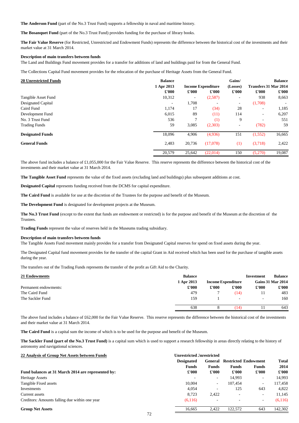**The Anderson Fund** (part of the No.3 Trust Fund) supports a fellowship in naval and maritime history.

**The Bosanquet Fund** (part of the No.3 Trust Fund) provides funding for the purchase of library books.

| <b>20 Unrestricted Funds</b> | <b>Balance</b>           |                          |                           | Gains/                   |                              | <b>Balance</b> |
|------------------------------|--------------------------|--------------------------|---------------------------|--------------------------|------------------------------|----------------|
|                              | 1 Apr 2013               |                          | <b>Income Expenditure</b> | (Losses)                 | <b>Transfers 31 Mar 2014</b> |                |
|                              | $\pounds 000$            | $\pounds 000$            | $\pounds 000$             | $\pounds 000$            | $\pounds 000$                | $\pounds 000$  |
| Tangible Asset Fund          | 10,312                   | $\overline{\phantom{a}}$ | (2,587)                   | $\overline{\phantom{a}}$ | 938                          | 8,663          |
| Designated Capital           | $\overline{\phantom{a}}$ | 1,708                    | $\overline{\phantom{a}}$  | $\sim$                   | (1,708)                      |                |
| Caird Fund                   | 1,174                    | 17                       | (34)                      | 28                       | $\overline{\phantom{a}}$     | 1,185          |
| Development Fund             | 6,015                    | 89                       | (11)                      | 114                      | $\overline{\phantom{a}}$     | 6,207          |
| No. 3 Trust Fund             | 536                      |                          | (1)                       | 9                        | $\overline{\phantom{a}}$     | 551            |
| <b>Trading Funds</b>         | 59                       | 3,085                    | (2,303)                   | $\overline{\phantom{a}}$ | (782)                        | 59             |
| <b>Designated Funds</b>      | 18,096                   | 4,906                    | (4,936)                   | 151                      | (1,552)                      | 16,665         |
| <b>General Funds</b>         | 2,483                    | 20,736                   | (17,078)                  | (1)                      | (3,718)                      | 2,422          |
|                              | 20,579                   | 25,642                   | (22,014)                  | 150                      | (5,270)                      | 19,087         |

**Designated Capital** represents funding received from the DCMS for capital expenditure.

**The Caird Fund** is available for use at the discretion of the Trustees for the purpose and benefit of the Museum.

**The Development Fund** is designated for development projects at the Museum.

**Trading Funds** represent the value of reserves held in the Museums trading subsidiary.

The above fund includes a balance of £62,000 for the Fair Value Reserve. This reserve represents the difference between the historical cost of the investments and their market value at 31 March 2014.

| 21 Endowments         | <b>Balance</b> |                           |                          | Investment    | <b>Balance</b>           |
|-----------------------|----------------|---------------------------|--------------------------|---------------|--------------------------|
|                       | 1 Apr 2013     | <b>Income Expenditure</b> |                          |               | <b>Gains 31 Mar 2014</b> |
| Permanent endowments: | $\pounds 000$  | $\pounds 000$             | $\pounds 000$            | $\pounds 000$ | $\pounds 000$            |
| The Caird Fund        | 479            |                           | (14)                     | 11            | 483                      |
| The Sackler Fund      | 159            |                           | $\overline{\phantom{a}}$ | $\sim$        | 160                      |
|                       | 638            | ◠                         | (14)                     |               | 643                      |

**The Sackler Fund (part of the No.3 Trust Fund)** is a capital sum which is used to support a research fellowship in areas directly relating to the history of astronomy and navigational sciences.

#### **22 Analysis of Group Net Assets between Funds Unrestricted Unrestricted Unrestricted**

#### **Fund balances at 31 March 2014 are represented by:**

# **Group Net Assets** 16,665 2,422 122,572 643 142,572 **122,672 643 142,572 643 142,572 643 142,572 643 142,302 643 142,302 142,572 643 142,572 142,572 142,572 142,572 142,572 142,572 142,572 142,572 142,572 142,572 142,572 1**

**The Caird Fund** is a capital sum the income of which is to be used for the purpose and benefit of the Museum.

|                                                    | <b>Designated</b>        | General       | <b>Restricted Endowment</b> |                          | <b>Total</b>  |  |
|----------------------------------------------------|--------------------------|---------------|-----------------------------|--------------------------|---------------|--|
|                                                    | <b>Funds</b>             | <b>Funds</b>  | <b>Funds</b>                | <b>Funds</b>             | 2014          |  |
| Fund balances at 31 March 2014 are represented by: | $\pounds 000$            | $\pounds 000$ | $\pounds 000$               | $\pounds 000$            | $\pounds 000$ |  |
| Heritage Assets                                    | $\overline{\phantom{a}}$ |               | 14,993                      | $\overline{\phantom{a}}$ | 14,993        |  |
| Tangible Fixed assets                              | 10,004                   | $\sim$        | 107,454                     | $\sim$                   | 117,458       |  |
| Investments                                        | 4,054                    |               | 125                         | 643                      | 4,822         |  |
| Current assets                                     | 8,723                    | 2,422         |                             | $\sim$                   | 11,145        |  |
| Creditors: Amounts falling due within one year     | (6,116)                  |               |                             | $\overline{\phantom{a}}$ | (6,116)       |  |
| <b>Group Net Assets</b><br>--                      | 16,665                   | 2,422         | 122,572                     | 643                      | 142,302       |  |

The Designated Capital fund movement provides for the transfer of the capital Grant in Aid received which has been used for the purchase of tangible assets during the year.

The transfers out of the Trading Funds represents the transfer of the profit as Gift Aid to the Charity.

The above fund includes a balance of £1,055,000 for the Fair Value Reserve. This reserve represents the difference between the historical cost of the investments and their market value at 31 March 2014.

**The Tangible Asset Fund** represents the value of the fixed assets (excluding land and buildings) plus subsequent additions at cost.

**The No.3 Trust Fund** (except to the extent that funds are endowment or restricted) is for the purpose and benefit of the Museum at the discretion of the Trustees.

### **Description of main transfers between funds**

The Tangible Assets Fund movement mainly provides for a transfer from Designated Capital reserves for spend on fixed assets during the year.

**The Fair Value Reserve** (for Restricted, Unrestricted and Endowment Funds) represents the difference between the historical cost of the investments and their market value at 31 March 2014.

#### **Description of main transfers between funds**

The Land and Buildings Fund movement provides for a transfer for additions of land and buildings paid for from the General Fund.

The Collections Capital Fund movement provides for the relocation of the purchase of Heritage Assets from the General Fund.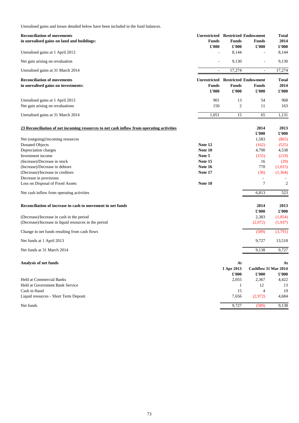Unrealised gains and losses detailed below have been included in the fund balances.

| <b>Reconciliation of movements</b>                                                       |                     | <b>Unrestricted Restricted Endowment</b> |                             | <b>Total</b>  |  |
|------------------------------------------------------------------------------------------|---------------------|------------------------------------------|-----------------------------|---------------|--|
| in unrealised gains on land and buildings:                                               | <b>Funds</b>        | <b>Funds</b>                             | <b>Funds</b>                | 2014          |  |
|                                                                                          | $\pounds 000$       | £'000                                    | $\pounds$ '000              | £'000         |  |
| Unrealised gains at 1 April 2013                                                         | $\blacksquare$      | 8,144                                    |                             | 8,144         |  |
| Net gain arising on revaluation                                                          |                     | 9,130                                    | $\overline{\phantom{a}}$    | 9,130         |  |
| Unrealised gains at 31 March 2014                                                        | $\blacksquare$      | 17,274                                   | $\blacksquare$              | 17,274        |  |
| <b>Reconciliation of movements</b>                                                       | <b>Unrestricted</b> | <b>Restricted Endowment</b>              |                             | <b>Total</b>  |  |
| in unrealised gains on investments:                                                      | <b>Funds</b>        | <b>Funds</b>                             | <b>Funds</b>                | 2014          |  |
|                                                                                          | $\pounds 000$       | £'000                                    | $\pounds$ '000              | £'000         |  |
| Unrealised gains at 1 April 2013                                                         | 901                 | 13                                       | 54                          | 968           |  |
| Net gain arising on revaluations                                                         | 150                 | $\overline{2}$                           | 11                          | 163           |  |
| Unrealised gains at 31 March 2014                                                        | 1,051               | 15                                       | 65                          | 1,131         |  |
|                                                                                          |                     |                                          |                             |               |  |
| 23 Reconciliation of net incoming resources to net cash inflow from operating activities |                     |                                          | 2014                        | 2013          |  |
|                                                                                          |                     |                                          | £'000                       | £'000         |  |
| Net (outgoing)/incoming resources                                                        |                     |                                          | 1,583                       | (865)         |  |
| <b>Donated Objects</b>                                                                   | Note 12             |                                          | (162)                       | (525)         |  |
| Depreciation charges                                                                     | Note 10             |                                          | 4,790                       | 4,538         |  |
| Investment income                                                                        | Note 5              |                                          | (155)                       | (219)         |  |
| (Increase)/Decrease in stock                                                             | Note 15             |                                          | 16                          | (29)          |  |
| (Increase)/Decrease in debtors                                                           | Note 16             |                                          | 770                         | (1,015)       |  |
| (Decrease)/Increase in creditors                                                         | Note 17             |                                          | (36)                        | (1,364)       |  |
| Decrease in provisions                                                                   |                     |                                          |                             |               |  |
| Loss on Disposal of Fixed Assets                                                         | Note 10             |                                          | $\overline{7}$              | $\mathbf{2}$  |  |
| Net cash inflow from operating activities                                                |                     |                                          | 6,813                       | 523           |  |
| Reconciliation of increase in cash to movement in net funds                              |                     |                                          | 2014                        | 2013          |  |
|                                                                                          |                     |                                          | $\pounds$ '000              | $\pounds 000$ |  |
|                                                                                          |                     |                                          |                             |               |  |
| (Decrease)/Increase in cash in the period                                                |                     |                                          | 2,383                       | (1,854)       |  |
| (Decrease)/Increase in liquid resources in the period                                    |                     |                                          | (2,972)                     | (1,937)       |  |
| Change in net funds resulting from cash flows                                            |                     |                                          | (589)                       | (3,791)       |  |
| Net funds at 1 April 2013                                                                |                     |                                          | 9,727                       | 13,518        |  |
| Net funds at 31 March 2014                                                               |                     |                                          | 9,138                       | 9,727         |  |
| <b>Analysis of net funds</b>                                                             |                     | At                                       |                             | At            |  |
|                                                                                          |                     | 1 Apr 2013                               | <b>Cashflow 31 Mar 2014</b> |               |  |
|                                                                                          |                     | $\pounds 000$                            | $\pounds$ '000              | $\pounds 000$ |  |
| <b>Held at Commercial Banks</b>                                                          |                     | 2,055                                    | 2,367                       | 4,422         |  |
| Held at Government Bank Service                                                          |                     | $\mathbf{1}$                             | 12                          | 13            |  |
| Cash in Hand                                                                             |                     | 15                                       | $\overline{4}$              | 19            |  |
| Liquid resources - Short Term Deposit                                                    |                     | 7,656                                    | (2,972)                     | 4,684         |  |
| Net funds                                                                                |                     | 9,727                                    | (589)                       | 9,138         |  |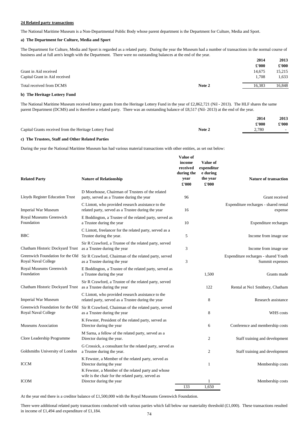#### **24 Related party transactions**

#### **a) The Department for Culture, Media and Sport**

|                               |        | 2014          | 2013          |
|-------------------------------|--------|---------------|---------------|
|                               |        | $\pounds 000$ | $\pounds 000$ |
| Grant in Aid received         |        | 14,675        | 15,215        |
| Capital Grant in Aid received |        | 1,708         | 1,633         |
| Total received from DCMS      | Note 2 | 16,383        | 16,848        |

#### **b) The Heritage Lottery Fund**

|                                                        |        | 2014          | 2013                      |
|--------------------------------------------------------|--------|---------------|---------------------------|
|                                                        |        | $\pounds 000$ | $\pmb{\mathfrak{E}}$ '000 |
| Capital Grants received from the Heritage Lottery Fund | Note 2 | 2,780         |                           |

#### **c) The Trustees, Staff and Other Related Parties**

During the year the National Maritime Museum has had various material transactions with other entities, as set out below:

There were additional related party transactions conducted with various parties which fall below our materiality threshold  $(E1,000)$ . These transactions resulted in income of £1,494 and expenditure of £1,184.

At the year end there is a creditor balance of £1,500,000 with the Royal Museums Greenwich Foundation.

The National Maritime Museum received lottery grants from the Heritage Lottery Fund in the year of £2,862,721 (Nil - 2013). The HLF shares the same parent Department (DCMS) and is therefore a related party. There was an outstanding balance of £8,517 (Nil- 2013) at the end of the year.

| <b>Related Party</b>                                           | <b>Nature of Relationship</b>                                                                                                        | Value of<br>income<br>received<br>during the<br>year<br>$\pounds 000$ | <b>Value of</b><br>expenditur<br>e during<br>the year<br>$\pounds$ '000 | <b>Nature of transaction</b>                            |
|----------------------------------------------------------------|--------------------------------------------------------------------------------------------------------------------------------------|-----------------------------------------------------------------------|-------------------------------------------------------------------------|---------------------------------------------------------|
| Lloyds Register Education Trust                                | D Moorhouse, Chairman of Trustees of the related<br>party, served as a Trustee during the year                                       | 96                                                                    |                                                                         | Grant received                                          |
| <b>Imperial War Museum</b>                                     | C Lintott, who provided research assistance to the<br>related party, served as a Trustee during the year                             | 16                                                                    |                                                                         | Expenditure recharges - shared rental<br>expense        |
| Royal Museums Greenwich<br>Foundation                          | E Boddington, a Trustee of the related party, served as<br>a Trustee during the year                                                 | 10                                                                    |                                                                         | Expenditure recharges                                   |
| <b>BBC</b>                                                     | C Lintott, freelancer for the related party, served as a<br>Trustee during the year.                                                 | 5                                                                     |                                                                         | Income from image use                                   |
| Chatham Historic Dockyard Trust                                | Sir R Crawford, a Trustee of the related party, served<br>as a Trustee during the year                                               | 3                                                                     |                                                                         | Income from image use                                   |
| Greenwich Foundation for the Old<br><b>Royal Naval College</b> | Sir R Crawford, Chairman of the related party, served<br>as a Trustee during the year                                                | 3                                                                     |                                                                         | Expenditure recharges - shared Youth<br>Summit expenses |
| Royal Museums Greenwich<br>Foundation                          | E Boddington, a Trustee of the related party, served as<br>a Trustee during the year                                                 |                                                                       | 1,500                                                                   | Grants made                                             |
| Chatham Historic Dockyard Trust as a Trustee during the year   | Sir R Crawford, a Trustee of the related party, served                                                                               |                                                                       | 122                                                                     | Rental at No1 Smithery, Chatham                         |
| <b>Imperial War Museum</b>                                     | C Lintott, who provided research assistance to the<br>related party, served as a Trustee during the year                             |                                                                       | 8                                                                       | Research assistance                                     |
| Greenwich Foundation for the Old<br>Royal Naval College        | Sir R Crawford, Chairman of the related party, served<br>as a Trustee during the year                                                |                                                                       | $8\,$                                                                   | WHS costs                                               |
| <b>Museums Association</b>                                     | K Fewster, President of the related party, served as<br>Director during the year                                                     |                                                                       | 6                                                                       | Conference and membership costs                         |
| Clore Leadership Programme                                     | M Sarna, a fellow of the related party, served as a<br>Director during the year.                                                     |                                                                       | $\overline{2}$                                                          | Staff training and development                          |
| Goldsmiths University of London                                | G Crossick, a consultant for the related party, served as<br>a Trustee during the year.                                              |                                                                       | $\overline{2}$                                                          | Staff training and development                          |
| <b>ICCM</b>                                                    | K Fewster, a Member of the related party, served as<br>Director during the year                                                      |                                                                       | $\mathbf{1}$                                                            | Membership costs                                        |
| <b>ICOM</b>                                                    | K Fewster, a Member of the related party and whose<br>wife is the chair for the related party, served as<br>Director during the year | 133                                                                   | 1,650                                                                   | Membership costs                                        |
|                                                                |                                                                                                                                      |                                                                       |                                                                         |                                                         |

The National Maritime Museum is a Non-Departmental Public Body whose parent department is the Department for Culture, Media and Sport.

The Department for Culture, Media and Sport is regarded as a related party. During the year the Museum had a number of transactions in the normal course of business and at full arm's length with the Department. There were no outstanding balances at the end of the year.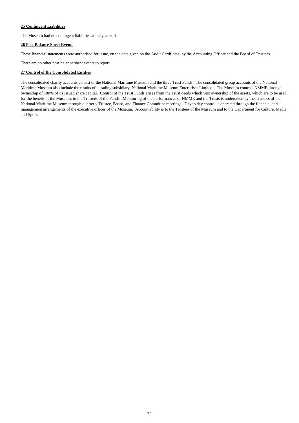# **25 Contingent Liabilities**

The Museum had no contingent liabilities at the year end.

# **26 Post Balance Sheet Events**

There are no other post balance sheet events to report.

# **27 Control of the Consolidated Entities**

These financial statements were authorised for issue, on the date given on the Audit Certificate, by the Accounting Officer and the Board of Trustees.

The consolidated charity accounts consist of the National Maritime Museum and the three Trust Funds. The consolidated group accounts of the National Maritime Museum also include the results of a trading subsidiary, National Maritime Museum Enterprises Limited. The Museum controls NMME through ownership of 100% of its issued share capital. Control of the Trust Funds arises from the Trust deeds which vest ownership of the assets, which are to be used for the benefit of the Museum, in the Trustees of the Funds. Monitoring of the performances of NMME and the Trusts is undertaken by the Trustees of the National Maritime Museum through quarterly Trustee, Board, and Finance Committee meetings. Day to day control is operated through the financial and management arrangements of the executive offices of the Museum. Accountability is to the Trustees of the Museum and to the Department for Culture, Media and Sport.

# 75